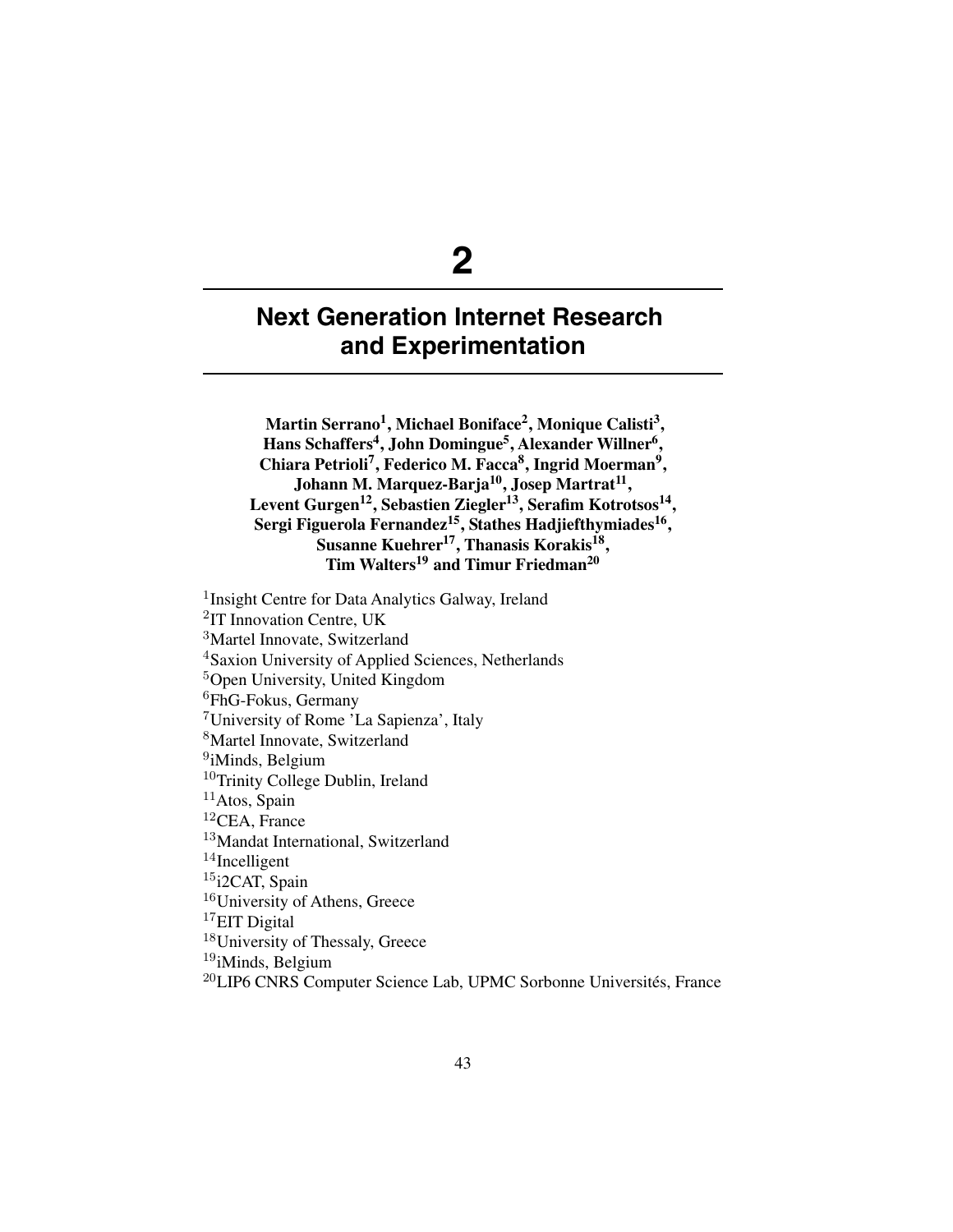# **2**

# **Next Generation Internet Research and Experimentation**

Martin Serrano<sup>1</sup>, Michael Boniface<sup>2</sup>, Monique Calisti<sup>3</sup>, **Hans Schaffers4, John Domingue5, Alexander Willner6, Chiara Petrioli7, Federico M. Facca8, Ingrid Moerman9, Johann M. Marquez-Barja10, Josep Martrat11,** Levent Gurgen<sup>12</sup>, Sebastien Ziegler<sup>13</sup>, Serafim Kotrotsos<sup>14</sup>, **Sergi Figuerola Fernandez15, Stathes Hadjiefthymiades16, Susanne Kuehrer17, Thanasis Korakis18, Tim Walters19 and Timur Friedman20**

<sup>1</sup>Insight Centre for Data Analytics Galway, Ireland <sup>2</sup>IT Innovation Centre, UK Martel Innovate, Switzerland Saxion University of Applied Sciences, Netherlands Open University, United Kingdom FhG-Fokus, Germany University of Rome 'La Sapienza', Italy Martel Innovate, Switzerland <sup>9</sup>iMinds, Belgium Trinity College Dublin, Ireland <sup>11</sup>Atos, Spain CEA, France <sup>13</sup>Mandat International, Switzerland Incelligent <sup>15</sup>i2CAT, Spain University of Athens, Greece <sup>17</sup>EIT Digital University of Thessaly, Greece iMinds, Belgium LIP6 CNRS Computer Science Lab, UPMC Sorbonne Universités, France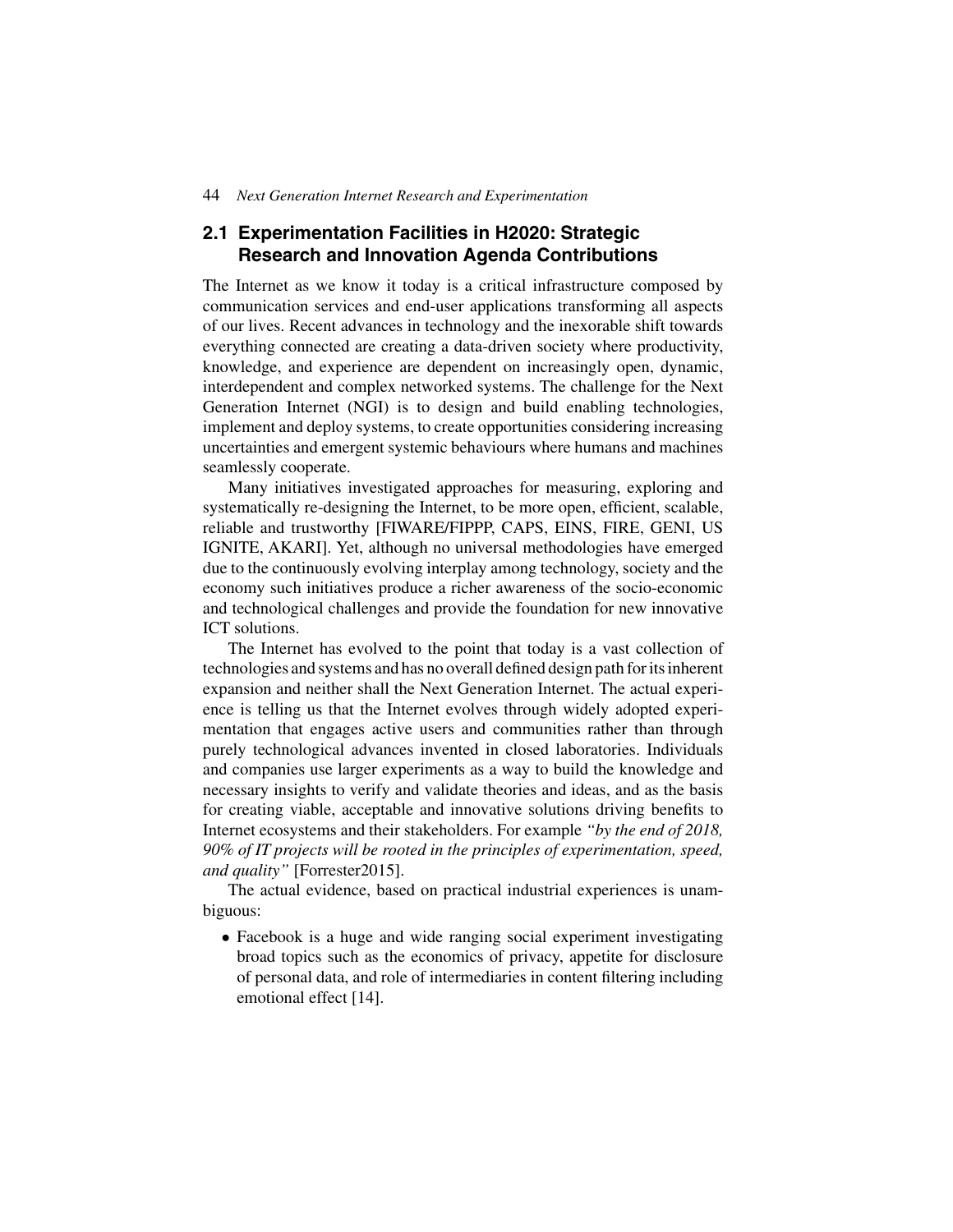# **2.1 Experimentation Facilities in H2020: Strategic Research and Innovation Agenda Contributions**

The Internet as we know it today is a critical infrastructure composed by communication services and end-user applications transforming all aspects of our lives. Recent advances in technology and the inexorable shift towards everything connected are creating a data-driven society where productivity, knowledge, and experience are dependent on increasingly open, dynamic, interdependent and complex networked systems. The challenge for the Next Generation Internet (NGI) is to design and build enabling technologies, implement and deploy systems, to create opportunities considering increasing uncertainties and emergent systemic behaviours where humans and machines seamlessly cooperate.

Many initiatives investigated approaches for measuring, exploring and systematically re-designing the Internet, to be more open, efficient, scalable, reliable and trustworthy [FIWARE/FIPPP, CAPS, EINS, FIRE, GENI, US IGNITE, AKARI]. Yet, although no universal methodologies have emerged due to the continuously evolving interplay among technology, society and the economy such initiatives produce a richer awareness of the socio-economic and technological challenges and provide the foundation for new innovative ICT solutions.

The Internet has evolved to the point that today is a vast collection of technologies and systems and has no overall defined design path for its inherent expansion and neither shall the Next Generation Internet. The actual experience is telling us that the Internet evolves through widely adopted experimentation that engages active users and communities rather than through purely technological advances invented in closed laboratories. Individuals and companies use larger experiments as a way to build the knowledge and necessary insights to verify and validate theories and ideas, and as the basis for creating viable, acceptable and innovative solutions driving benefits to Internet ecosystems and their stakeholders. For example *"by the end of 2018, 90% of IT projects will be rooted in the principles of experimentation, speed, and quality"* [Forrester2015].

The actual evidence, based on practical industrial experiences is unambiguous:

• Facebook is a huge and wide ranging social experiment investigating broad topics such as the economics of privacy, appetite for disclosure of personal data, and role of intermediaries in content filtering including emotional effect [14].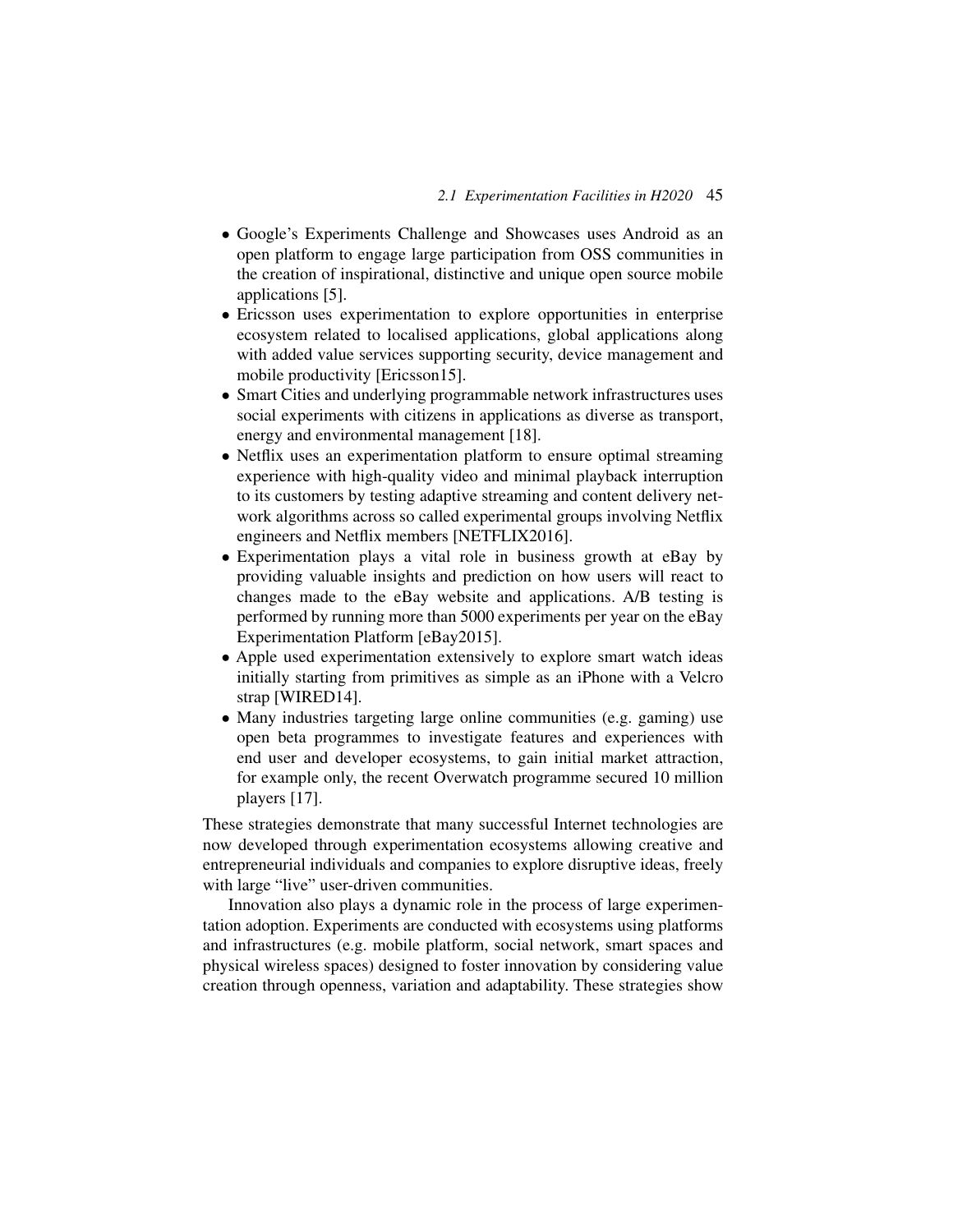- Google's Experiments Challenge and Showcases uses Android as an open platform to engage large participation from OSS communities in the creation of inspirational, distinctive and unique open source mobile applications [5].
- Ericsson uses experimentation to explore opportunities in enterprise ecosystem related to localised applications, global applications along with added value services supporting security, device management and mobile productivity [Ericsson15].
- Smart Cities and underlying programmable network infrastructures uses social experiments with citizens in applications as diverse as transport, energy and environmental management [18].
- Netflix uses an experimentation platform to ensure optimal streaming experience with high-quality video and minimal playback interruption to its customers by testing adaptive streaming and content delivery network algorithms across so called experimental groups involving Netflix engineers and Netflix members [NETFLIX2016].
- Experimentation plays a vital role in business growth at eBay by providing valuable insights and prediction on how users will react to changes made to the eBay website and applications. A/B testing is performed by running more than 5000 experiments per year on the eBay Experimentation Platform [eBay2015].
- Apple used experimentation extensively to explore smart watch ideas initially starting from primitives as simple as an iPhone with a Velcro strap [WIRED14].
- Many industries targeting large online communities (e.g. gaming) use open beta programmes to investigate features and experiences with end user and developer ecosystems, to gain initial market attraction, for example only, the recent Overwatch programme secured 10 million players [17].

These strategies demonstrate that many successful Internet technologies are now developed through experimentation ecosystems allowing creative and entrepreneurial individuals and companies to explore disruptive ideas, freely with large "live" user-driven communities.

Innovation also plays a dynamic role in the process of large experimentation adoption. Experiments are conducted with ecosystems using platforms and infrastructures (e.g. mobile platform, social network, smart spaces and physical wireless spaces) designed to foster innovation by considering value creation through openness, variation and adaptability. These strategies show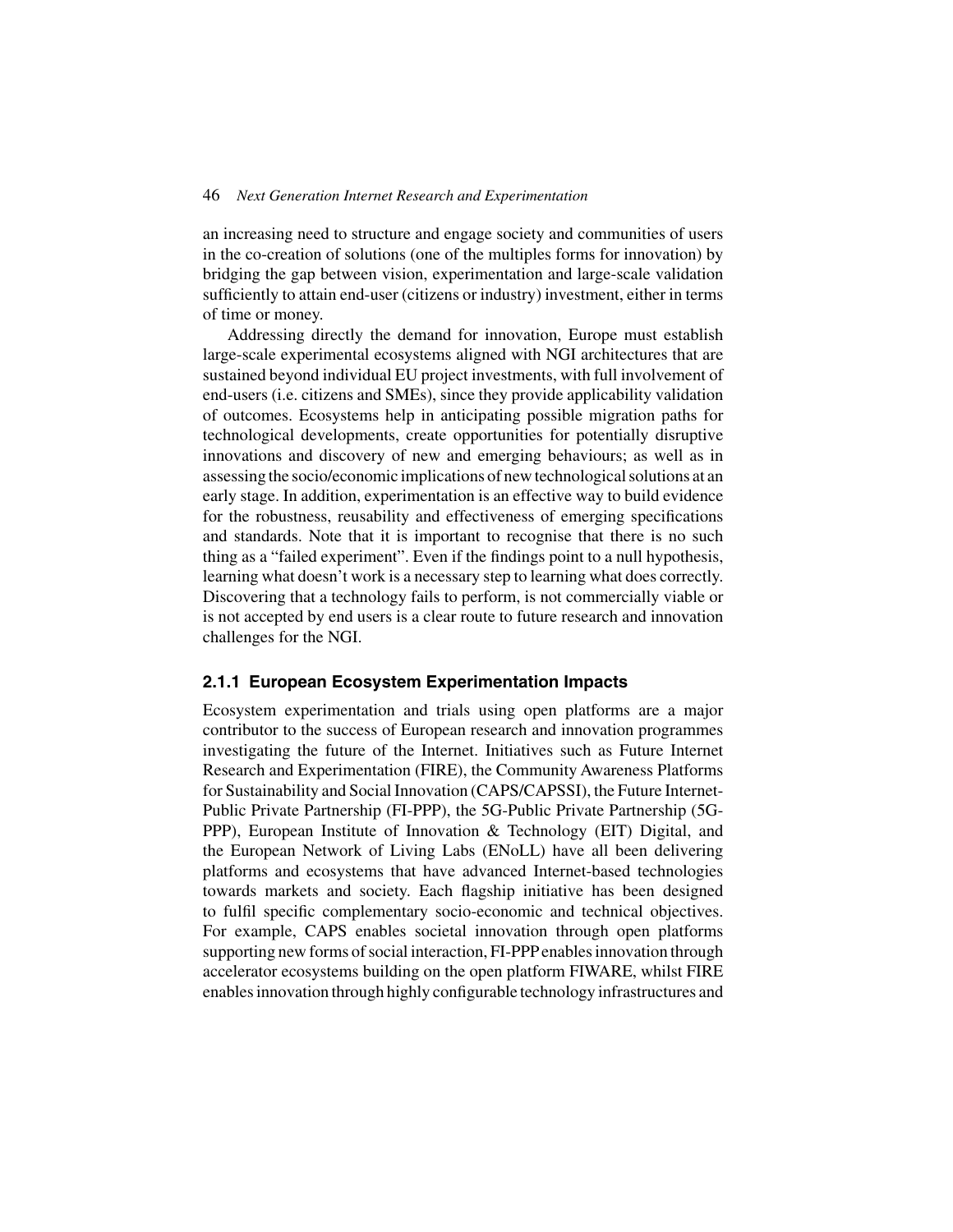an increasing need to structure and engage society and communities of users in the co-creation of solutions (one of the multiples forms for innovation) by bridging the gap between vision, experimentation and large-scale validation sufficiently to attain end-user (citizens or industry) investment, either in terms of time or money.

Addressing directly the demand for innovation, Europe must establish large-scale experimental ecosystems aligned with NGI architectures that are sustained beyond individual EU project investments, with full involvement of end-users (i.e. citizens and SMEs), since they provide applicability validation of outcomes. Ecosystems help in anticipating possible migration paths for technological developments, create opportunities for potentially disruptive innovations and discovery of new and emerging behaviours; as well as in assessing the socio/economic implications of new technological solutions at an early stage. In addition, experimentation is an effective way to build evidence for the robustness, reusability and effectiveness of emerging specifications and standards. Note that it is important to recognise that there is no such thing as a "failed experiment". Even if the findings point to a null hypothesis, learning what doesn't work is a necessary step to learning what does correctly. Discovering that a technology fails to perform, is not commercially viable or is not accepted by end users is a clear route to future research and innovation challenges for the NGI.

#### **2.1.1 European Ecosystem Experimentation Impacts**

Ecosystem experimentation and trials using open platforms are a major contributor to the success of European research and innovation programmes investigating the future of the Internet. Initiatives such as Future Internet Research and Experimentation (FIRE), the Community Awareness Platforms for Sustainability and Social Innovation (CAPS/CAPSSI), the Future Internet-Public Private Partnership (FI-PPP), the 5G-Public Private Partnership (5G-PPP), European Institute of Innovation & Technology (EIT) Digital, and the European Network of Living Labs (ENoLL) have all been delivering platforms and ecosystems that have advanced Internet-based technologies towards markets and society. Each flagship initiative has been designed to fulfil specific complementary socio-economic and technical objectives. For example, CAPS enables societal innovation through open platforms supporting new forms of social interaction, FI-PPPenables innovation through accelerator ecosystems building on the open platform FIWARE, whilst FIRE enables innovation through highly configurable technology infrastructures and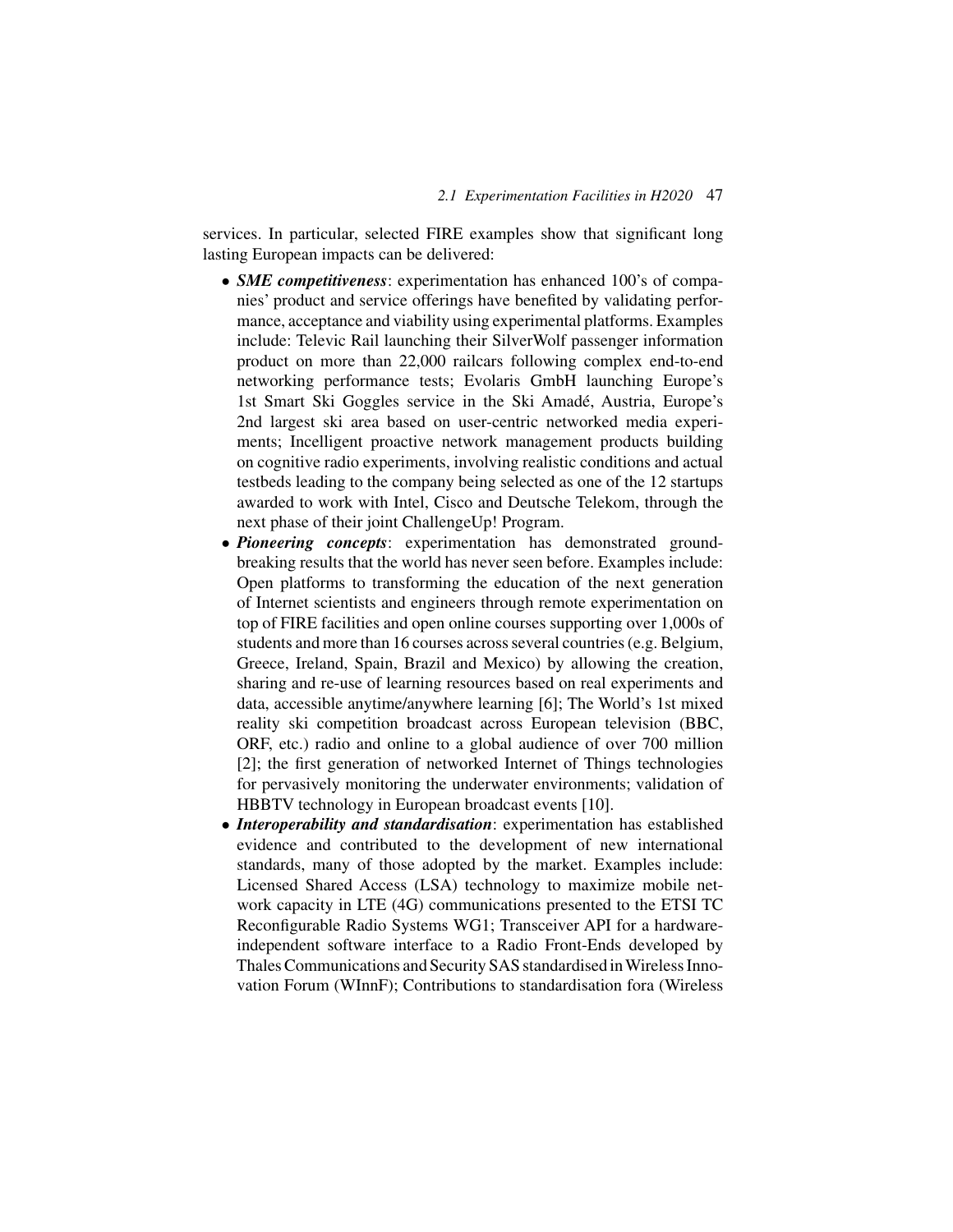services. In particular, selected FIRE examples show that significant long lasting European impacts can be delivered:

- *SME competitiveness*: experimentation has enhanced 100's of companies' product and service offerings have benefited by validating performance, acceptance and viability using experimental platforms. Examples include: Televic Rail launching their SilverWolf passenger information product on more than 22,000 railcars following complex end-to-end networking performance tests; Evolaris GmbH launching Europe's 1st Smart Ski Goggles service in the Ski Amadé, Austria, Europe's 2nd largest ski area based on user-centric networked media experiments; Incelligent proactive network management products building on cognitive radio experiments, involving realistic conditions and actual testbeds leading to the company being selected as one of the 12 startups awarded to work with Intel, Cisco and Deutsche Telekom, through the next phase of their joint ChallengeUp! Program.
- *Pioneering concepts*: experimentation has demonstrated groundbreaking results that the world has never seen before. Examples include: Open platforms to transforming the education of the next generation of Internet scientists and engineers through remote experimentation on top of FIRE facilities and open online courses supporting over 1,000s of students and more than 16 courses across several countries (e.g. Belgium, Greece, Ireland, Spain, Brazil and Mexico) by allowing the creation, sharing and re-use of learning resources based on real experiments and data, accessible anytime/anywhere learning [6]; The World's 1st mixed reality ski competition broadcast across European television (BBC, ORF, etc.) radio and online to a global audience of over 700 million [2]; the first generation of networked Internet of Things technologies for pervasively monitoring the underwater environments; validation of HBBTV technology in European broadcast events [10].
- *Interoperability and standardisation*: experimentation has established evidence and contributed to the development of new international standards, many of those adopted by the market. Examples include: Licensed Shared Access (LSA) technology to maximize mobile network capacity in LTE (4G) communications presented to the ETSI TC Reconfigurable Radio Systems WG1; Transceiver API for a hardwareindependent software interface to a Radio Front-Ends developed by Thales Communications and Security SAS standardised in Wireless Innovation Forum (WInnF); Contributions to standardisation fora (Wireless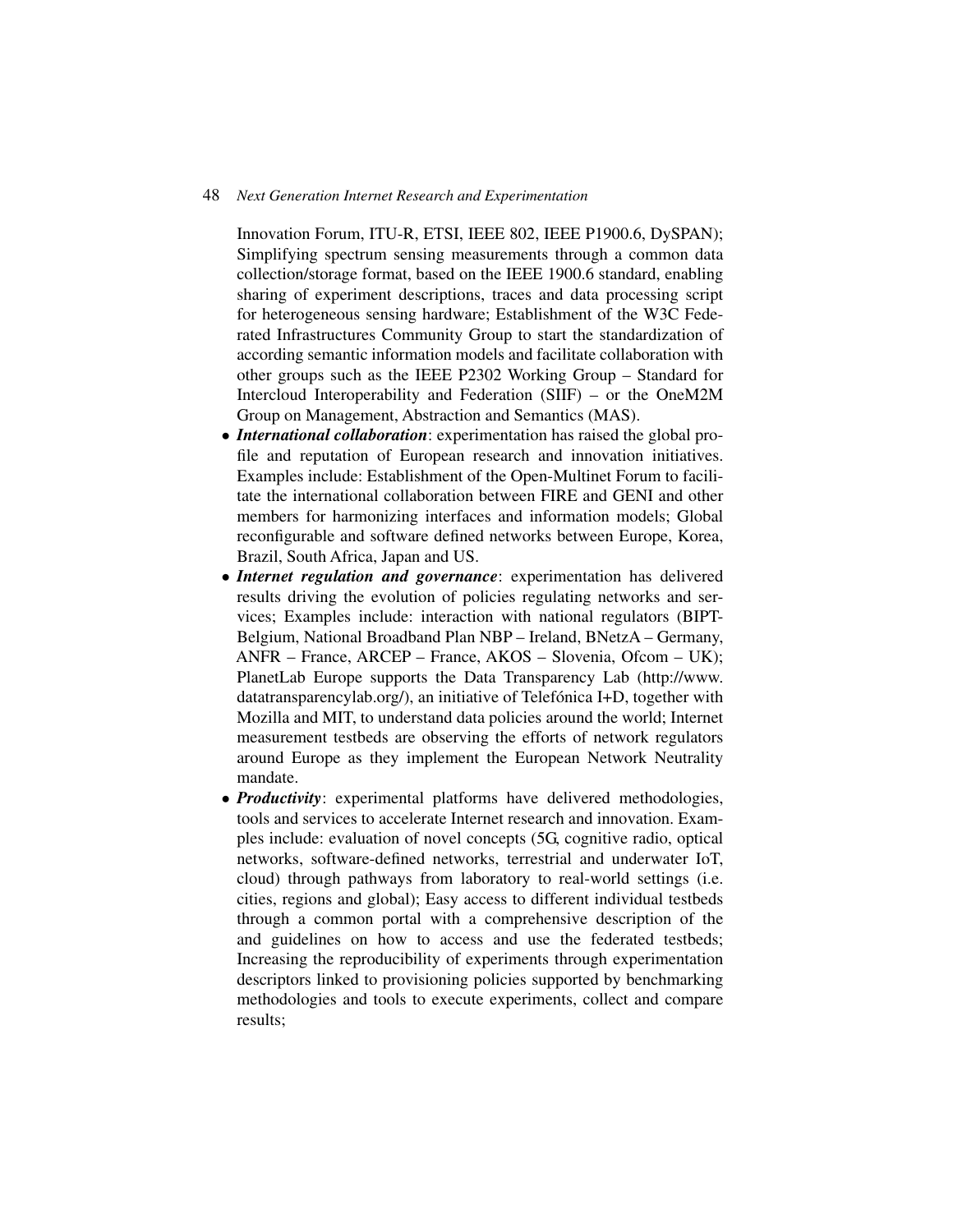Innovation Forum, ITU-R, ETSI, IEEE 802, IEEE P1900.6, DySPAN); Simplifying spectrum sensing measurements through a common data collection/storage format, based on the IEEE 1900.6 standard, enabling sharing of experiment descriptions, traces and data processing script for heterogeneous sensing hardware; Establishment of the W3C Federated Infrastructures Community Group to start the standardization of according semantic information models and facilitate collaboration with other groups such as the IEEE P2302 Working Group – Standard for Intercloud Interoperability and Federation (SIIF) – or the OneM2M Group on Management, Abstraction and Semantics (MAS).

- *International collaboration*: experimentation has raised the global profile and reputation of European research and innovation initiatives. Examples include: Establishment of the Open-Multinet Forum to facilitate the international collaboration between FIRE and GENI and other members for harmonizing interfaces and information models; Global reconfigurable and software defined networks between Europe, Korea, Brazil, South Africa, Japan and US.
- *Internet regulation and governance*: experimentation has delivered results driving the evolution of policies regulating networks and services; Examples include: interaction with national regulators (BIPT-Belgium, National Broadband Plan NBP – Ireland, BNetzA – Germany, ANFR – France, ARCEP – France, AKOS – Slovenia, Ofcom – UK); PlanetLab Europe supports the Data Transparency Lab (http://www. datatransparencylab.org/), an initiative of Telefónica I+D, together with Mozilla and MIT, to understand data policies around the world; Internet measurement testbeds are observing the efforts of network regulators around Europe as they implement the European Network Neutrality mandate.
- *Productivity*: experimental platforms have delivered methodologies, tools and services to accelerate Internet research and innovation. Examples include: evaluation of novel concepts (5G, cognitive radio, optical networks, software-defined networks, terrestrial and underwater IoT, cloud) through pathways from laboratory to real-world settings (i.e. cities, regions and global); Easy access to different individual testbeds through a common portal with a comprehensive description of the and guidelines on how to access and use the federated testbeds; Increasing the reproducibility of experiments through experimentation descriptors linked to provisioning policies supported by benchmarking methodologies and tools to execute experiments, collect and compare results;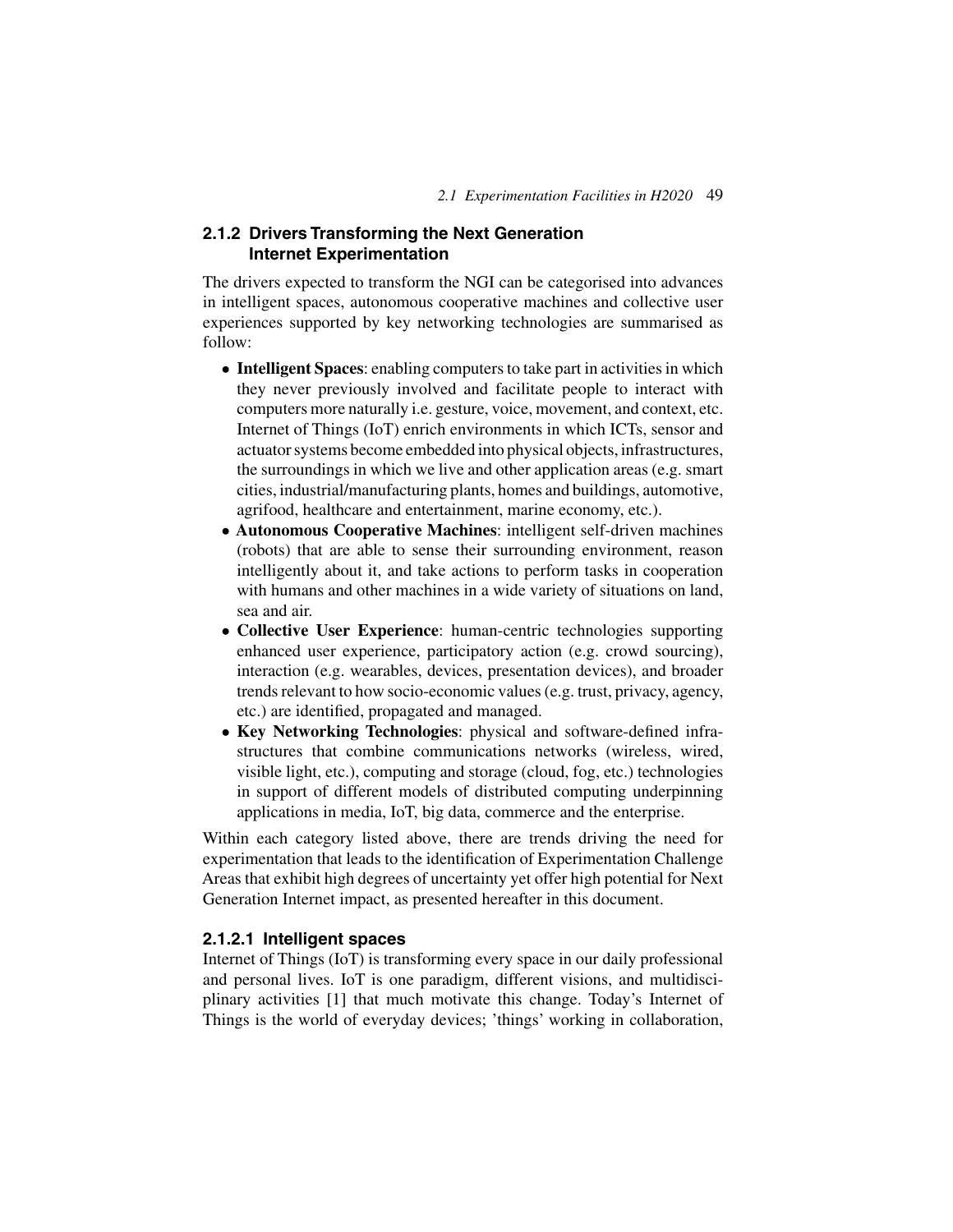## **2.1.2 Drivers Transforming the Next Generation Internet Experimentation**

The drivers expected to transform the NGI can be categorised into advances in intelligent spaces, autonomous cooperative machines and collective user experiences supported by key networking technologies are summarised as follow:

- **Intelligent Spaces**: enabling computers to take part in activities in which they never previously involved and facilitate people to interact with computers more naturally i.e. gesture, voice, movement, and context, etc. Internet of Things (IoT) enrich environments in which ICTs, sensor and actuator systems become embedded into physical objects, infrastructures, the surroundings in which we live and other application areas (e.g. smart cities, industrial/manufacturing plants, homes and buildings, automotive, agrifood, healthcare and entertainment, marine economy, etc.).
- **Autonomous Cooperative Machines**: intelligent self-driven machines (robots) that are able to sense their surrounding environment, reason intelligently about it, and take actions to perform tasks in cooperation with humans and other machines in a wide variety of situations on land, sea and air.
- **Collective User Experience**: human-centric technologies supporting enhanced user experience, participatory action (e.g. crowd sourcing), interaction (e.g. wearables, devices, presentation devices), and broader trends relevant to how socio-economic values (e.g. trust, privacy, agency, etc.) are identified, propagated and managed.
- **Key Networking Technologies**: physical and software-defined infrastructures that combine communications networks (wireless, wired, visible light, etc.), computing and storage (cloud, fog, etc.) technologies in support of different models of distributed computing underpinning applications in media, IoT, big data, commerce and the enterprise.

Within each category listed above, there are trends driving the need for experimentation that leads to the identification of Experimentation Challenge Areas that exhibit high degrees of uncertainty yet offer high potential for Next Generation Internet impact, as presented hereafter in this document.

## **2.1.2.1 Intelligent spaces**

Internet of Things (IoT) is transforming every space in our daily professional and personal lives. IoT is one paradigm, different visions, and multidisciplinary activities [1] that much motivate this change. Today's Internet of Things is the world of everyday devices; 'things' working in collaboration,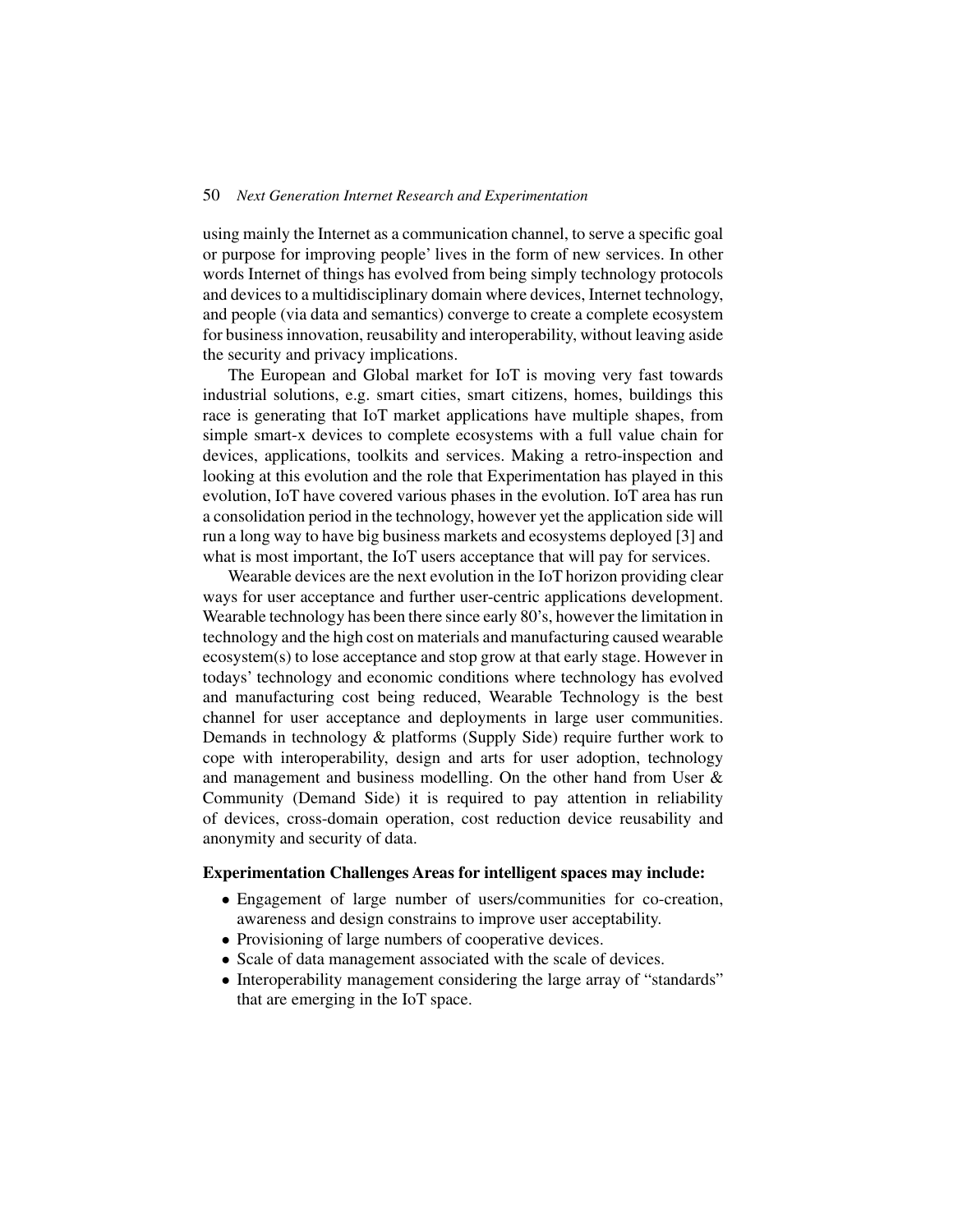using mainly the Internet as a communication channel, to serve a specific goal or purpose for improving people' lives in the form of new services. In other words Internet of things has evolved from being simply technology protocols and devices to a multidisciplinary domain where devices, Internet technology, and people (via data and semantics) converge to create a complete ecosystem for business innovation, reusability and interoperability, without leaving aside the security and privacy implications.

The European and Global market for IoT is moving very fast towards industrial solutions, e.g. smart cities, smart citizens, homes, buildings this race is generating that IoT market applications have multiple shapes, from simple smart-x devices to complete ecosystems with a full value chain for devices, applications, toolkits and services. Making a retro-inspection and looking at this evolution and the role that Experimentation has played in this evolution, IoT have covered various phases in the evolution. IoT area has run a consolidation period in the technology, however yet the application side will run a long way to have big business markets and ecosystems deployed [3] and what is most important, the IoT users acceptance that will pay for services.

Wearable devices are the next evolution in the IoT horizon providing clear ways for user acceptance and further user-centric applications development. Wearable technology has been there since early 80's, however the limitation in technology and the high cost on materials and manufacturing caused wearable ecosystem(s) to lose acceptance and stop grow at that early stage. However in todays' technology and economic conditions where technology has evolved and manufacturing cost being reduced, Wearable Technology is the best channel for user acceptance and deployments in large user communities. Demands in technology & platforms (Supply Side) require further work to cope with interoperability, design and arts for user adoption, technology and management and business modelling. On the other hand from User & Community (Demand Side) it is required to pay attention in reliability of devices, cross-domain operation, cost reduction device reusability and anonymity and security of data.

#### **Experimentation Challenges Areas for intelligent spaces may include:**

- Engagement of large number of users/communities for co-creation, awareness and design constrains to improve user acceptability.
- Provisioning of large numbers of cooperative devices.
- Scale of data management associated with the scale of devices.
- Interoperability management considering the large array of "standards" that are emerging in the IoT space.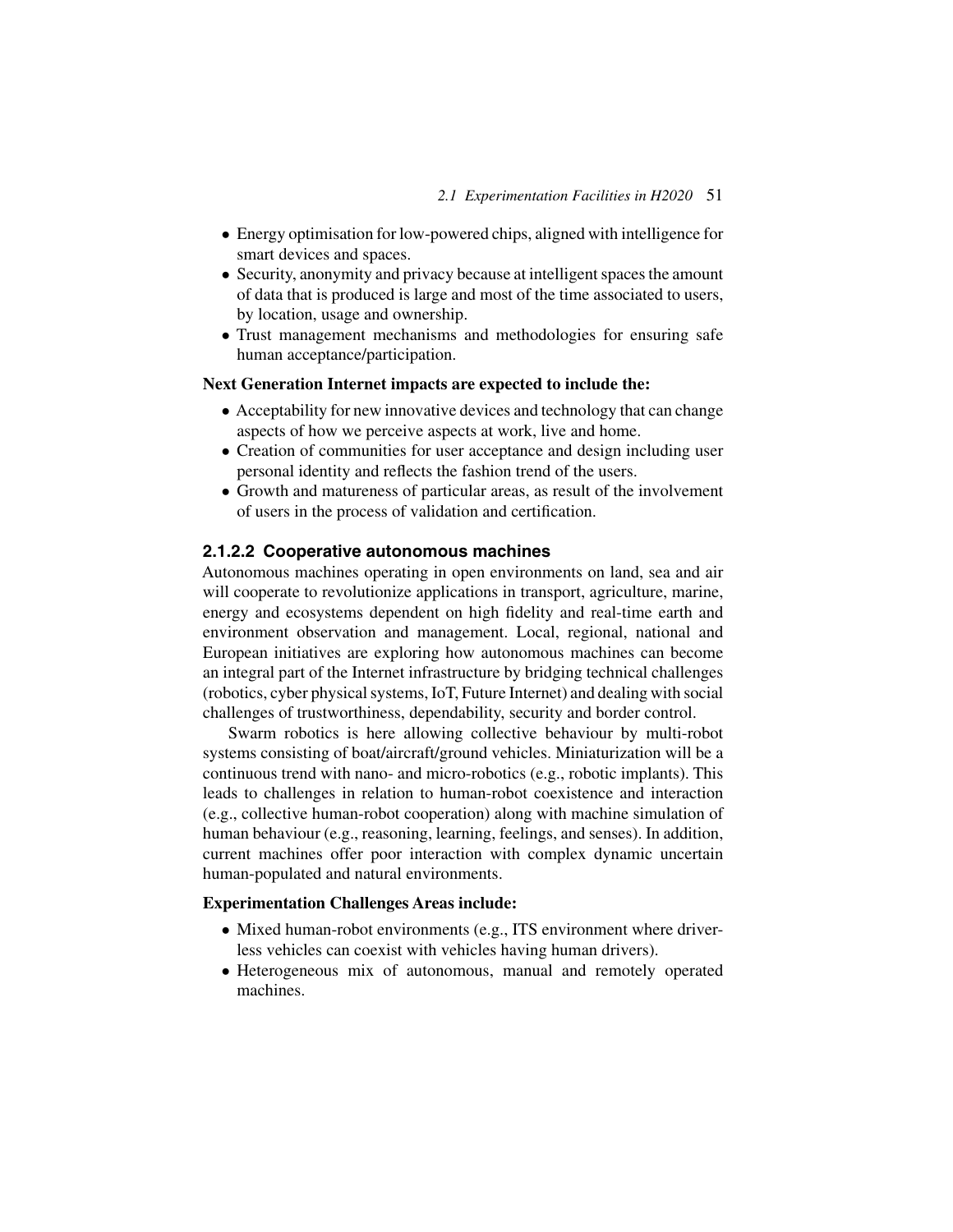- Energy optimisation for low-powered chips, aligned with intelligence for smart devices and spaces.
- Security, anonymity and privacy because at intelligent spaces the amount of data that is produced is large and most of the time associated to users, by location, usage and ownership.
- Trust management mechanisms and methodologies for ensuring safe human acceptance/participation.

#### **Next Generation Internet impacts are expected to include the:**

- Acceptability for new innovative devices and technology that can change aspects of how we perceive aspects at work, live and home.
- Creation of communities for user acceptance and design including user personal identity and reflects the fashion trend of the users.
- Growth and matureness of particular areas, as result of the involvement of users in the process of validation and certification.

## **2.1.2.2 Cooperative autonomous machines**

Autonomous machines operating in open environments on land, sea and air will cooperate to revolutionize applications in transport, agriculture, marine, energy and ecosystems dependent on high fidelity and real-time earth and environment observation and management. Local, regional, national and European initiatives are exploring how autonomous machines can become an integral part of the Internet infrastructure by bridging technical challenges (robotics, cyber physical systems, IoT, Future Internet) and dealing with social challenges of trustworthiness, dependability, security and border control.

Swarm robotics is here allowing collective behaviour by multi-robot systems consisting of boat/aircraft/ground vehicles. Miniaturization will be a continuous trend with nano- and micro-robotics (e.g., robotic implants). This leads to challenges in relation to human-robot coexistence and interaction (e.g., collective human-robot cooperation) along with machine simulation of human behaviour (e.g., reasoning, learning, feelings, and senses). In addition, current machines offer poor interaction with complex dynamic uncertain human-populated and natural environments.

#### **Experimentation Challenges Areas include:**

- Mixed human-robot environments (e.g., ITS environment where driverless vehicles can coexist with vehicles having human drivers).
- Heterogeneous mix of autonomous, manual and remotely operated machines.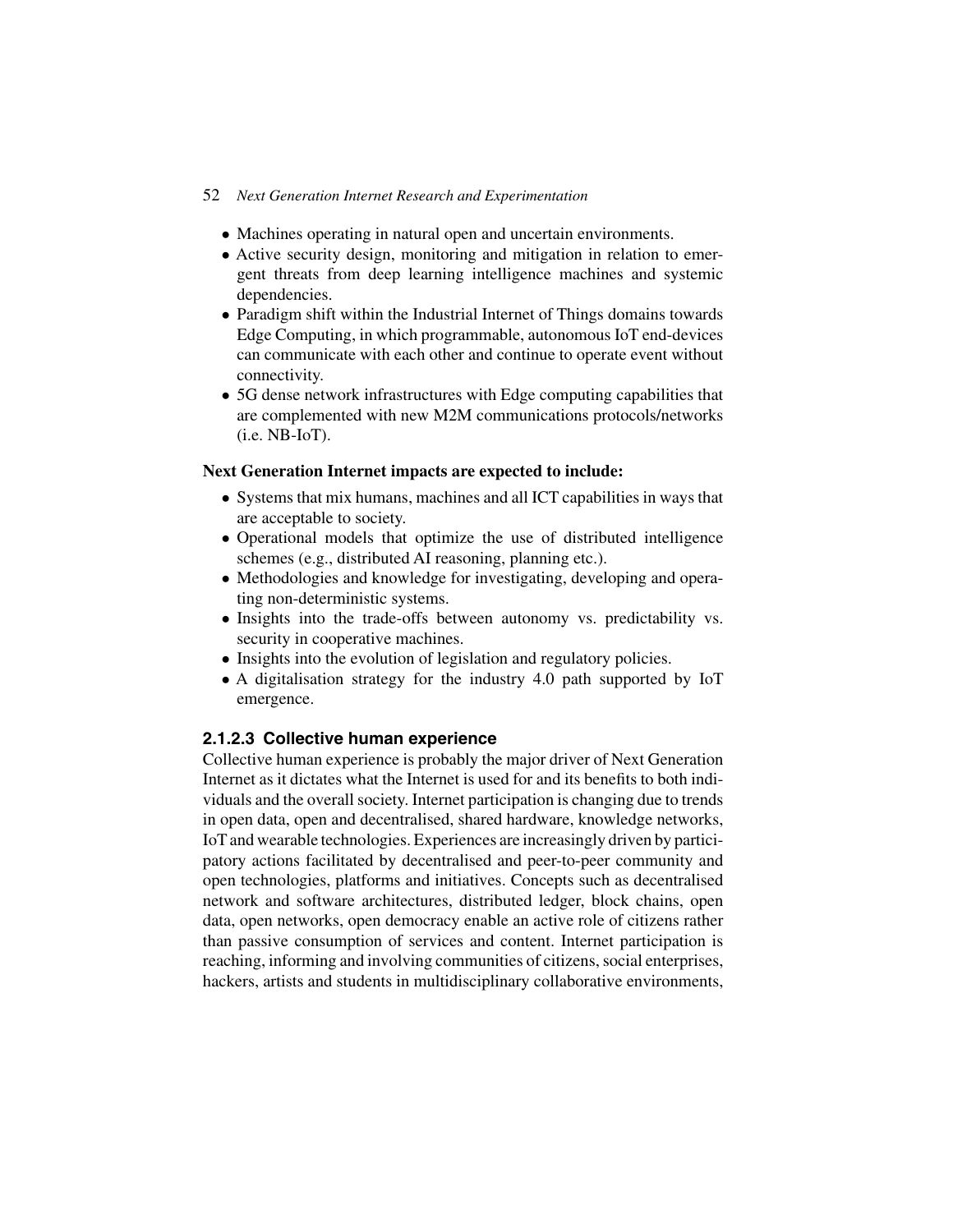- Machines operating in natural open and uncertain environments.
- Active security design, monitoring and mitigation in relation to emergent threats from deep learning intelligence machines and systemic dependencies.
- Paradigm shift within the Industrial Internet of Things domains towards Edge Computing, in which programmable, autonomous IoT end-devices can communicate with each other and continue to operate event without connectivity.
- 5G dense network infrastructures with Edge computing capabilities that are complemented with new M2M communications protocols/networks (i.e. NB-IoT).

## **Next Generation Internet impacts are expected to include:**

- Systems that mix humans, machines and all ICT capabilities in ways that are acceptable to society.
- Operational models that optimize the use of distributed intelligence schemes (e.g., distributed AI reasoning, planning etc.).
- Methodologies and knowledge for investigating, developing and operating non-deterministic systems.
- Insights into the trade-offs between autonomy vs. predictability vs. security in cooperative machines.
- Insights into the evolution of legislation and regulatory policies.
- A digitalisation strategy for the industry 4.0 path supported by IoT emergence.

## **2.1.2.3 Collective human experience**

Collective human experience is probably the major driver of Next Generation Internet as it dictates what the Internet is used for and its benefits to both individuals and the overall society. Internet participation is changing due to trends in open data, open and decentralised, shared hardware, knowledge networks, IoT and wearable technologies. Experiences are increasingly driven by participatory actions facilitated by decentralised and peer-to-peer community and open technologies, platforms and initiatives. Concepts such as decentralised network and software architectures, distributed ledger, block chains, open data, open networks, open democracy enable an active role of citizens rather than passive consumption of services and content. Internet participation is reaching, informing and involving communities of citizens, social enterprises, hackers, artists and students in multidisciplinary collaborative environments,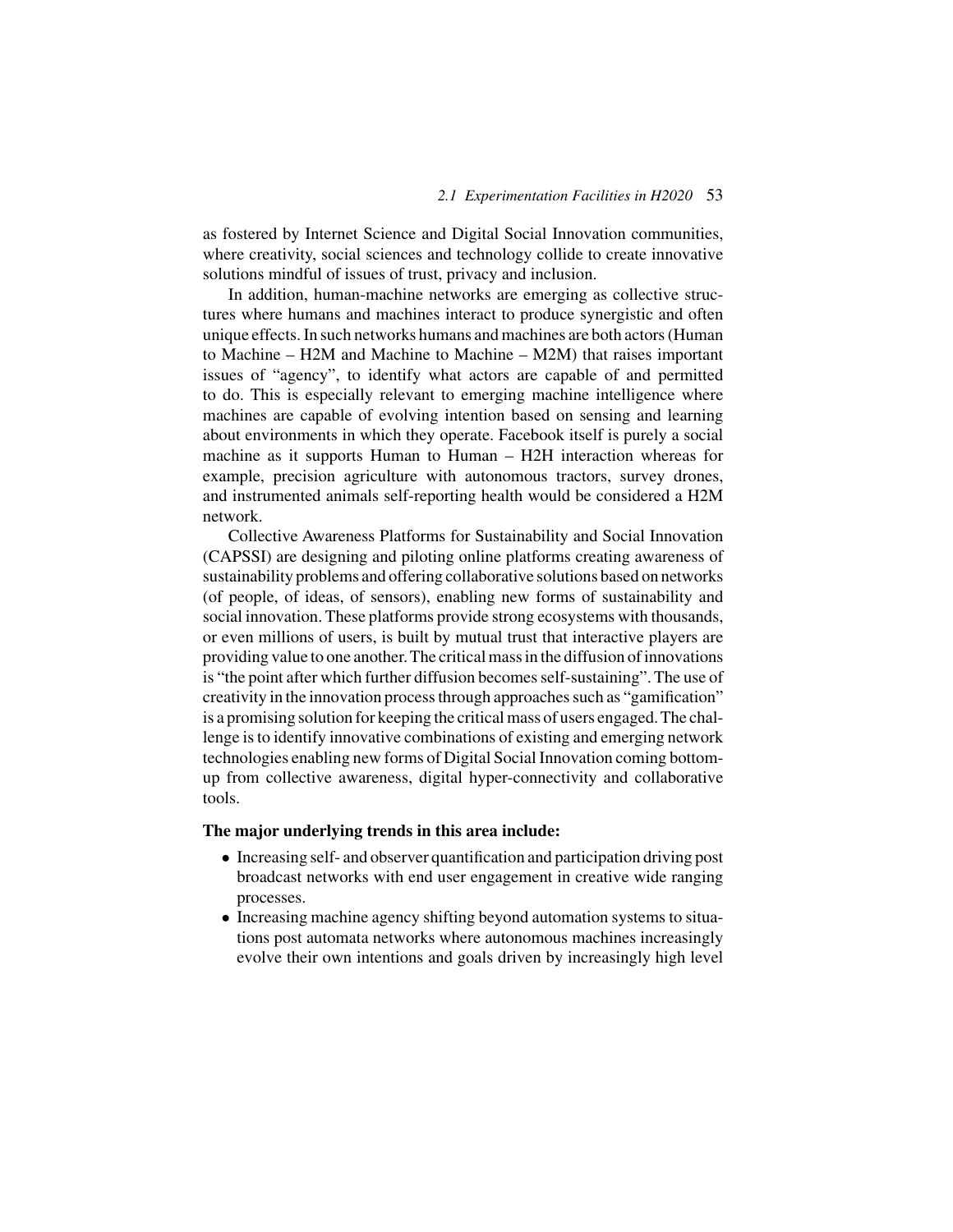as fostered by Internet Science and Digital Social Innovation communities, where creativity, social sciences and technology collide to create innovative solutions mindful of issues of trust, privacy and inclusion.

In addition, human-machine networks are emerging as collective structures where humans and machines interact to produce synergistic and often unique effects. In such networks humans and machines are both actors (Human to Machine – H2M and Machine to Machine – M2M) that raises important issues of "agency", to identify what actors are capable of and permitted to do. This is especially relevant to emerging machine intelligence where machines are capable of evolving intention based on sensing and learning about environments in which they operate. Facebook itself is purely a social machine as it supports Human to Human – H2H interaction whereas for example, precision agriculture with autonomous tractors, survey drones, and instrumented animals self-reporting health would be considered a H2M network.

Collective Awareness Platforms for Sustainability and Social Innovation (CAPSSI) are designing and piloting online platforms creating awareness of sustainability problems and offering collaborative solutions based on networks (of people, of ideas, of sensors), enabling new forms of sustainability and social innovation. These platforms provide strong ecosystems with thousands, or even millions of users, is built by mutual trust that interactive players are providing value to one another. The critical mass in the diffusion of innovations is "the point after which further diffusion becomes self-sustaining". The use of creativity in the innovation process through approaches such as "gamification" is a promising solution for keeping the critical mass of users engaged. The challenge is to identify innovative combinations of existing and emerging network technologies enabling new forms of Digital Social Innovation coming bottomup from collective awareness, digital hyper-connectivity and collaborative tools.

#### **The major underlying trends in this area include:**

- Increasing self- and observer quantification and participation driving post broadcast networks with end user engagement in creative wide ranging processes.
- Increasing machine agency shifting beyond automation systems to situations post automata networks where autonomous machines increasingly evolve their own intentions and goals driven by increasingly high level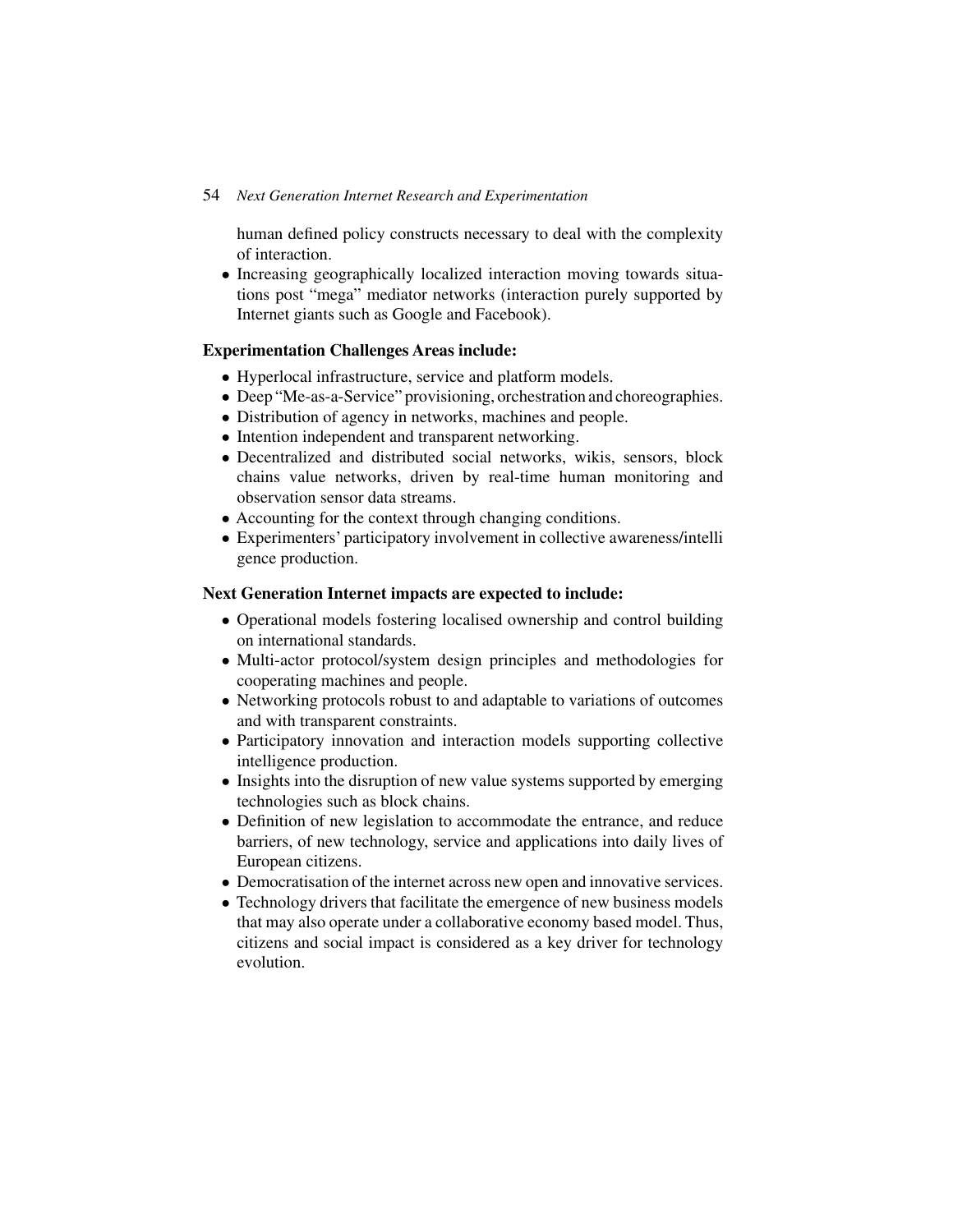human defined policy constructs necessary to deal with the complexity of interaction.

• Increasing geographically localized interaction moving towards situations post "mega" mediator networks (interaction purely supported by Internet giants such as Google and Facebook).

## **Experimentation Challenges Areas include:**

- Hyperlocal infrastructure, service and platform models.
- Deep "Me-as-a-Service" provisioning, orchestration and choreographies.
- Distribution of agency in networks, machines and people.
- Intention independent and transparent networking.
- Decentralized and distributed social networks, wikis, sensors, block chains value networks, driven by real-time human monitoring and observation sensor data streams.
- Accounting for the context through changing conditions.
- Experimenters' participatory involvement in collective awareness/intelli gence production.

## **Next Generation Internet impacts are expected to include:**

- Operational models fostering localised ownership and control building on international standards.
- Multi-actor protocol/system design principles and methodologies for cooperating machines and people.
- Networking protocols robust to and adaptable to variations of outcomes and with transparent constraints.
- Participatory innovation and interaction models supporting collective intelligence production.
- Insights into the disruption of new value systems supported by emerging technologies such as block chains.
- Definition of new legislation to accommodate the entrance, and reduce barriers, of new technology, service and applications into daily lives of European citizens.
- Democratisation of the internet across new open and innovative services.
- Technology drivers that facilitate the emergence of new business models that may also operate under a collaborative economy based model. Thus, citizens and social impact is considered as a key driver for technology evolution.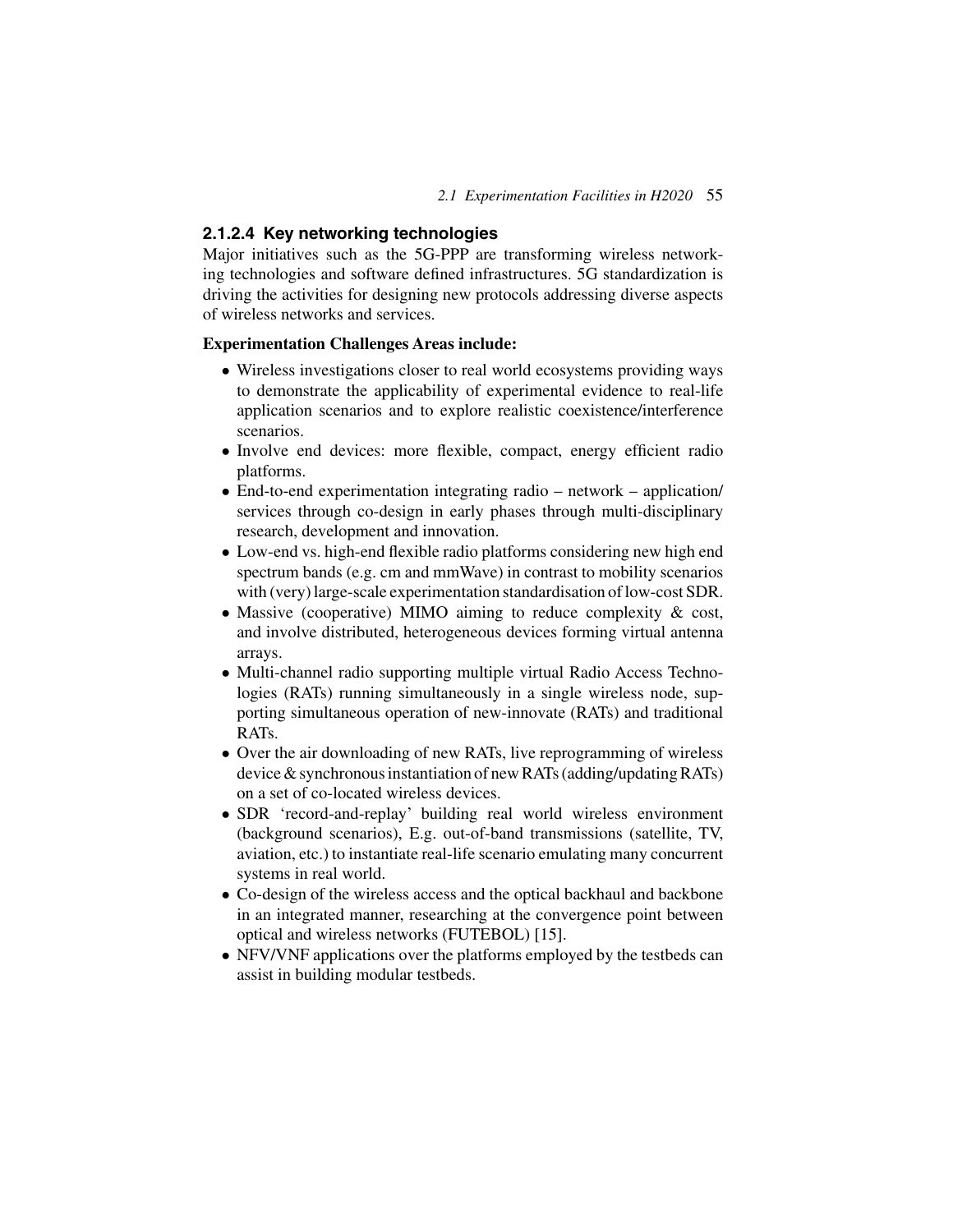## **2.1.2.4 Key networking technologies**

Major initiatives such as the 5G-PPP are transforming wireless networking technologies and software defined infrastructures. 5G standardization is driving the activities for designing new protocols addressing diverse aspects of wireless networks and services.

## **Experimentation Challenges Areas include:**

- Wireless investigations closer to real world ecosystems providing ways to demonstrate the applicability of experimental evidence to real-life application scenarios and to explore realistic coexistence/interference scenarios.
- Involve end devices: more flexible, compact, energy efficient radio platforms.
- End-to-end experimentation integrating radio network application/ services through co-design in early phases through multi-disciplinary research, development and innovation.
- Low-end vs. high-end flexible radio platforms considering new high end spectrum bands (e.g. cm and mmWave) in contrast to mobility scenarios with (very) large-scale experimentation standardisation of low-cost SDR.
- Massive (cooperative) MIMO aiming to reduce complexity & cost, and involve distributed, heterogeneous devices forming virtual antenna arrays.
- Multi-channel radio supporting multiple virtual Radio Access Technologies (RATs) running simultaneously in a single wireless node, supporting simultaneous operation of new-innovate (RATs) and traditional RATs.
- Over the air downloading of new RATs, live reprogramming of wireless device & synchronous instantiation of new RATs (adding/updating RATs) on a set of co-located wireless devices.
- SDR 'record-and-replay' building real world wireless environment (background scenarios), E.g. out-of-band transmissions (satellite, TV, aviation, etc.) to instantiate real-life scenario emulating many concurrent systems in real world.
- Co-design of the wireless access and the optical backhaul and backbone in an integrated manner, researching at the convergence point between optical and wireless networks (FUTEBOL) [15].
- NFV/VNF applications over the platforms employed by the testbeds can assist in building modular testbeds.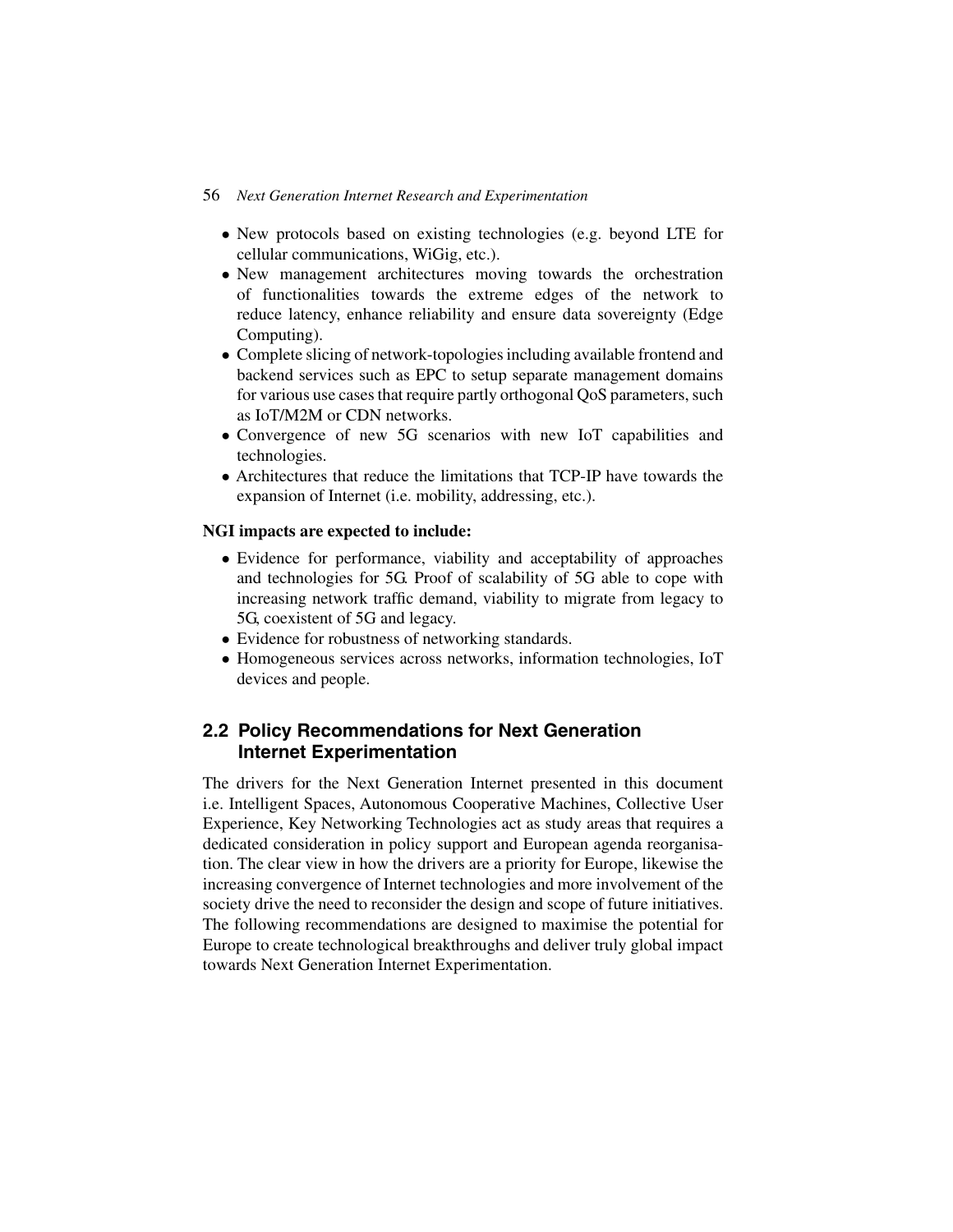- New protocols based on existing technologies (e.g. beyond LTE for cellular communications, WiGig, etc.).
- New management architectures moving towards the orchestration of functionalities towards the extreme edges of the network to reduce latency, enhance reliability and ensure data sovereignty (Edge Computing).
- Complete slicing of network-topologies including available frontend and backend services such as EPC to setup separate management domains for various use cases that require partly orthogonal QoS parameters, such as IoT/M2M or CDN networks.
- Convergence of new 5G scenarios with new IoT capabilities and technologies.
- Architectures that reduce the limitations that TCP-IP have towards the expansion of Internet (i.e. mobility, addressing, etc.).

## **NGI impacts are expected to include:**

- Evidence for performance, viability and acceptability of approaches and technologies for 5G. Proof of scalability of 5G able to cope with increasing network traffic demand, viability to migrate from legacy to 5G, coexistent of 5G and legacy.
- Evidence for robustness of networking standards.
- Homogeneous services across networks, information technologies, IoT devices and people.

# **2.2 Policy Recommendations for Next Generation Internet Experimentation**

The drivers for the Next Generation Internet presented in this document i.e. Intelligent Spaces, Autonomous Cooperative Machines, Collective User Experience, Key Networking Technologies act as study areas that requires a dedicated consideration in policy support and European agenda reorganisation. The clear view in how the drivers are a priority for Europe, likewise the increasing convergence of Internet technologies and more involvement of the society drive the need to reconsider the design and scope of future initiatives. The following recommendations are designed to maximise the potential for Europe to create technological breakthroughs and deliver truly global impact towards Next Generation Internet Experimentation.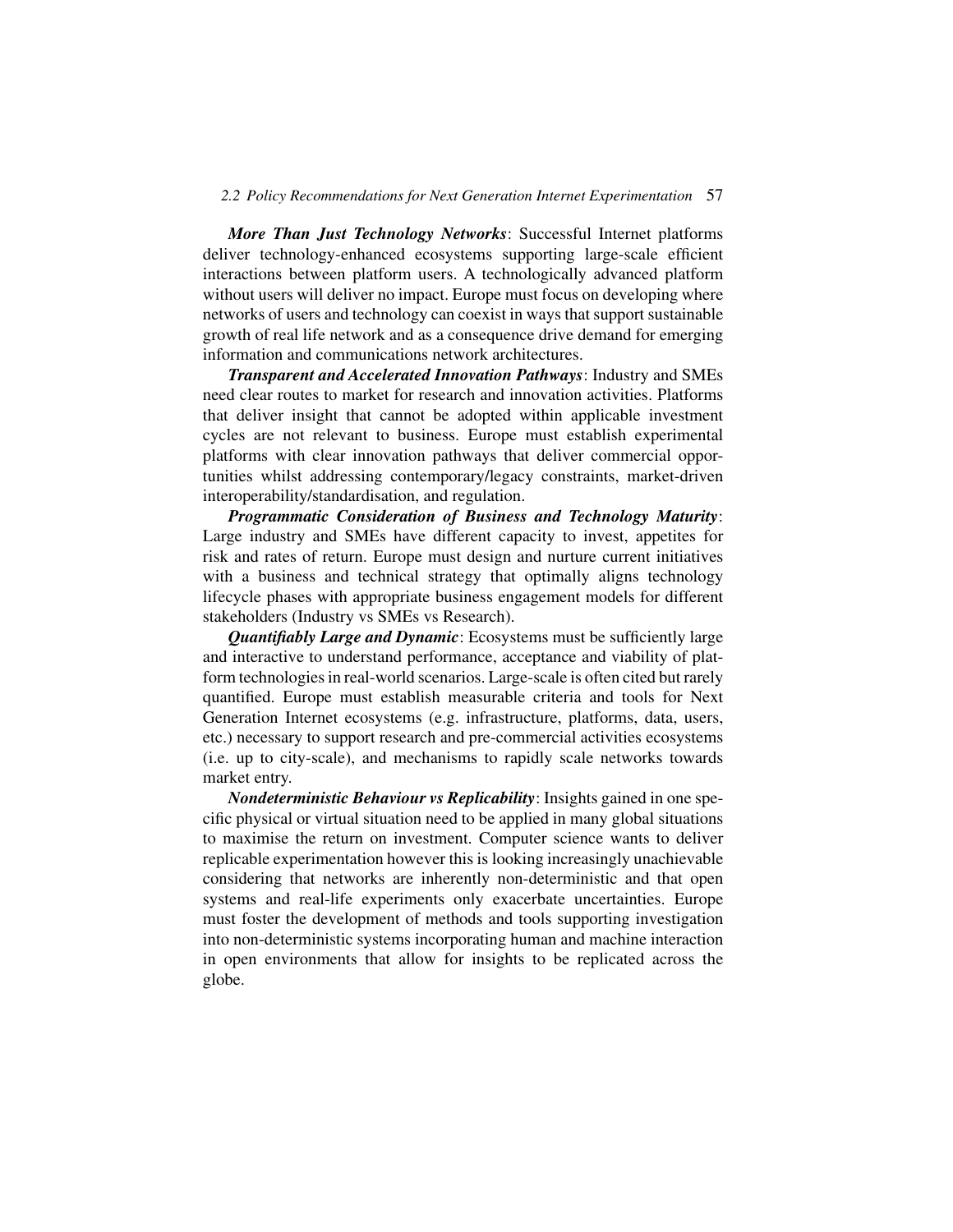#### *2.2 Policy Recommendations for Next Generation Internet Experimentation* 57

*More Than Just Technology Networks*: Successful Internet platforms deliver technology-enhanced ecosystems supporting large-scale efficient interactions between platform users. A technologically advanced platform without users will deliver no impact. Europe must focus on developing where networks of users and technology can coexist in ways that support sustainable growth of real life network and as a consequence drive demand for emerging information and communications network architectures.

*Transparent and Accelerated Innovation Pathways*: Industry and SMEs need clear routes to market for research and innovation activities. Platforms that deliver insight that cannot be adopted within applicable investment cycles are not relevant to business. Europe must establish experimental platforms with clear innovation pathways that deliver commercial opportunities whilst addressing contemporary/legacy constraints, market-driven interoperability/standardisation, and regulation.

*Programmatic Consideration of Business and Technology Maturity*: Large industry and SMEs have different capacity to invest, appetites for risk and rates of return. Europe must design and nurture current initiatives with a business and technical strategy that optimally aligns technology lifecycle phases with appropriate business engagement models for different stakeholders (Industry vs SMEs vs Research).

*Quantifiably Large and Dynamic*: Ecosystems must be sufficiently large and interactive to understand performance, acceptance and viability of platform technologies in real-world scenarios. Large-scale is often cited but rarely quantified. Europe must establish measurable criteria and tools for Next Generation Internet ecosystems (e.g. infrastructure, platforms, data, users, etc.) necessary to support research and pre-commercial activities ecosystems (i.e. up to city-scale), and mechanisms to rapidly scale networks towards market entry.

*Nondeterministic Behaviour vs Replicability*: Insights gained in one specific physical or virtual situation need to be applied in many global situations to maximise the return on investment. Computer science wants to deliver replicable experimentation however this is looking increasingly unachievable considering that networks are inherently non-deterministic and that open systems and real-life experiments only exacerbate uncertainties. Europe must foster the development of methods and tools supporting investigation into non-deterministic systems incorporating human and machine interaction in open environments that allow for insights to be replicated across the globe.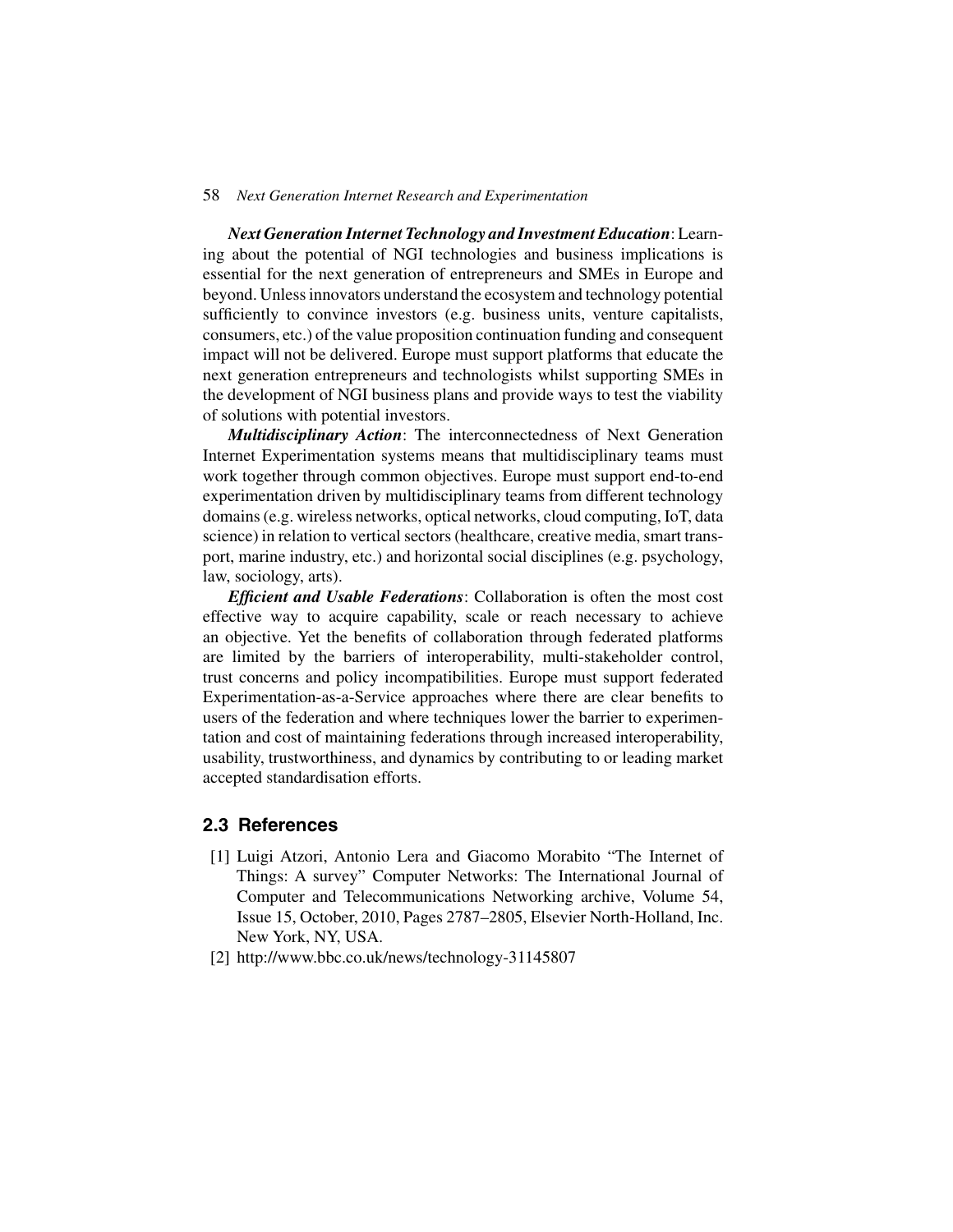*Next Generation Internet Technology and Investment Education*: Learning about the potential of NGI technologies and business implications is essential for the next generation of entrepreneurs and SMEs in Europe and beyond. Unless innovators understand the ecosystem and technology potential sufficiently to convince investors (e.g. business units, venture capitalists, consumers, etc.) of the value proposition continuation funding and consequent impact will not be delivered. Europe must support platforms that educate the next generation entrepreneurs and technologists whilst supporting SMEs in the development of NGI business plans and provide ways to test the viability of solutions with potential investors.

*Multidisciplinary Action*: The interconnectedness of Next Generation Internet Experimentation systems means that multidisciplinary teams must work together through common objectives. Europe must support end-to-end experimentation driven by multidisciplinary teams from different technology domains (e.g. wireless networks, optical networks, cloud computing, IoT, data science) in relation to vertical sectors (healthcare, creative media, smart transport, marine industry, etc.) and horizontal social disciplines (e.g. psychology, law, sociology, arts).

*Efficient and Usable Federations*: Collaboration is often the most cost effective way to acquire capability, scale or reach necessary to achieve an objective. Yet the benefits of collaboration through federated platforms are limited by the barriers of interoperability, multi-stakeholder control, trust concerns and policy incompatibilities. Europe must support federated Experimentation-as-a-Service approaches where there are clear benefits to users of the federation and where techniques lower the barrier to experimentation and cost of maintaining federations through increased interoperability, usability, trustworthiness, and dynamics by contributing to or leading market accepted standardisation efforts.

## **2.3 References**

- [1] Luigi Atzori, Antonio Lera and Giacomo Morabito "The Internet of Things: A survey" Computer Networks: The International Journal of Computer and Telecommunications Networking archive, Volume 54, Issue 15, October, 2010, Pages 2787–2805, Elsevier North-Holland, Inc. New York, NY, USA.
- [2] http://www.bbc.co.uk/news/technology-31145807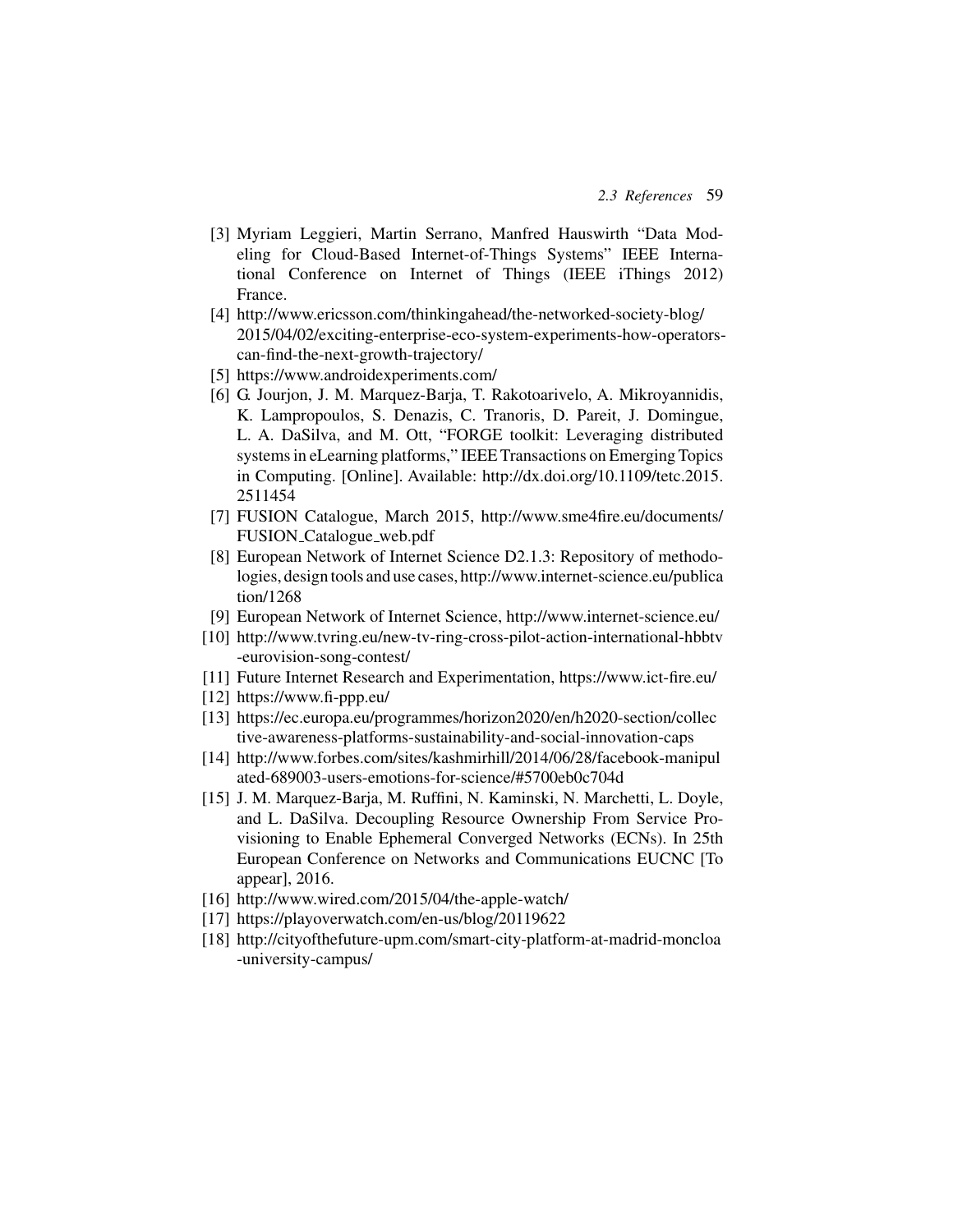- [3] Myriam Leggieri, Martin Serrano, Manfred Hauswirth "Data Modeling for Cloud-Based Internet-of-Things Systems" IEEE International Conference on Internet of Things (IEEE iThings 2012) France.
- [4] http://www.ericsson.com/thinkingahead/the-networked-society-blog/ 2015/04/02/exciting-enterprise-eco-system-experiments-how-operatorscan-find-the-next-growth-trajectory/
- [5] https://www.androidexperiments.com/
- [6] G. Jourjon, J. M. Marquez-Barja, T. Rakotoarivelo, A. Mikroyannidis, K. Lampropoulos, S. Denazis, C. Tranoris, D. Pareit, J. Domingue, L. A. DaSilva, and M. Ott, "FORGE toolkit: Leveraging distributed systems in eLearning platforms," IEEE Transactions on Emerging Topics in Computing. [Online]. Available: http://dx.doi.org/10.1109/tetc.2015. 2511454
- [7] FUSION Catalogue, March 2015, http://www.sme4fire.eu/documents/ FUSION Catalogue web.pdf
- [8] European Network of Internet Science D2.1.3: Repository of methodologies, design tools and use cases, http://www.internet-science.eu/publica tion/1268
- [9] European Network of Internet Science, http://www.internet-science.eu/
- [10] http://www.tvring.eu/new-tv-ring-cross-pilot-action-international-hbbtv -eurovision-song-contest/
- [11] Future Internet Research and Experimentation, https://www.ict-fire.eu/
- [12] https://www.fi-ppp.eu/
- [13] https://ec.europa.eu/programmes/horizon2020/en/h2020-section/collec tive-awareness-platforms-sustainability-and-social-innovation-caps
- [14] http://www.forbes.com/sites/kashmirhill/2014/06/28/facebook-manipul ated-689003-users-emotions-for-science/#5700eb0c704d
- [15] J. M. Marquez-Barja, M. Ruffini, N. Kaminski, N. Marchetti, L. Doyle, and L. DaSilva. Decoupling Resource Ownership From Service Provisioning to Enable Ephemeral Converged Networks (ECNs). In 25th European Conference on Networks and Communications EUCNC [To appear], 2016.
- [16] http://www.wired.com/2015/04/the-apple-watch/
- [17] https://playoverwatch.com/en-us/blog/20119622
- [18] http://cityofthefuture-upm.com/smart-city-platform-at-madrid-moncloa -university-campus/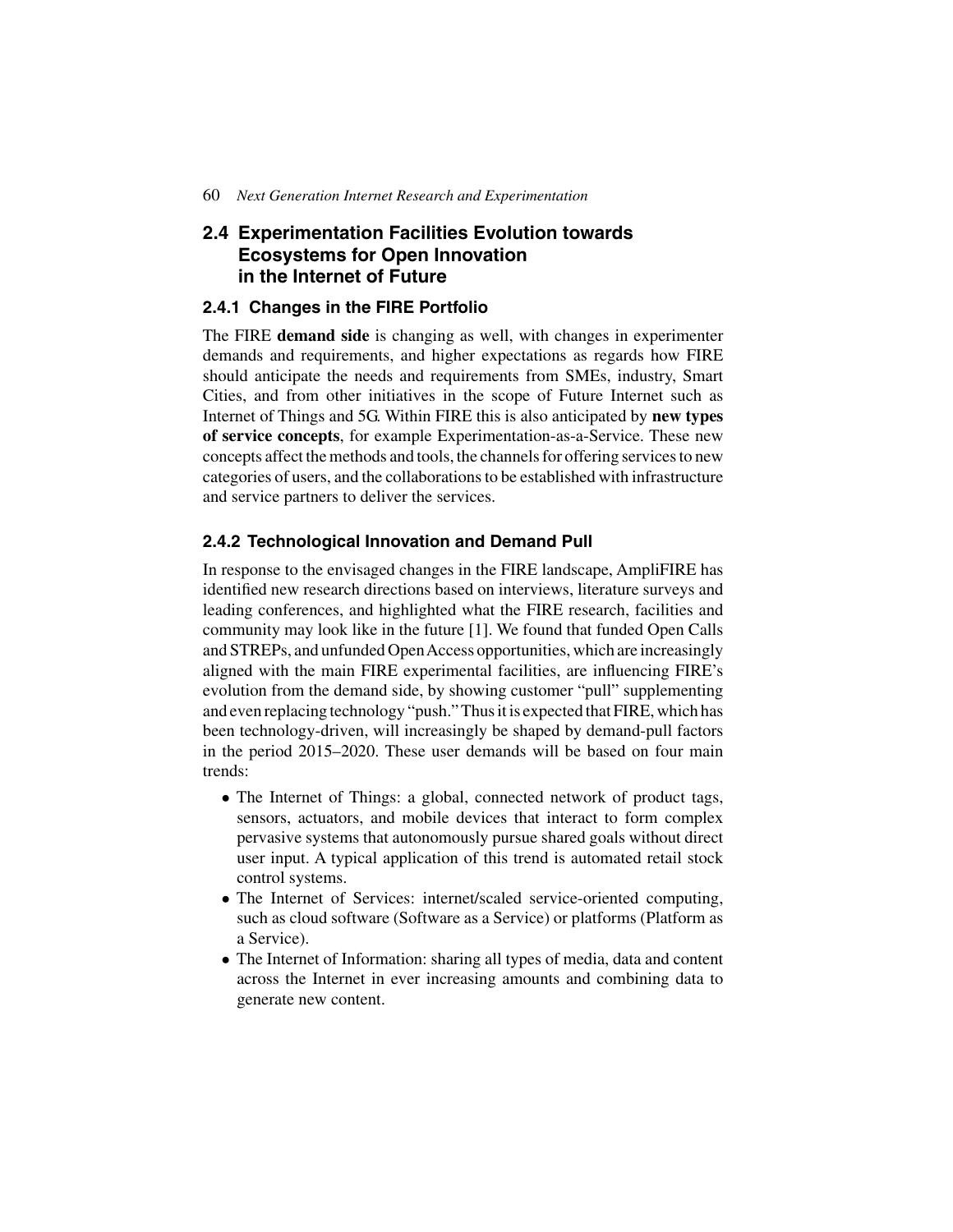# **2.4 Experimentation Facilities Evolution towards Ecosystems for Open Innovation in the Internet of Future**

## **2.4.1 Changes in the FIRE Portfolio**

The FIRE **demand side** is changing as well, with changes in experimenter demands and requirements, and higher expectations as regards how FIRE should anticipate the needs and requirements from SMEs, industry, Smart Cities, and from other initiatives in the scope of Future Internet such as Internet of Things and 5G. Within FIRE this is also anticipated by **new types of service concepts**, for example Experimentation-as-a-Service. These new concepts affect the methods and tools, the channels for offering services to new categories of users, and the collaborations to be established with infrastructure and service partners to deliver the services.

## **2.4.2 Technological Innovation and Demand Pull**

In response to the envisaged changes in the FIRE landscape, AmpliFIRE has identified new research directions based on interviews, literature surveys and leading conferences, and highlighted what the FIRE research, facilities and community may look like in the future [1]. We found that funded Open Calls and STREPs, and unfunded Open Access opportunities, which are increasingly aligned with the main FIRE experimental facilities, are influencing FIRE's evolution from the demand side, by showing customer "pull" supplementing and even replacing technology "push."Thus it is expected that FIRE, which has been technology-driven, will increasingly be shaped by demand-pull factors in the period 2015–2020. These user demands will be based on four main trends:

- The Internet of Things: a global, connected network of product tags, sensors, actuators, and mobile devices that interact to form complex pervasive systems that autonomously pursue shared goals without direct user input. A typical application of this trend is automated retail stock control systems.
- The Internet of Services: internet/scaled service-oriented computing, such as cloud software (Software as a Service) or platforms (Platform as a Service).
- The Internet of Information: sharing all types of media, data and content across the Internet in ever increasing amounts and combining data to generate new content.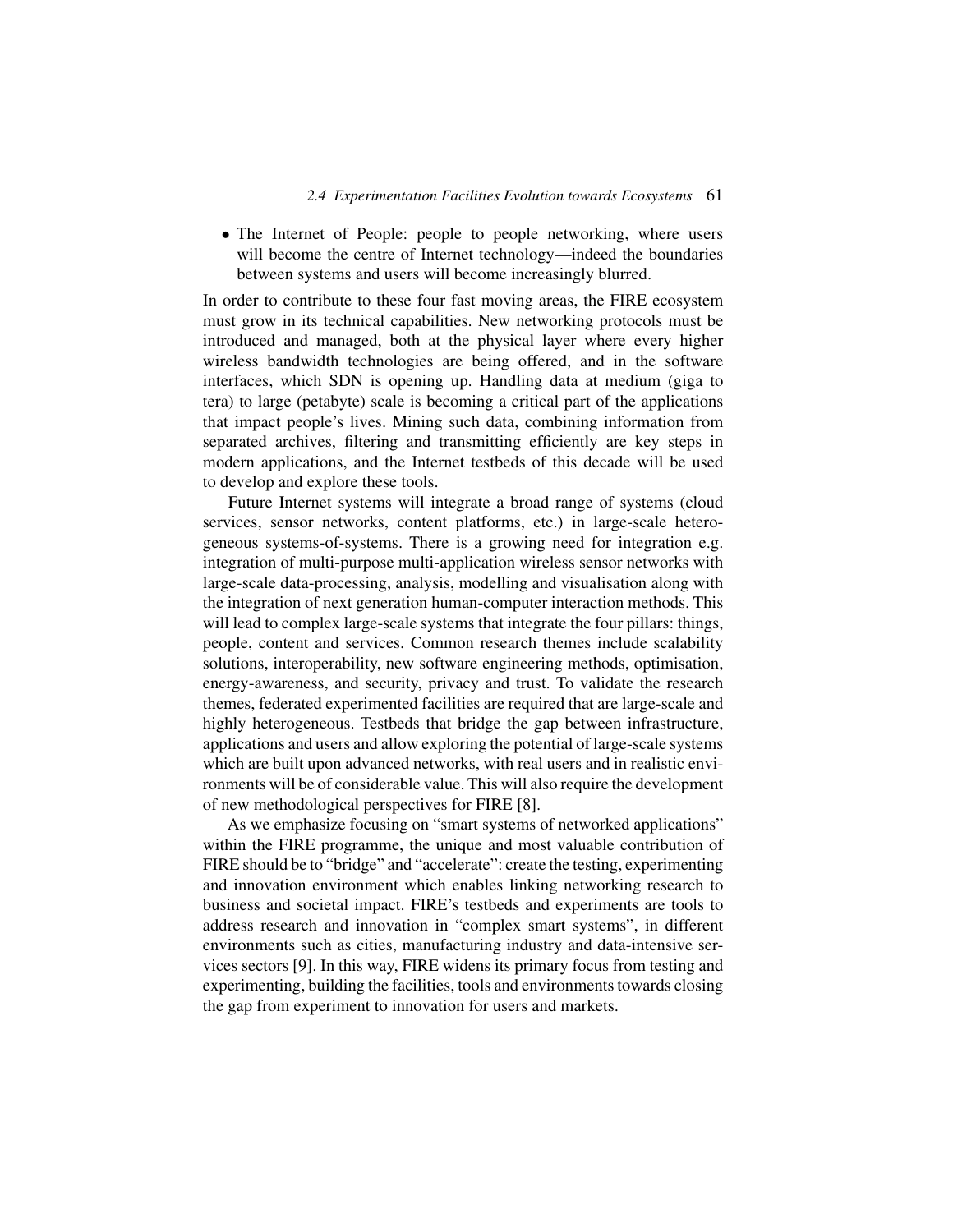• The Internet of People: people to people networking, where users will become the centre of Internet technology—indeed the boundaries between systems and users will become increasingly blurred.

In order to contribute to these four fast moving areas, the FIRE ecosystem must grow in its technical capabilities. New networking protocols must be introduced and managed, both at the physical layer where every higher wireless bandwidth technologies are being offered, and in the software interfaces, which SDN is opening up. Handling data at medium (giga to tera) to large (petabyte) scale is becoming a critical part of the applications that impact people's lives. Mining such data, combining information from separated archives, filtering and transmitting efficiently are key steps in modern applications, and the Internet testbeds of this decade will be used to develop and explore these tools.

Future Internet systems will integrate a broad range of systems (cloud services, sensor networks, content platforms, etc.) in large-scale heterogeneous systems-of-systems. There is a growing need for integration e.g. integration of multi-purpose multi-application wireless sensor networks with large-scale data-processing, analysis, modelling and visualisation along with the integration of next generation human-computer interaction methods. This will lead to complex large-scale systems that integrate the four pillars: things, people, content and services. Common research themes include scalability solutions, interoperability, new software engineering methods, optimisation, energy-awareness, and security, privacy and trust. To validate the research themes, federated experimented facilities are required that are large-scale and highly heterogeneous. Testbeds that bridge the gap between infrastructure, applications and users and allow exploring the potential of large-scale systems which are built upon advanced networks, with real users and in realistic environments will be of considerable value. This will also require the development of new methodological perspectives for FIRE [8].

As we emphasize focusing on "smart systems of networked applications" within the FIRE programme, the unique and most valuable contribution of FIRE should be to "bridge" and "accelerate": create the testing, experimenting and innovation environment which enables linking networking research to business and societal impact. FIRE's testbeds and experiments are tools to address research and innovation in "complex smart systems", in different environments such as cities, manufacturing industry and data-intensive services sectors [9]. In this way, FIRE widens its primary focus from testing and experimenting, building the facilities, tools and environments towards closing the gap from experiment to innovation for users and markets.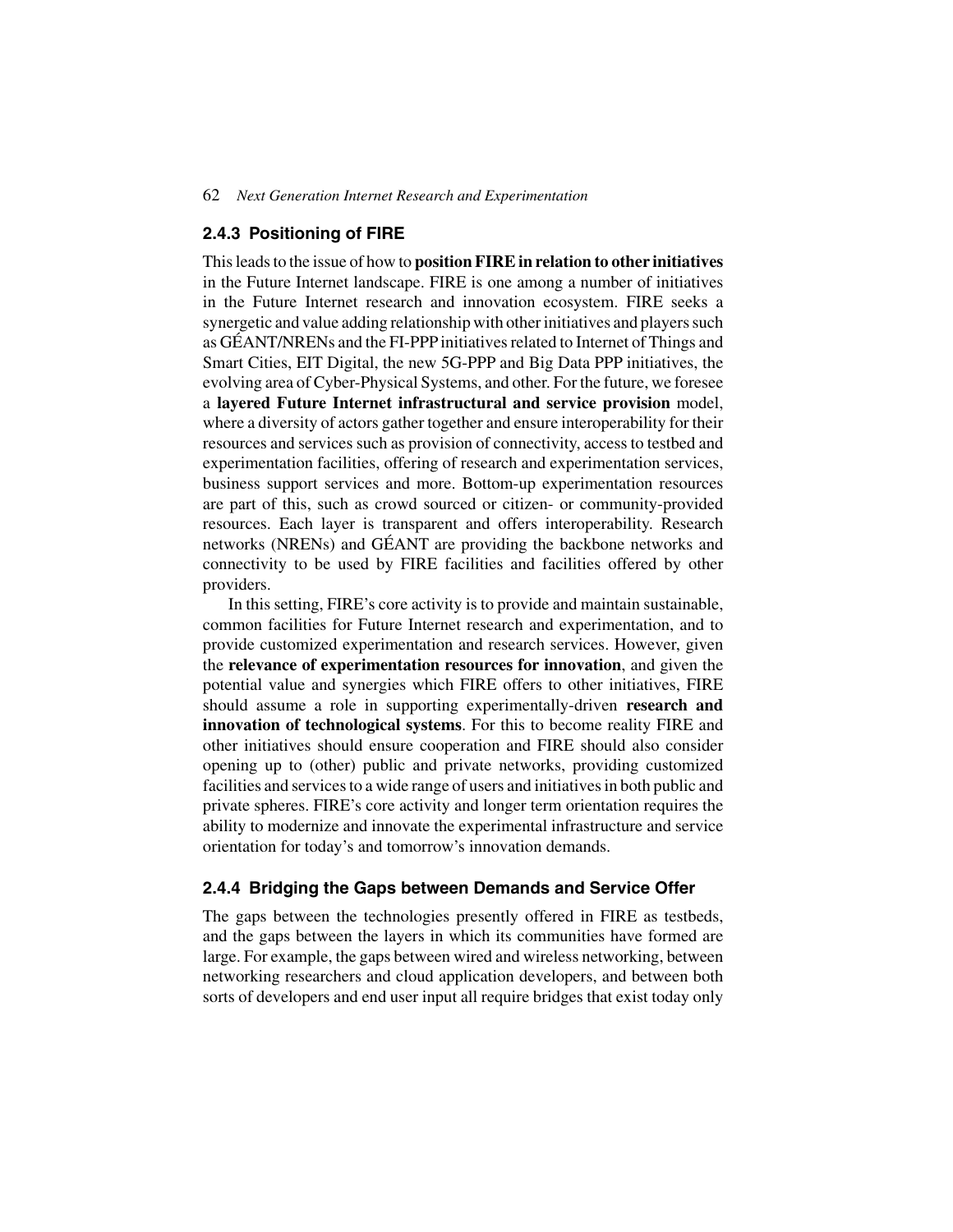#### **2.4.3 Positioning of FIRE**

This leads to the issue of how to **position FIRE in relation to other initiatives** in the Future Internet landscape. FIRE is one among a number of initiatives in the Future Internet research and innovation ecosystem. FIRE seeks a synergetic and value adding relationship with other initiatives and players such as GÉANT/NRENs and the FI-PPP initiatives related to Internet of Things and Smart Cities, EIT Digital, the new 5G-PPP and Big Data PPP initiatives, the evolving area of Cyber-Physical Systems, and other. For the future, we foresee a **layered Future Internet infrastructural and service provision** model, where a diversity of actors gather together and ensure interoperability for their resources and services such as provision of connectivity, access to testbed and experimentation facilities, offering of research and experimentation services, business support services and more. Bottom-up experimentation resources are part of this, such as crowd sourced or citizen- or community-provided resources. Each layer is transparent and offers interoperability. Research networks (NRENs) and GÉANT are providing the backbone networks and connectivity to be used by FIRE facilities and facilities offered by other providers.

In this setting, FIRE's core activity is to provide and maintain sustainable, common facilities for Future Internet research and experimentation, and to provide customized experimentation and research services. However, given the **relevance of experimentation resources for innovation**, and given the potential value and synergies which FIRE offers to other initiatives, FIRE should assume a role in supporting experimentally-driven **research and innovation of technological systems**. For this to become reality FIRE and other initiatives should ensure cooperation and FIRE should also consider opening up to (other) public and private networks, providing customized facilities and services to a wide range of users and initiatives in both public and private spheres. FIRE's core activity and longer term orientation requires the ability to modernize and innovate the experimental infrastructure and service orientation for today's and tomorrow's innovation demands.

#### **2.4.4 Bridging the Gaps between Demands and Service Offer**

The gaps between the technologies presently offered in FIRE as testbeds, and the gaps between the layers in which its communities have formed are large. For example, the gaps between wired and wireless networking, between networking researchers and cloud application developers, and between both sorts of developers and end user input all require bridges that exist today only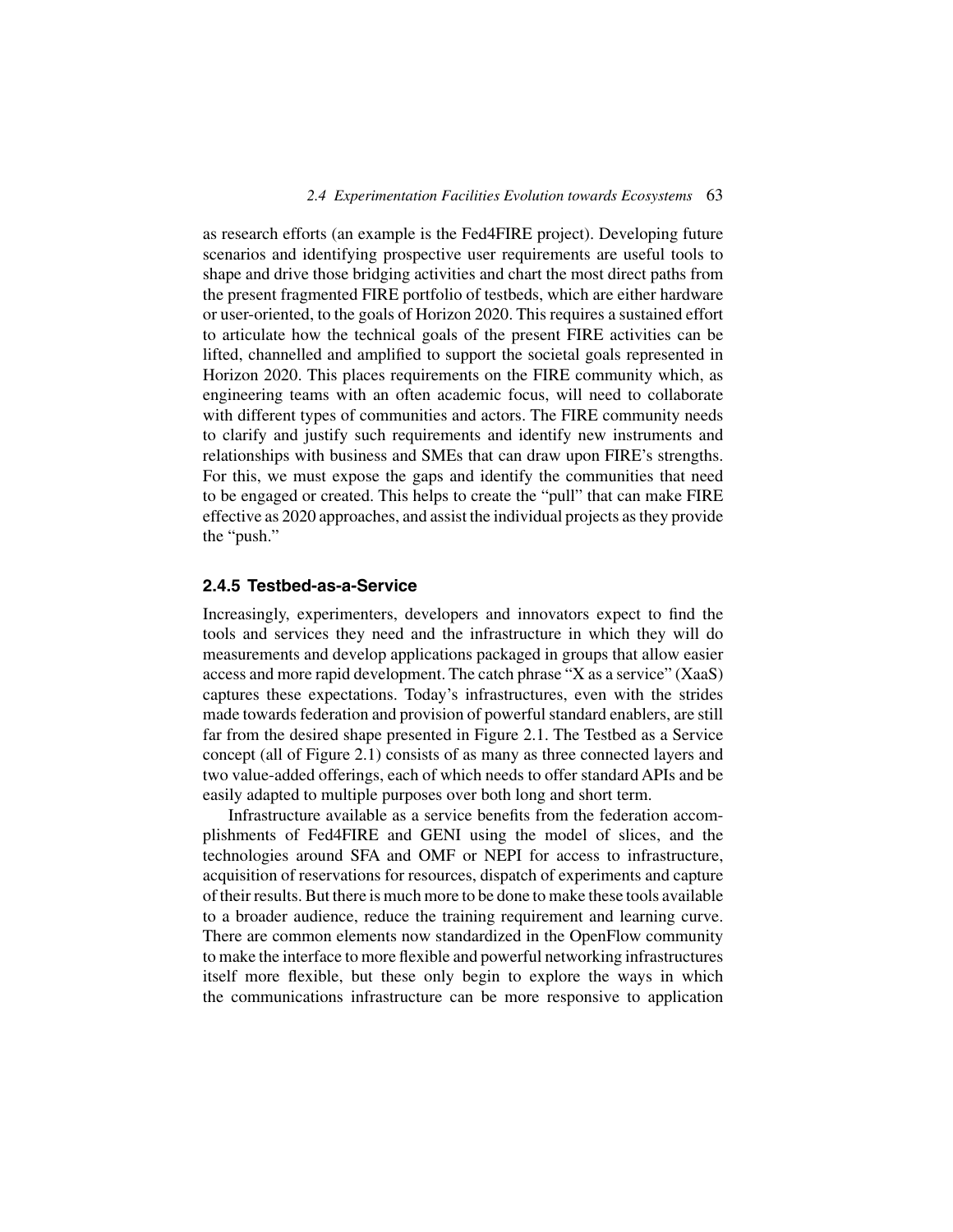as research efforts (an example is the Fed4FIRE project). Developing future scenarios and identifying prospective user requirements are useful tools to shape and drive those bridging activities and chart the most direct paths from the present fragmented FIRE portfolio of testbeds, which are either hardware or user-oriented, to the goals of Horizon 2020. This requires a sustained effort to articulate how the technical goals of the present FIRE activities can be lifted, channelled and amplified to support the societal goals represented in Horizon 2020. This places requirements on the FIRE community which, as engineering teams with an often academic focus, will need to collaborate with different types of communities and actors. The FIRE community needs to clarify and justify such requirements and identify new instruments and relationships with business and SMEs that can draw upon FIRE's strengths. For this, we must expose the gaps and identify the communities that need to be engaged or created. This helps to create the "pull" that can make FIRE effective as 2020 approaches, and assist the individual projects as they provide the "push."

#### **2.4.5 Testbed-as-a-Service**

Increasingly, experimenters, developers and innovators expect to find the tools and services they need and the infrastructure in which they will do measurements and develop applications packaged in groups that allow easier access and more rapid development. The catch phrase "X as a service" (XaaS) captures these expectations. Today's infrastructures, even with the strides made towards federation and provision of powerful standard enablers, are still far from the desired shape presented in Figure 2.1. The Testbed as a Service concept (all of Figure 2.1) consists of as many as three connected layers and two value-added offerings, each of which needs to offer standard APIs and be easily adapted to multiple purposes over both long and short term.

Infrastructure available as a service benefits from the federation accomplishments of Fed4FIRE and GENI using the model of slices, and the technologies around SFA and OMF or NEPI for access to infrastructure, acquisition of reservations for resources, dispatch of experiments and capture of their results. But there is much more to be done to make these tools available to a broader audience, reduce the training requirement and learning curve. There are common elements now standardized in the OpenFlow community to make the interface to more flexible and powerful networking infrastructures itself more flexible, but these only begin to explore the ways in which the communications infrastructure can be more responsive to application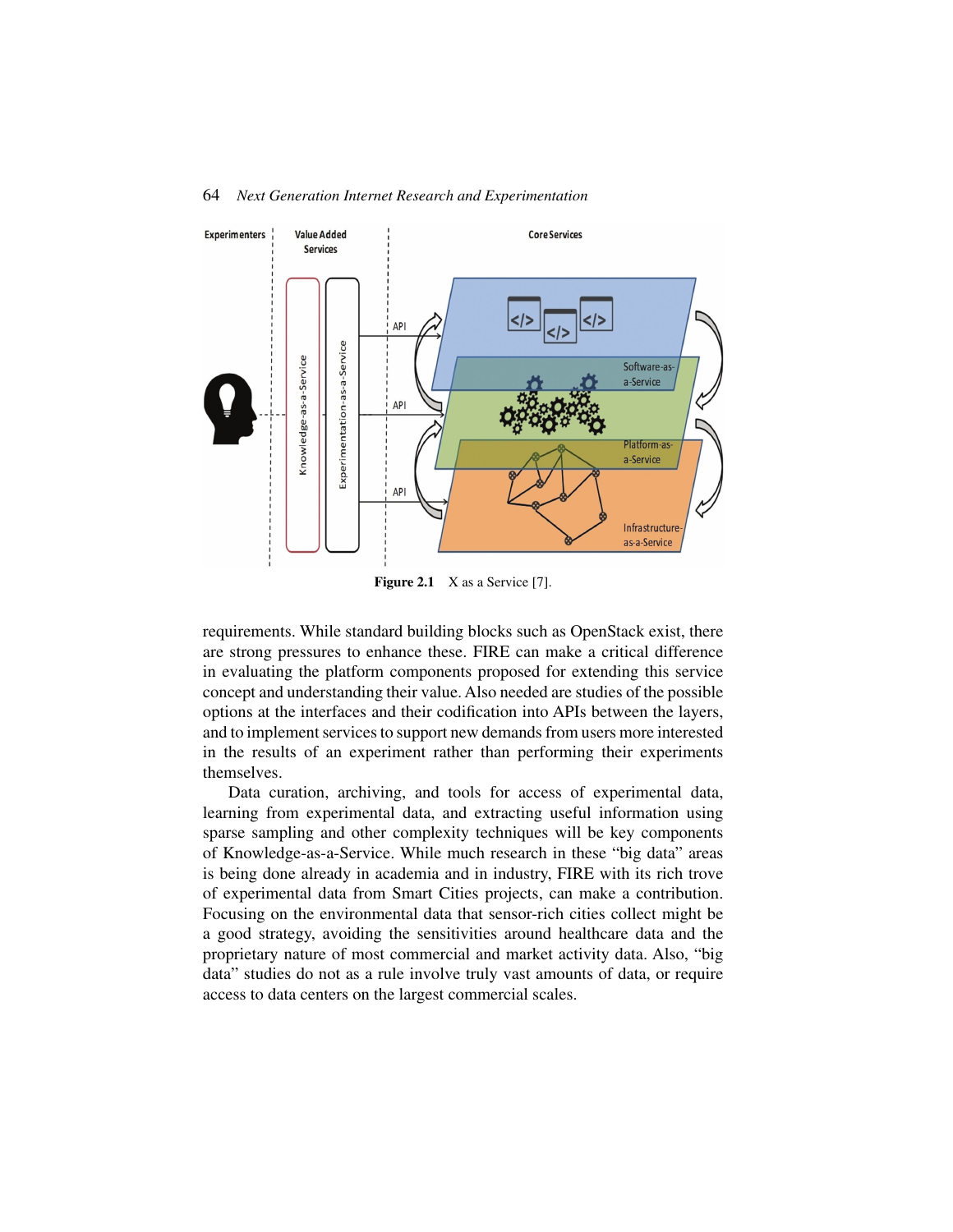# **Experimenters Value Added Core Services** Services API Experimentation-as-a-Service Knowledge-as-a-Service Software-asa-Service API Platform-as a-Service API Infrastructure as-a-Service

#### 64 *Next Generation Internet Research and Experimentation*

Figure 2.1 X as a Service [7].

requirements. While standard building blocks such as OpenStack exist, there are strong pressures to enhance these. FIRE can make a critical difference in evaluating the platform components proposed for extending this service concept and understanding their value. Also needed are studies of the possible options at the interfaces and their codification into APIs between the layers, and to implement services to support new demands from users more interested in the results of an experiment rather than performing their experiments themselves.

Data curation, archiving, and tools for access of experimental data, learning from experimental data, and extracting useful information using sparse sampling and other complexity techniques will be key components of Knowledge-as-a-Service. While much research in these "big data" areas is being done already in academia and in industry, FIRE with its rich trove of experimental data from Smart Cities projects, can make a contribution. Focusing on the environmental data that sensor-rich cities collect might be a good strategy, avoiding the sensitivities around healthcare data and the proprietary nature of most commercial and market activity data. Also, "big data" studies do not as a rule involve truly vast amounts of data, or require access to data centers on the largest commercial scales.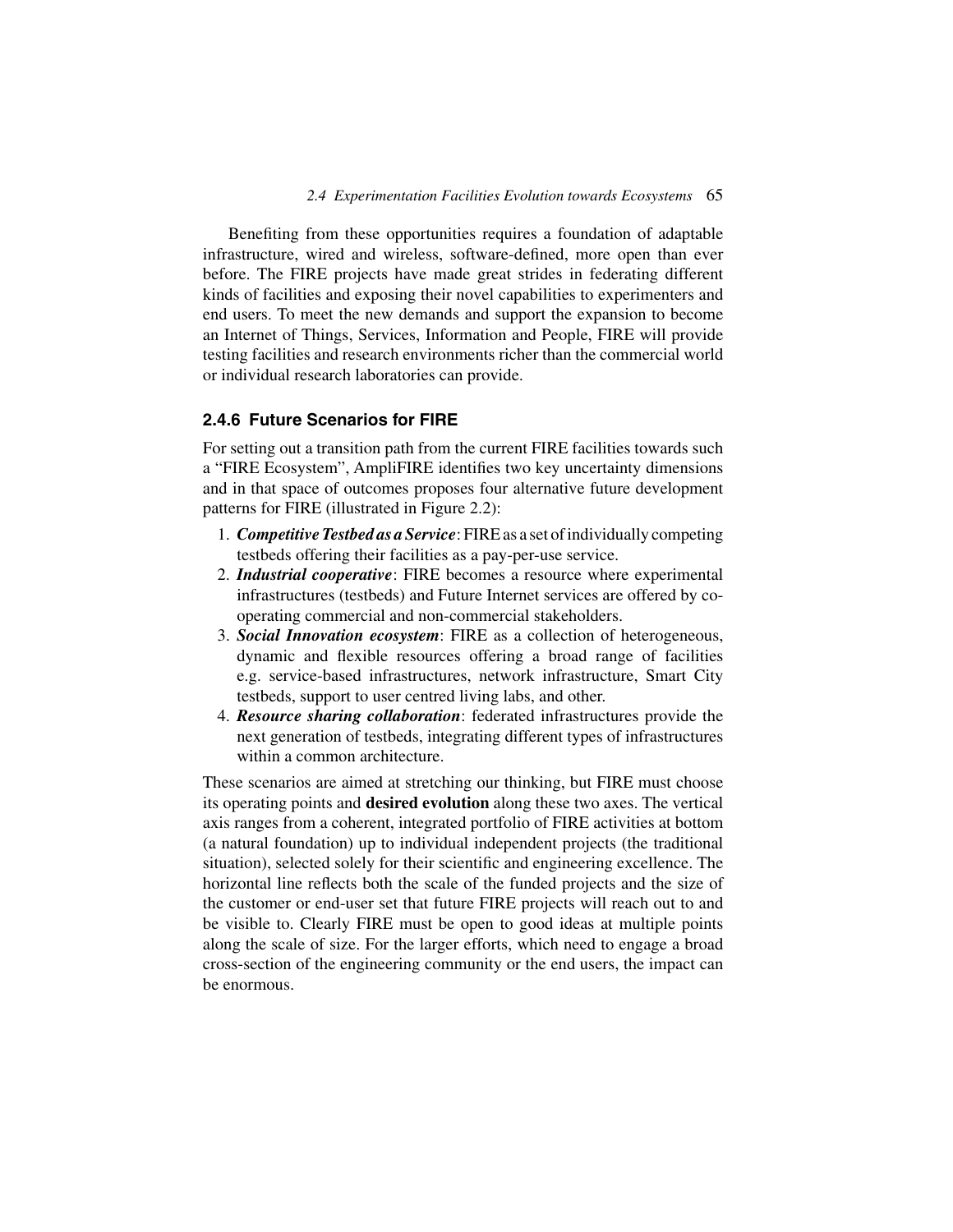Benefiting from these opportunities requires a foundation of adaptable infrastructure, wired and wireless, software-defined, more open than ever before. The FIRE projects have made great strides in federating different kinds of facilities and exposing their novel capabilities to experimenters and end users. To meet the new demands and support the expansion to become an Internet of Things, Services, Information and People, FIRE will provide testing facilities and research environments richer than the commercial world or individual research laboratories can provide.

## **2.4.6 Future Scenarios for FIRE**

For setting out a transition path from the current FIRE facilities towards such a "FIRE Ecosystem", AmpliFIRE identifies two key uncertainty dimensions and in that space of outcomes proposes four alternative future development patterns for FIRE (illustrated in Figure 2.2):

- 1. *Competitive Testbed as a Service*: FIRE as a set of individually competing testbeds offering their facilities as a pay-per-use service.
- 2. *Industrial cooperative*: FIRE becomes a resource where experimental infrastructures (testbeds) and Future Internet services are offered by cooperating commercial and non-commercial stakeholders.
- 3. *Social Innovation ecosystem*: FIRE as a collection of heterogeneous, dynamic and flexible resources offering a broad range of facilities e.g. service-based infrastructures, network infrastructure, Smart City testbeds, support to user centred living labs, and other.
- 4. *Resource sharing collaboration*: federated infrastructures provide the next generation of testbeds, integrating different types of infrastructures within a common architecture.

These scenarios are aimed at stretching our thinking, but FIRE must choose its operating points and **desired evolution** along these two axes. The vertical axis ranges from a coherent, integrated portfolio of FIRE activities at bottom (a natural foundation) up to individual independent projects (the traditional situation), selected solely for their scientific and engineering excellence. The horizontal line reflects both the scale of the funded projects and the size of the customer or end-user set that future FIRE projects will reach out to and be visible to. Clearly FIRE must be open to good ideas at multiple points along the scale of size. For the larger efforts, which need to engage a broad cross-section of the engineering community or the end users, the impact can be enormous.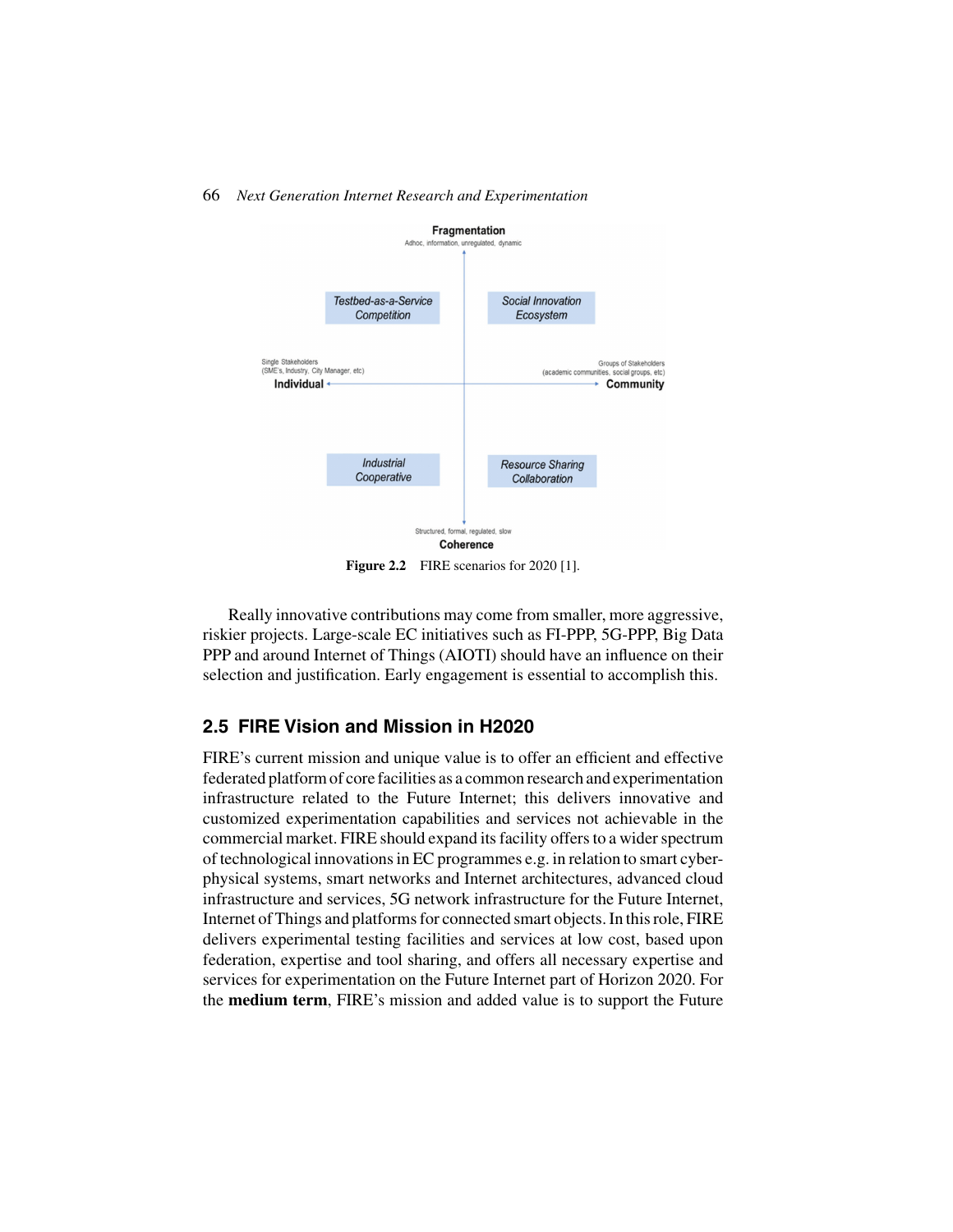

**Figure 2.2** FIRE scenarios for 2020 [1].

Really innovative contributions may come from smaller, more aggressive, riskier projects. Large-scale EC initiatives such as FI-PPP, 5G-PPP, Big Data PPP and around Internet of Things (AIOTI) should have an influence on their selection and justification. Early engagement is essential to accomplish this.

## **2.5 FIRE Vision and Mission in H2020**

FIRE's current mission and unique value is to offer an efficient and effective federated platform of core facilities as a common research and experimentation infrastructure related to the Future Internet; this delivers innovative and customized experimentation capabilities and services not achievable in the commercial market. FIRE should expand its facility offers to a wider spectrum of technological innovations in EC programmes e.g. in relation to smart cyberphysical systems, smart networks and Internet architectures, advanced cloud infrastructure and services, 5G network infrastructure for the Future Internet, Internet of Things and platforms for connected smart objects. In this role, FIRE delivers experimental testing facilities and services at low cost, based upon federation, expertise and tool sharing, and offers all necessary expertise and services for experimentation on the Future Internet part of Horizon 2020. For the **medium term**, FIRE's mission and added value is to support the Future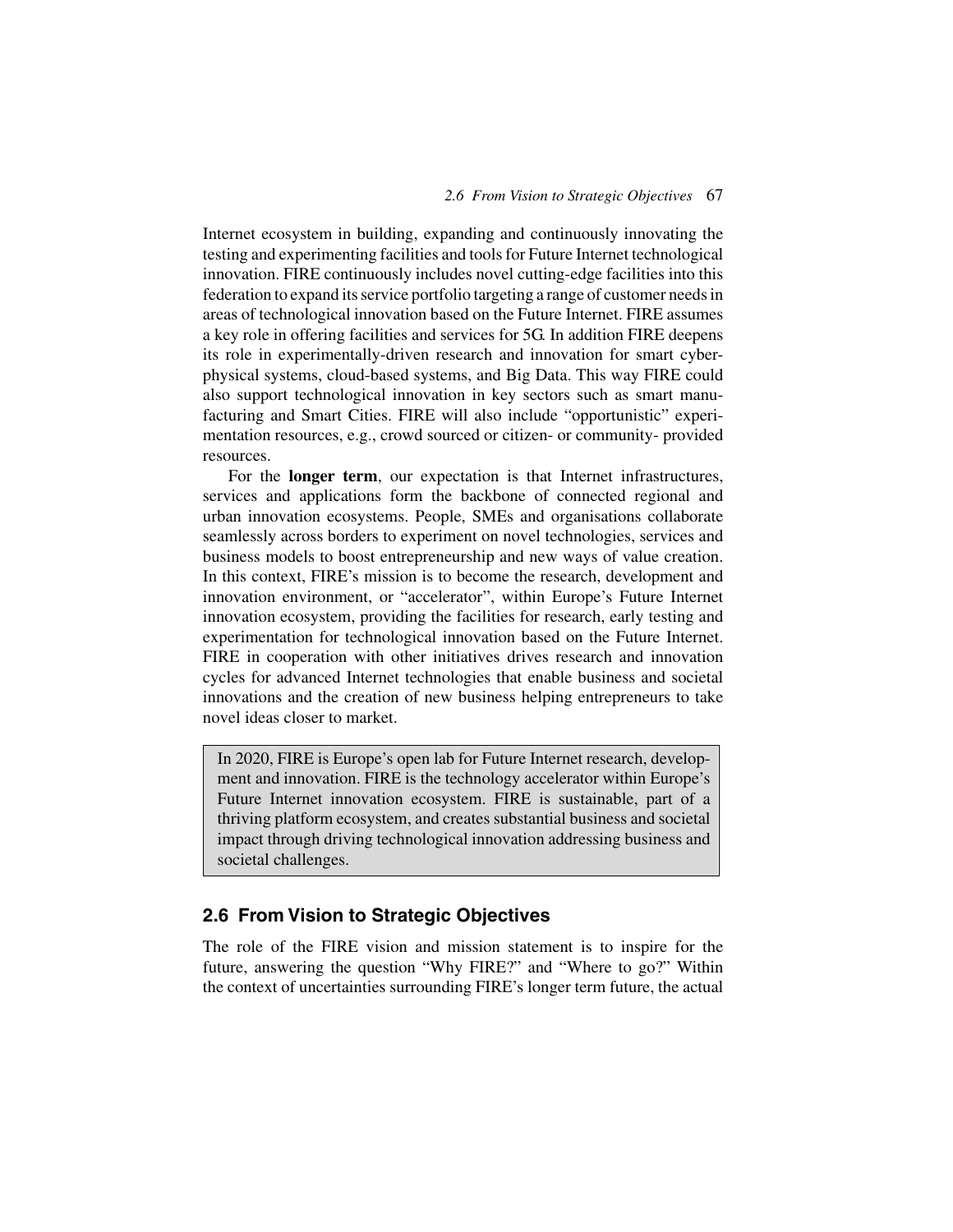Internet ecosystem in building, expanding and continuously innovating the testing and experimenting facilities and tools for Future Internet technological innovation. FIRE continuously includes novel cutting-edge facilities into this federation to expand its service portfolio targeting a range of customer needs in areas of technological innovation based on the Future Internet. FIRE assumes a key role in offering facilities and services for 5G. In addition FIRE deepens its role in experimentally-driven research and innovation for smart cyberphysical systems, cloud-based systems, and Big Data. This way FIRE could also support technological innovation in key sectors such as smart manufacturing and Smart Cities. FIRE will also include "opportunistic" experimentation resources, e.g., crowd sourced or citizen- or community- provided resources.

For the **longer term**, our expectation is that Internet infrastructures, services and applications form the backbone of connected regional and urban innovation ecosystems. People, SMEs and organisations collaborate seamlessly across borders to experiment on novel technologies, services and business models to boost entrepreneurship and new ways of value creation. In this context, FIRE's mission is to become the research, development and innovation environment, or "accelerator", within Europe's Future Internet innovation ecosystem, providing the facilities for research, early testing and experimentation for technological innovation based on the Future Internet. FIRE in cooperation with other initiatives drives research and innovation cycles for advanced Internet technologies that enable business and societal innovations and the creation of new business helping entrepreneurs to take novel ideas closer to market.

In 2020, FIRE is Europe's open lab for Future Internet research, development and innovation. FIRE is the technology accelerator within Europe's Future Internet innovation ecosystem. FIRE is sustainable, part of a thriving platform ecosystem, and creates substantial business and societal impact through driving technological innovation addressing business and societal challenges.

## **2.6 From Vision to Strategic Objectives**

The role of the FIRE vision and mission statement is to inspire for the future, answering the question "Why FIRE?" and "Where to go?" Within the context of uncertainties surrounding FIRE's longer term future, the actual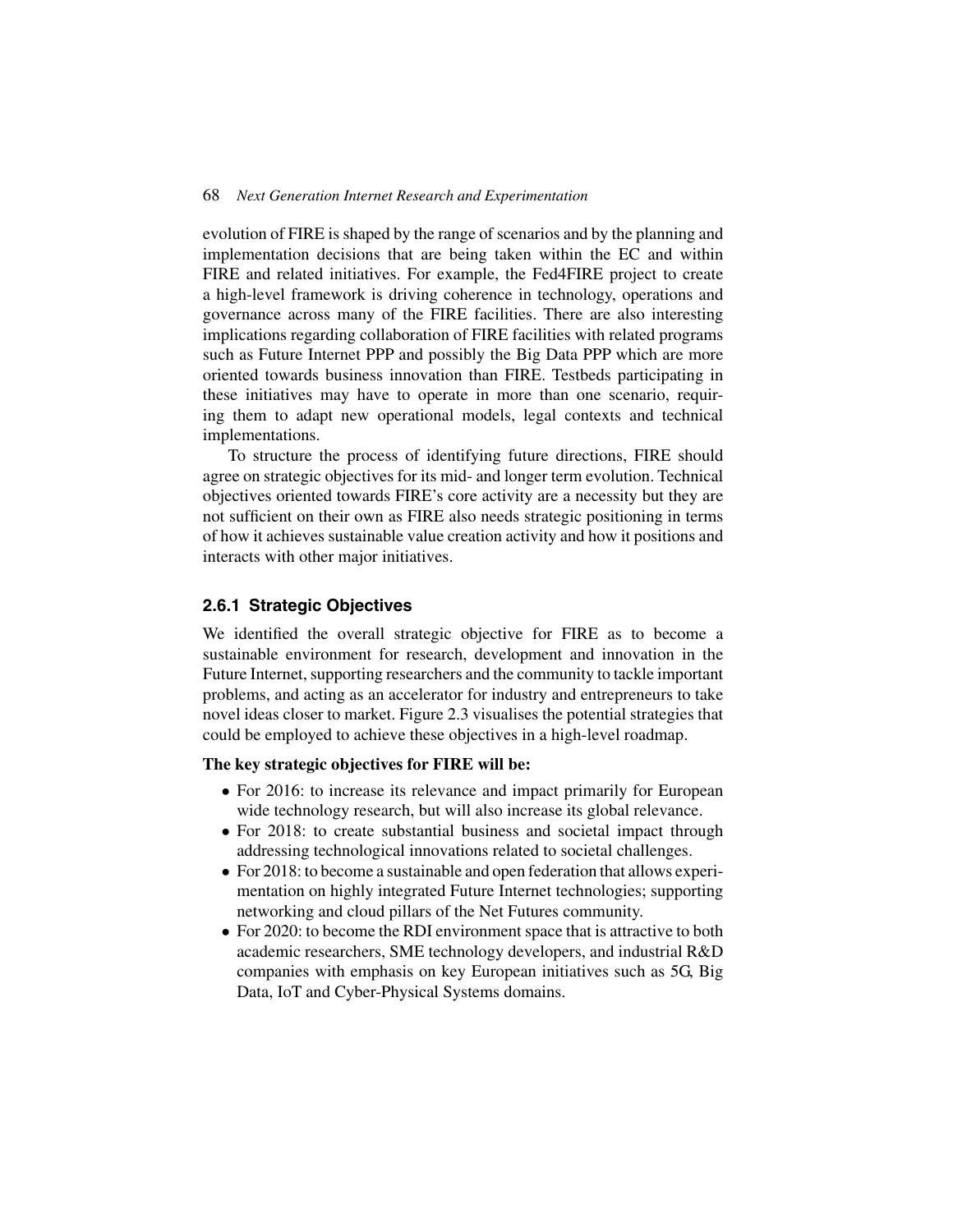evolution of FIRE is shaped by the range of scenarios and by the planning and implementation decisions that are being taken within the EC and within FIRE and related initiatives. For example, the Fed4FIRE project to create a high-level framework is driving coherence in technology, operations and governance across many of the FIRE facilities. There are also interesting implications regarding collaboration of FIRE facilities with related programs such as Future Internet PPP and possibly the Big Data PPP which are more oriented towards business innovation than FIRE. Testbeds participating in these initiatives may have to operate in more than one scenario, requiring them to adapt new operational models, legal contexts and technical implementations.

To structure the process of identifying future directions, FIRE should agree on strategic objectives for its mid- and longer term evolution. Technical objectives oriented towards FIRE's core activity are a necessity but they are not sufficient on their own as FIRE also needs strategic positioning in terms of how it achieves sustainable value creation activity and how it positions and interacts with other major initiatives.

#### **2.6.1 Strategic Objectives**

We identified the overall strategic objective for FIRE as to become a sustainable environment for research, development and innovation in the Future Internet, supporting researchers and the community to tackle important problems, and acting as an accelerator for industry and entrepreneurs to take novel ideas closer to market. Figure 2.3 visualises the potential strategies that could be employed to achieve these objectives in a high-level roadmap.

## **The key strategic objectives for FIRE will be:**

- For 2016: to increase its relevance and impact primarily for European wide technology research, but will also increase its global relevance.
- For 2018: to create substantial business and societal impact through addressing technological innovations related to societal challenges.
- For 2018: to become a sustainable and open federation that allows experimentation on highly integrated Future Internet technologies; supporting networking and cloud pillars of the Net Futures community.
- For 2020: to become the RDI environment space that is attractive to both academic researchers, SME technology developers, and industrial R&D companies with emphasis on key European initiatives such as 5G, Big Data, IoT and Cyber-Physical Systems domains.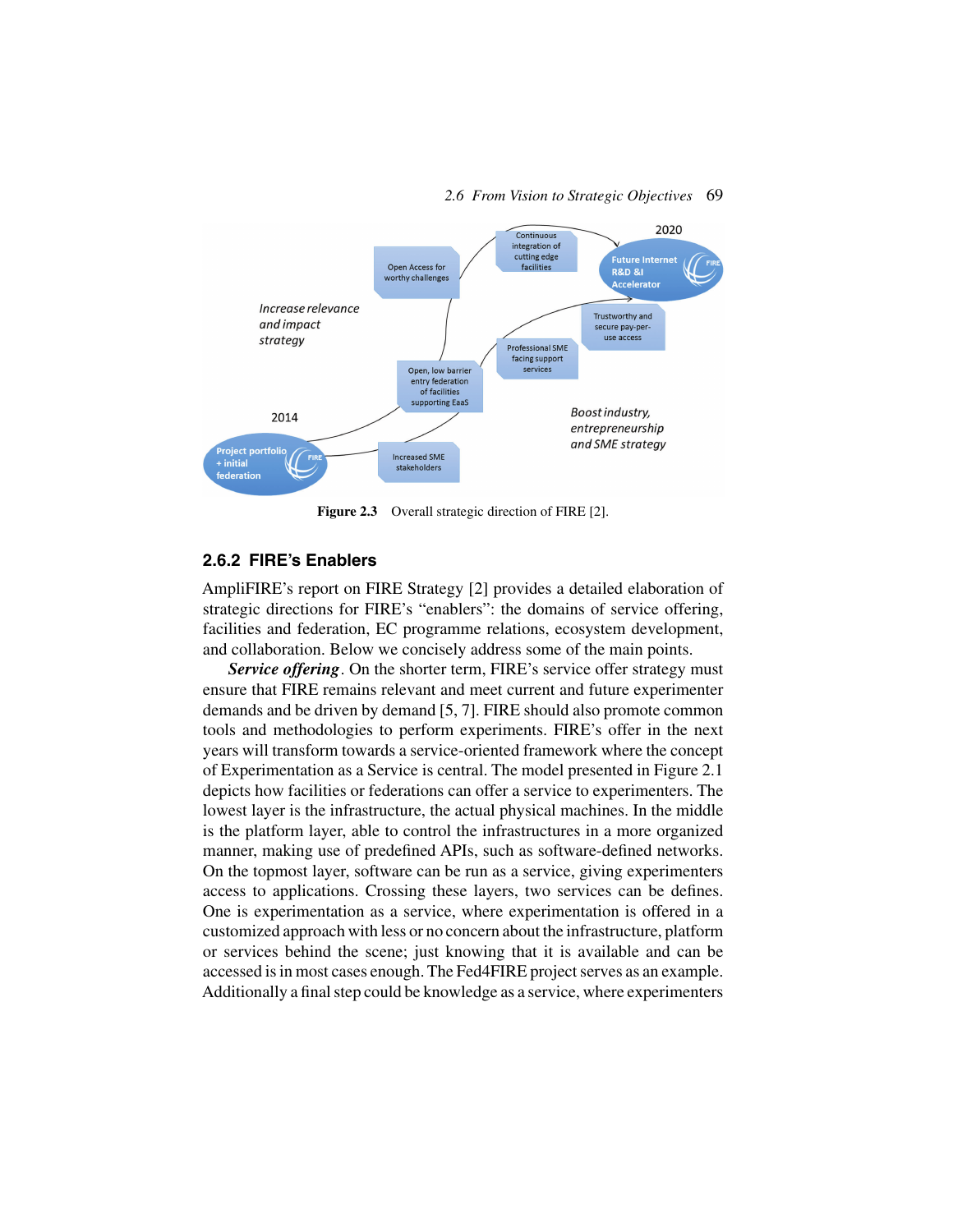#### *2.6 From Vision to Strategic Objectives* 69



**Figure 2.3** Overall strategic direction of FIRE [2].

#### **2.6.2 FIRE's Enablers**

AmpliFIRE's report on FIRE Strategy [2] provides a detailed elaboration of strategic directions for FIRE's "enablers": the domains of service offering, facilities and federation, EC programme relations, ecosystem development, and collaboration. Below we concisely address some of the main points.

*Service offering*. On the shorter term, FIRE's service offer strategy must ensure that FIRE remains relevant and meet current and future experimenter demands and be driven by demand [5, 7]. FIRE should also promote common tools and methodologies to perform experiments. FIRE's offer in the next years will transform towards a service-oriented framework where the concept of Experimentation as a Service is central. The model presented in Figure 2.1 depicts how facilities or federations can offer a service to experimenters. The lowest layer is the infrastructure, the actual physical machines. In the middle is the platform layer, able to control the infrastructures in a more organized manner, making use of predefined APIs, such as software-defined networks. On the topmost layer, software can be run as a service, giving experimenters access to applications. Crossing these layers, two services can be defines. One is experimentation as a service, where experimentation is offered in a customized approach with less or no concern about the infrastructure, platform or services behind the scene; just knowing that it is available and can be accessed is in most cases enough. The Fed4FIRE project serves as an example. Additionally a final step could be knowledge as a service, where experimenters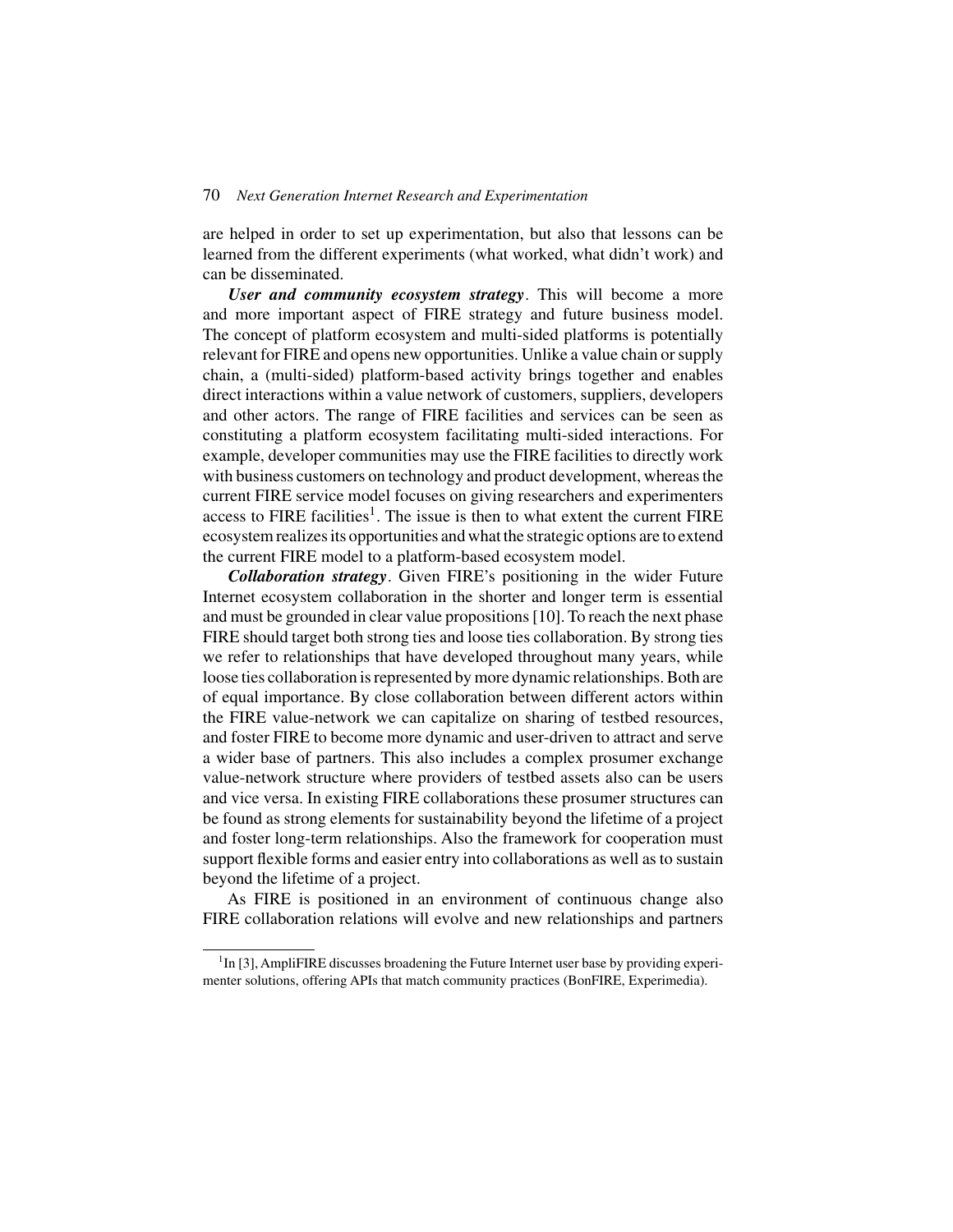are helped in order to set up experimentation, but also that lessons can be learned from the different experiments (what worked, what didn't work) and can be disseminated.

*User and community ecosystem strategy*. This will become a more and more important aspect of FIRE strategy and future business model. The concept of platform ecosystem and multi-sided platforms is potentially relevant for FIRE and opens new opportunities. Unlike a value chain or supply chain, a (multi-sided) platform-based activity brings together and enables direct interactions within a value network of customers, suppliers, developers and other actors. The range of FIRE facilities and services can be seen as constituting a platform ecosystem facilitating multi-sided interactions. For example, developer communities may use the FIRE facilities to directly work with business customers on technology and product development, whereas the current FIRE service model focuses on giving researchers and experimenters access to FIRE facilities<sup>1</sup>. The issue is then to what extent the current FIRE ecosystem realizes its opportunities and what the strategic options are to extend the current FIRE model to a platform-based ecosystem model.

*Collaboration strategy*. Given FIRE's positioning in the wider Future Internet ecosystem collaboration in the shorter and longer term is essential and must be grounded in clear value propositions [10]. To reach the next phase FIRE should target both strong ties and loose ties collaboration. By strong ties we refer to relationships that have developed throughout many years, while loose ties collaboration is represented by more dynamic relationships. Both are of equal importance. By close collaboration between different actors within the FIRE value-network we can capitalize on sharing of testbed resources, and foster FIRE to become more dynamic and user-driven to attract and serve a wider base of partners. This also includes a complex prosumer exchange value-network structure where providers of testbed assets also can be users and vice versa. In existing FIRE collaborations these prosumer structures can be found as strong elements for sustainability beyond the lifetime of a project and foster long-term relationships. Also the framework for cooperation must support flexible forms and easier entry into collaborations as well as to sustain beyond the lifetime of a project.

As FIRE is positioned in an environment of continuous change also FIRE collaboration relations will evolve and new relationships and partners

 $1$ In [3], AmpliFIRE discusses broadening the Future Internet user base by providing experimenter solutions, offering APIs that match community practices (BonFIRE, Experimedia).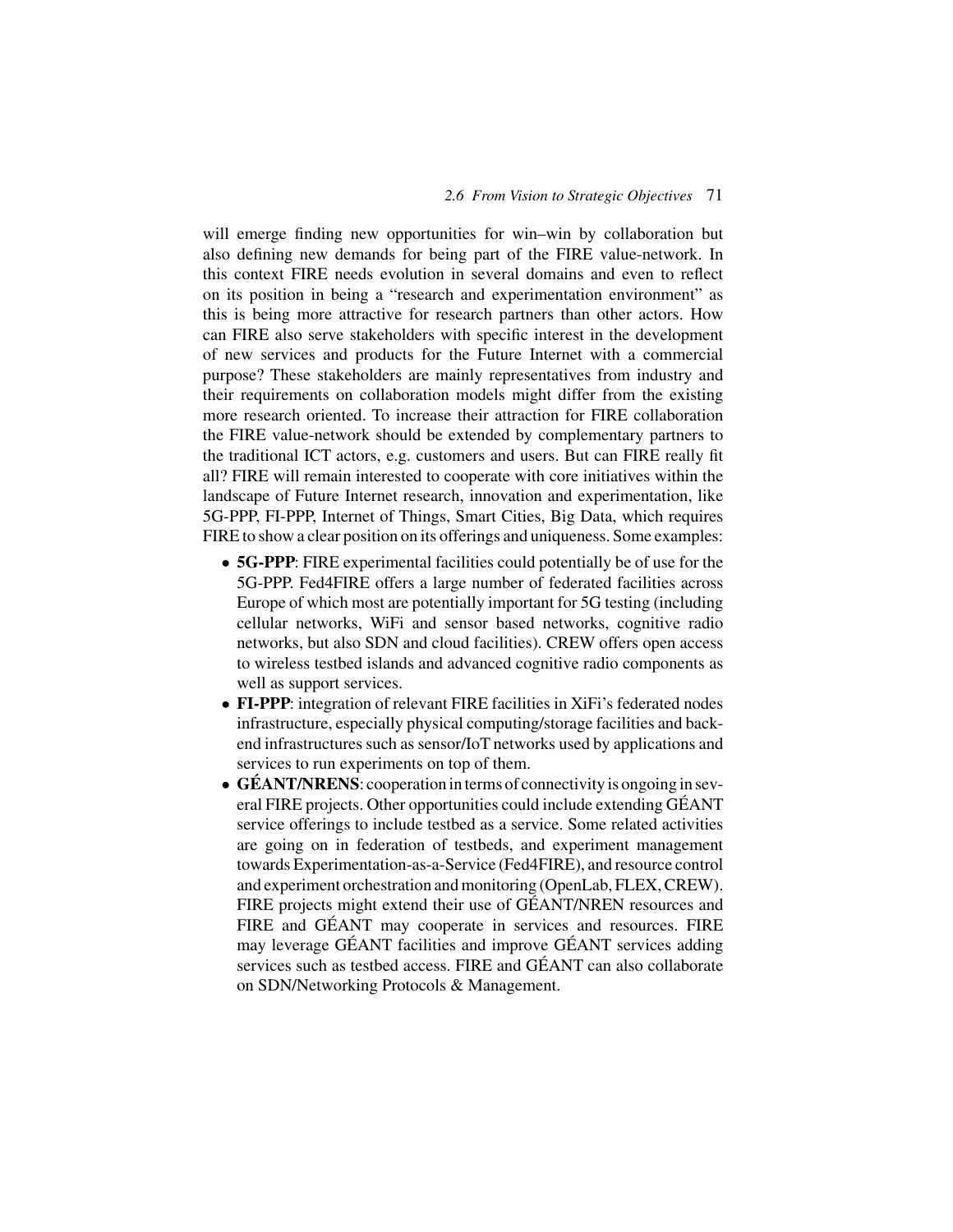will emerge finding new opportunities for win–win by collaboration but also defining new demands for being part of the FIRE value-network. In this context FIRE needs evolution in several domains and even to reflect on its position in being a "research and experimentation environment" as this is being more attractive for research partners than other actors. How can FIRE also serve stakeholders with specific interest in the development of new services and products for the Future Internet with a commercial purpose? These stakeholders are mainly representatives from industry and their requirements on collaboration models might differ from the existing more research oriented. To increase their attraction for FIRE collaboration the FIRE value-network should be extended by complementary partners to the traditional ICT actors, e.g. customers and users. But can FIRE really fit all? FIRE will remain interested to cooperate with core initiatives within the landscape of Future Internet research, innovation and experimentation, like 5G-PPP, FI-PPP, Internet of Things, Smart Cities, Big Data, which requires FIRE to show a clear position on its offerings and uniqueness. Some examples:

- **5G-PPP**: FIRE experimental facilities could potentially be of use for the 5G-PPP. Fed4FIRE offers a large number of federated facilities across Europe of which most are potentially important for 5G testing (including cellular networks, WiFi and sensor based networks, cognitive radio networks, but also SDN and cloud facilities). CREW offers open access to wireless testbed islands and advanced cognitive radio components as well as support services.
- **FI-PPP**: integration of relevant FIRE facilities in XiFi's federated nodes infrastructure, especially physical computing/storage facilities and backend infrastructures such as sensor/IoT networks used by applications and services to run experiments on top of them.
- **GÉANT/NRENS**: cooperation in terms of connectivity is ongoing in several FIRE projects. Other opportunities could include extending GÉANT service offerings to include testbed as a service. Some related activities are going on in federation of testbeds, and experiment management towards Experimentation-as-a-Service (Fed4FIRE), and resource control and experiment orchestration and monitoring (OpenLab, FLEX, CREW). FIRE projects might extend their use of GÉANT/NREN resources and FIRE and GÉANT may cooperate in services and resources. FIRE may leverage GÉANT facilities and improve GÉANT services adding services such as testbed access. FIRE and GÉANT can also collaborate on SDN/Networking Protocols & Management.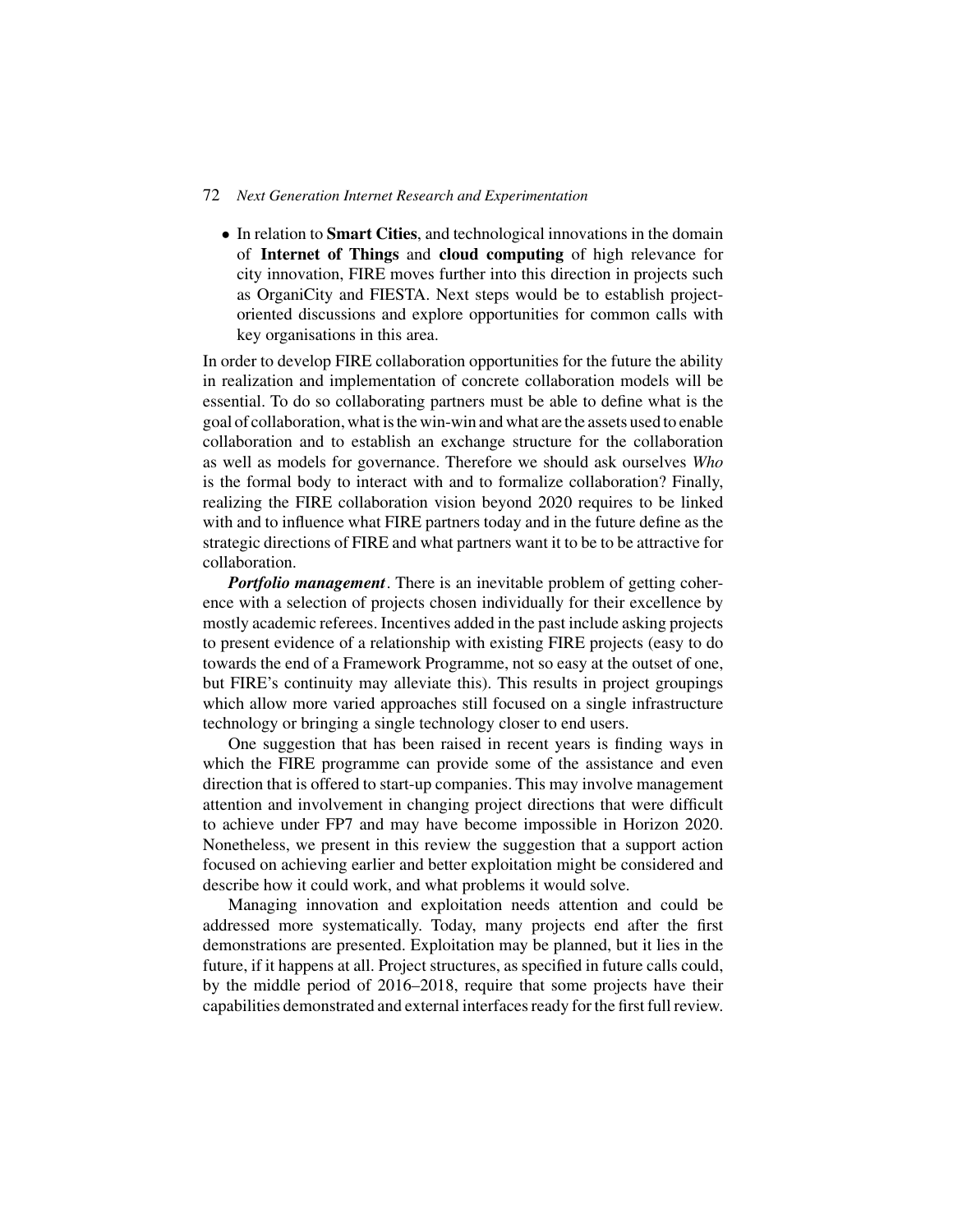• In relation to **Smart Cities**, and technological innovations in the domain of **Internet of Things** and **cloud computing** of high relevance for city innovation, FIRE moves further into this direction in projects such as OrganiCity and FIESTA. Next steps would be to establish projectoriented discussions and explore opportunities for common calls with key organisations in this area.

In order to develop FIRE collaboration opportunities for the future the ability in realization and implementation of concrete collaboration models will be essential. To do so collaborating partners must be able to define what is the goal of collaboration, what is the win-win and what are the assets used to enable collaboration and to establish an exchange structure for the collaboration as well as models for governance. Therefore we should ask ourselves *Who* is the formal body to interact with and to formalize collaboration? Finally, realizing the FIRE collaboration vision beyond 2020 requires to be linked with and to influence what FIRE partners today and in the future define as the strategic directions of FIRE and what partners want it to be to be attractive for collaboration.

*Portfolio management*. There is an inevitable problem of getting coherence with a selection of projects chosen individually for their excellence by mostly academic referees. Incentives added in the past include asking projects to present evidence of a relationship with existing FIRE projects (easy to do towards the end of a Framework Programme, not so easy at the outset of one, but FIRE's continuity may alleviate this). This results in project groupings which allow more varied approaches still focused on a single infrastructure technology or bringing a single technology closer to end users.

One suggestion that has been raised in recent years is finding ways in which the FIRE programme can provide some of the assistance and even direction that is offered to start-up companies. This may involve management attention and involvement in changing project directions that were difficult to achieve under FP7 and may have become impossible in Horizon 2020. Nonetheless, we present in this review the suggestion that a support action focused on achieving earlier and better exploitation might be considered and describe how it could work, and what problems it would solve.

Managing innovation and exploitation needs attention and could be addressed more systematically. Today, many projects end after the first demonstrations are presented. Exploitation may be planned, but it lies in the future, if it happens at all. Project structures, as specified in future calls could, by the middle period of 2016–2018, require that some projects have their capabilities demonstrated and external interfaces ready for the first full review.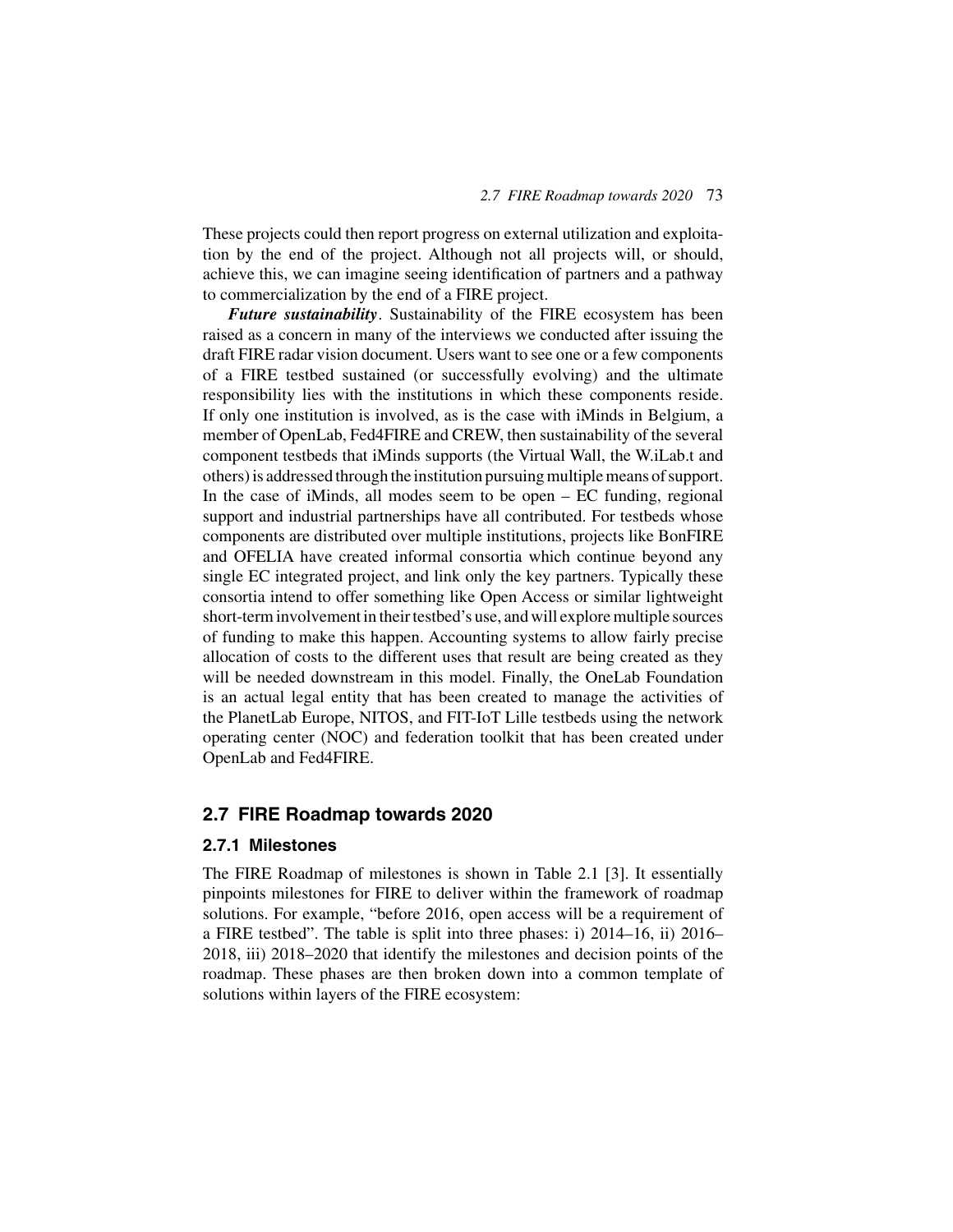These projects could then report progress on external utilization and exploitation by the end of the project. Although not all projects will, or should, achieve this, we can imagine seeing identification of partners and a pathway to commercialization by the end of a FIRE project.

*Future sustainability*. Sustainability of the FIRE ecosystem has been raised as a concern in many of the interviews we conducted after issuing the draft FIRE radar vision document. Users want to see one or a few components of a FIRE testbed sustained (or successfully evolving) and the ultimate responsibility lies with the institutions in which these components reside. If only one institution is involved, as is the case with iMinds in Belgium, a member of OpenLab, Fed4FIRE and CREW, then sustainability of the several component testbeds that iMinds supports (the Virtual Wall, the W.iLab.t and others) is addressed through the institution pursuing multiple means of support. In the case of iMinds, all modes seem to be open – EC funding, regional support and industrial partnerships have all contributed. For testbeds whose components are distributed over multiple institutions, projects like BonFIRE and OFELIA have created informal consortia which continue beyond any single EC integrated project, and link only the key partners. Typically these consortia intend to offer something like Open Access or similar lightweight short-term involvement in their testbed's use, and will explore multiple sources of funding to make this happen. Accounting systems to allow fairly precise allocation of costs to the different uses that result are being created as they will be needed downstream in this model. Finally, the OneLab Foundation is an actual legal entity that has been created to manage the activities of the PlanetLab Europe, NITOS, and FIT-IoT Lille testbeds using the network operating center (NOC) and federation toolkit that has been created under OpenLab and Fed4FIRE.

## **2.7 FIRE Roadmap towards 2020**

## **2.7.1 Milestones**

The FIRE Roadmap of milestones is shown in Table 2.1 [3]. It essentially pinpoints milestones for FIRE to deliver within the framework of roadmap solutions. For example, "before 2016, open access will be a requirement of a FIRE testbed". The table is split into three phases: i) 2014–16, ii) 2016– 2018, iii) 2018–2020 that identify the milestones and decision points of the roadmap. These phases are then broken down into a common template of solutions within layers of the FIRE ecosystem: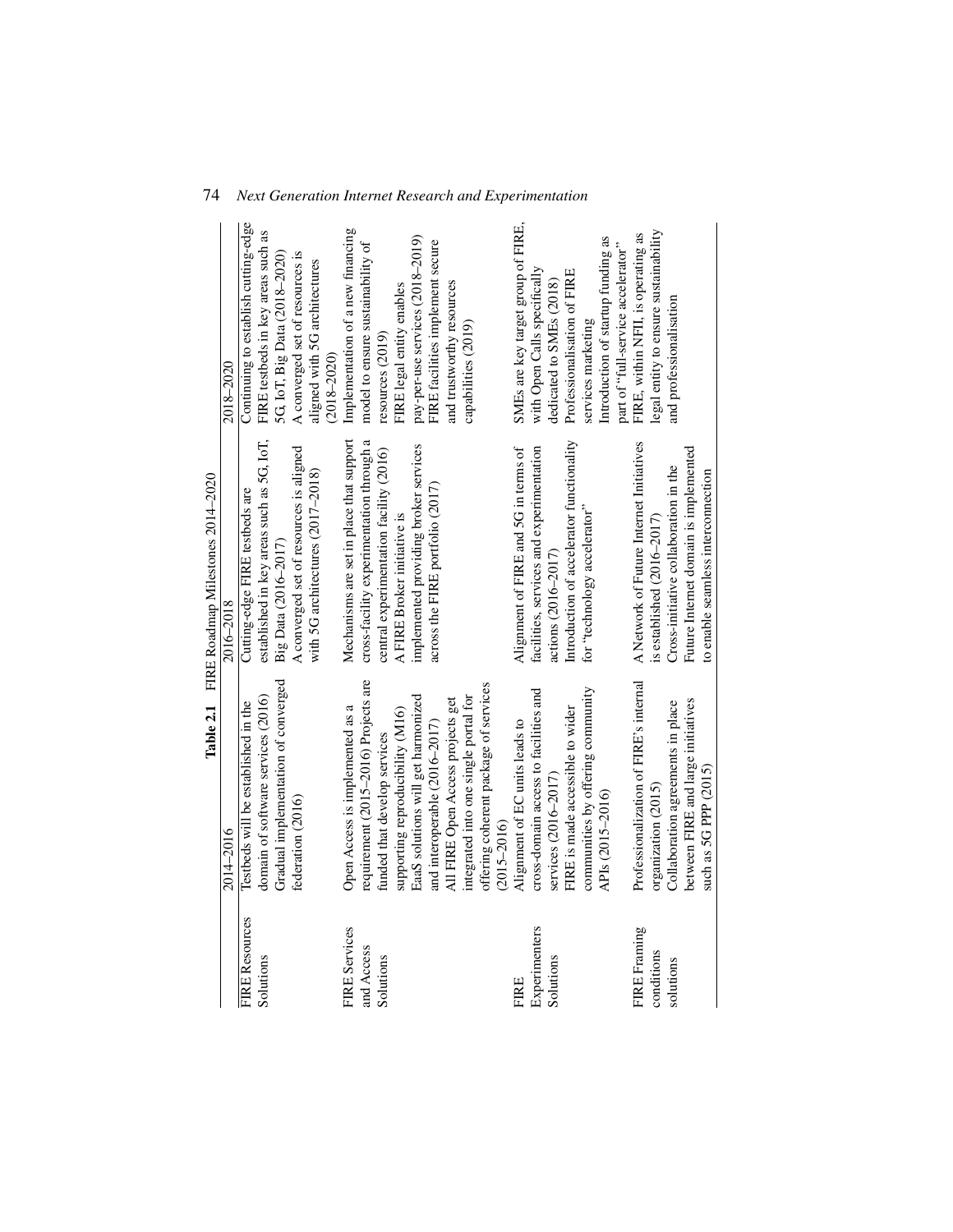|                       | Table 2.1                              | FIRE Roadmap Milestones 2014-2020         |                                       |
|-----------------------|----------------------------------------|-------------------------------------------|---------------------------------------|
|                       | 2014-2016                              | 2016-2018                                 | 2018-2020                             |
| <b>FIRE Resources</b> | Testbeds will be established in the    | Cutting-edge FIRE testbeds are            | Continuing to establish cutting-edge  |
| Solutions             | domain of software services (2016)     | established in key areas such as 5G, IoT, | FIRE testbeds in key areas such as    |
|                       | Gradual implementation of converged    | Big Data (2016–2017)                      | 5G, IoT, Big Data (2018-2020)         |
|                       | federation (2016)                      | A converged set of resources is aligned   | A converged set of resources is       |
|                       |                                        | with 5G architectures (2017-2018)         | aligned with 5G architectures         |
|                       |                                        |                                           | $(2018 - 2020)$                       |
| <b>FIRE</b> Services  | Open Access is implemented as a        | Mechanisms are set in place that support  | Implementation of a new financing     |
| and Access            | requirement (2015-2016) Projects are   | cross-facility experimentation through a  | model to ensure sustainability of     |
| Solutions             | funded that develop services           | central experimentation facility (2016)   | resources (2019)                      |
|                       | supporting reproducibility (M16)       | A FIRE Broker initiative is               | FIRE legal entity enables             |
|                       | EaaS solutions will get harmonized     | implemented providing broker services     | pay-per-use services (2018-2019)      |
|                       | and interoperable (2016-2017)          | across the FIRE portfolio (2017)          | FIRE facilities implement secure      |
|                       | All FIRE Open Access projects get      |                                           | and trustworthy resources             |
|                       | integrated into one single portal for  |                                           | capabilities (2019)                   |
|                       | offering coherent package of services  |                                           |                                       |
|                       | $(2015 - 2016)$                        |                                           |                                       |
| <b>FIRE</b>           | Alignment of EC units leads to         | Alignment of FIRE and SG in terms of      | SMEs are key target group of FIRE,    |
| Experimenters         | cross-domain access to facilities and  | facilities, services and experimentation  | with Open Calls specifically          |
| Solutions             | services (2016–2017)                   | actions (2016-2017)                       | dedicated to SMEs (2018)              |
|                       | FIRE is made accessible to wider       | Introduction of accelerator functionality | Professionalisation of FIRE           |
|                       | communities by offering community      | for "technology accelerator"              | services marketing                    |
|                       | APIs (2015-2016)                       |                                           | Introduction of startup funding as    |
|                       |                                        |                                           | part of "full-service accelerator"    |
| <b>FIRE</b> Framing   | Professionalization of FIRE's internal | A Network of Future Internet Initiatives  | FIRE, within NFII, is operating as    |
| conditions            | organization (2015)                    | is established $(2016-2017)$              | legal entity to ensure sustainability |
| solutions             | Collaboration agreements in place      | Cross-initiative collaboration in the     | and professionalisation               |
|                       | between FIRE and large initiatives     | Future Internet domain is implemented     |                                       |
|                       | such as 5G PPP (2015)                  | to enable seamless interconnection        |                                       |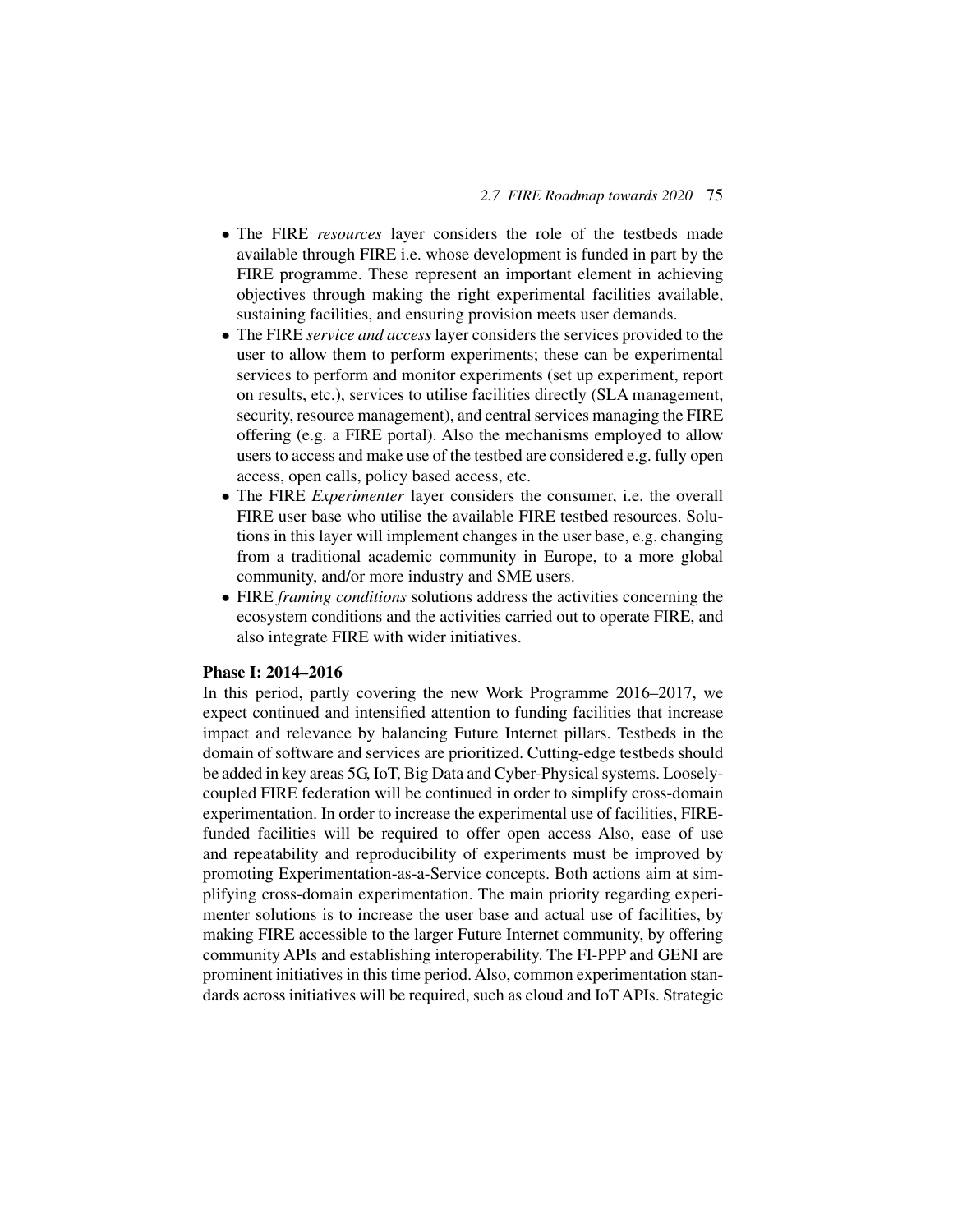- The FIRE *resources* layer considers the role of the testbeds made available through FIRE i.e. whose development is funded in part by the FIRE programme. These represent an important element in achieving objectives through making the right experimental facilities available, sustaining facilities, and ensuring provision meets user demands.
- The FIRE *service and access* layer considers the services provided to the user to allow them to perform experiments; these can be experimental services to perform and monitor experiments (set up experiment, report on results, etc.), services to utilise facilities directly (SLA management, security, resource management), and central services managing the FIRE offering (e.g. a FIRE portal). Also the mechanisms employed to allow users to access and make use of the testbed are considered e.g. fully open access, open calls, policy based access, etc.
- The FIRE *Experimenter* layer considers the consumer, i.e. the overall FIRE user base who utilise the available FIRE testbed resources. Solutions in this layer will implement changes in the user base, e.g. changing from a traditional academic community in Europe, to a more global community, and/or more industry and SME users.
- FIRE *framing conditions* solutions address the activities concerning the ecosystem conditions and the activities carried out to operate FIRE, and also integrate FIRE with wider initiatives.

## **Phase I: 2014–2016**

In this period, partly covering the new Work Programme 2016–2017, we expect continued and intensified attention to funding facilities that increase impact and relevance by balancing Future Internet pillars. Testbeds in the domain of software and services are prioritized. Cutting-edge testbeds should be added in key areas 5G, IoT, Big Data and Cyber-Physical systems. Looselycoupled FIRE federation will be continued in order to simplify cross-domain experimentation. In order to increase the experimental use of facilities, FIREfunded facilities will be required to offer open access Also, ease of use and repeatability and reproducibility of experiments must be improved by promoting Experimentation-as-a-Service concepts. Both actions aim at simplifying cross-domain experimentation. The main priority regarding experimenter solutions is to increase the user base and actual use of facilities, by making FIRE accessible to the larger Future Internet community, by offering community APIs and establishing interoperability. The FI-PPP and GENI are prominent initiatives in this time period. Also, common experimentation standards across initiatives will be required, such as cloud and IoT APIs. Strategic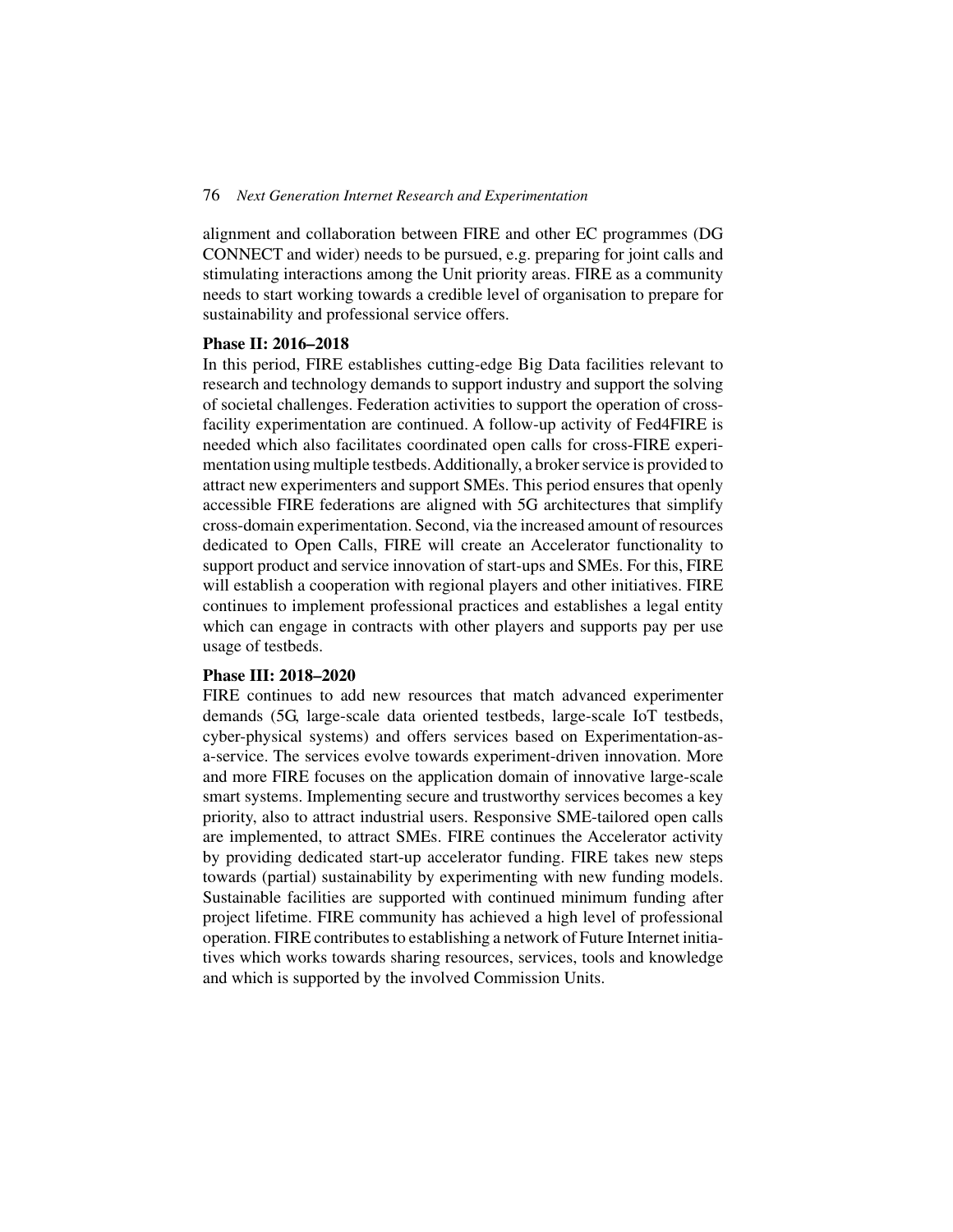alignment and collaboration between FIRE and other EC programmes (DG CONNECT and wider) needs to be pursued, e.g. preparing for joint calls and stimulating interactions among the Unit priority areas. FIRE as a community needs to start working towards a credible level of organisation to prepare for sustainability and professional service offers.

#### **Phase II: 2016–2018**

In this period, FIRE establishes cutting-edge Big Data facilities relevant to research and technology demands to support industry and support the solving of societal challenges. Federation activities to support the operation of crossfacility experimentation are continued. A follow-up activity of Fed4FIRE is needed which also facilitates coordinated open calls for cross-FIRE experimentation using multiple testbeds.Additionally, a broker service is provided to attract new experimenters and support SMEs. This period ensures that openly accessible FIRE federations are aligned with 5G architectures that simplify cross-domain experimentation. Second, via the increased amount of resources dedicated to Open Calls, FIRE will create an Accelerator functionality to support product and service innovation of start-ups and SMEs. For this, FIRE will establish a cooperation with regional players and other initiatives. FIRE continues to implement professional practices and establishes a legal entity which can engage in contracts with other players and supports pay per use usage of testbeds.

## **Phase III: 2018–2020**

FIRE continues to add new resources that match advanced experimenter demands (5G, large-scale data oriented testbeds, large-scale IoT testbeds, cyber-physical systems) and offers services based on Experimentation-asa-service. The services evolve towards experiment-driven innovation. More and more FIRE focuses on the application domain of innovative large-scale smart systems. Implementing secure and trustworthy services becomes a key priority, also to attract industrial users. Responsive SME-tailored open calls are implemented, to attract SMEs. FIRE continues the Accelerator activity by providing dedicated start-up accelerator funding. FIRE takes new steps towards (partial) sustainability by experimenting with new funding models. Sustainable facilities are supported with continued minimum funding after project lifetime. FIRE community has achieved a high level of professional operation. FIRE contributes to establishing a network of Future Internet initiatives which works towards sharing resources, services, tools and knowledge and which is supported by the involved Commission Units.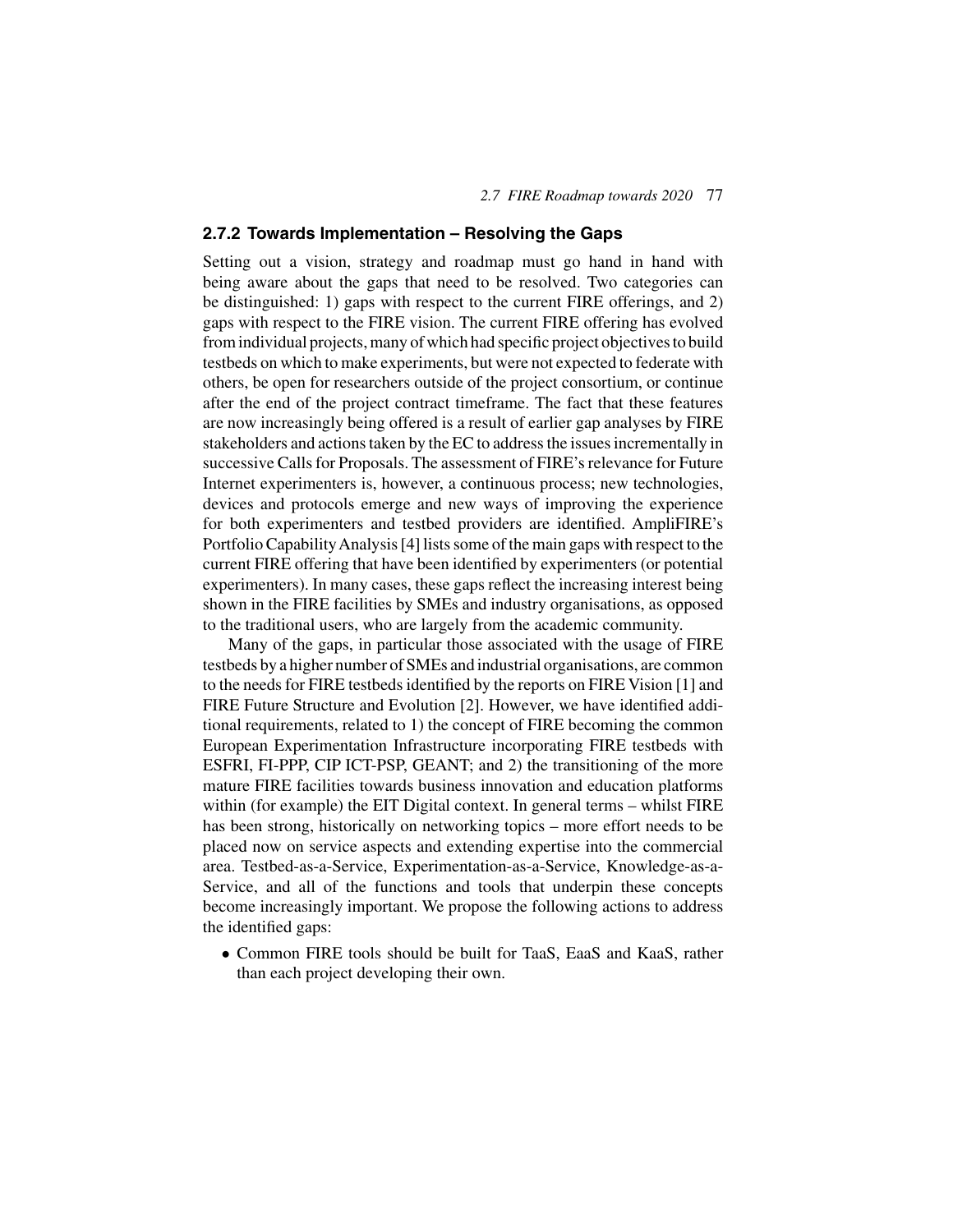#### **2.7.2 Towards Implementation – Resolving the Gaps**

Setting out a vision, strategy and roadmap must go hand in hand with being aware about the gaps that need to be resolved. Two categories can be distinguished: 1) gaps with respect to the current FIRE offerings, and 2) gaps with respect to the FIRE vision. The current FIRE offering has evolved from individual projects, many of which had specific project objectives to build testbeds on which to make experiments, but were not expected to federate with others, be open for researchers outside of the project consortium, or continue after the end of the project contract timeframe. The fact that these features are now increasingly being offered is a result of earlier gap analyses by FIRE stakeholders and actions taken by the EC to address the issues incrementally in successive Calls for Proposals. The assessment of FIRE's relevance for Future Internet experimenters is, however, a continuous process; new technologies, devices and protocols emerge and new ways of improving the experience for both experimenters and testbed providers are identified. AmpliFIRE's Portfolio Capability Analysis [4] lists some of the main gaps with respect to the current FIRE offering that have been identified by experimenters (or potential experimenters). In many cases, these gaps reflect the increasing interest being shown in the FIRE facilities by SMEs and industry organisations, as opposed to the traditional users, who are largely from the academic community.

Many of the gaps, in particular those associated with the usage of FIRE testbeds by a higher number of SMEs and industrial organisations, are common to the needs for FIRE testbeds identified by the reports on FIRE Vision [1] and FIRE Future Structure and Evolution [2]. However, we have identified additional requirements, related to 1) the concept of FIRE becoming the common European Experimentation Infrastructure incorporating FIRE testbeds with ESFRI, FI-PPP, CIP ICT-PSP, GEANT; and 2) the transitioning of the more mature FIRE facilities towards business innovation and education platforms within (for example) the EIT Digital context. In general terms – whilst FIRE has been strong, historically on networking topics – more effort needs to be placed now on service aspects and extending expertise into the commercial area. Testbed-as-a-Service, Experimentation-as-a-Service, Knowledge-as-a-Service, and all of the functions and tools that underpin these concepts become increasingly important. We propose the following actions to address the identified gaps:

• Common FIRE tools should be built for TaaS, EaaS and KaaS, rather than each project developing their own.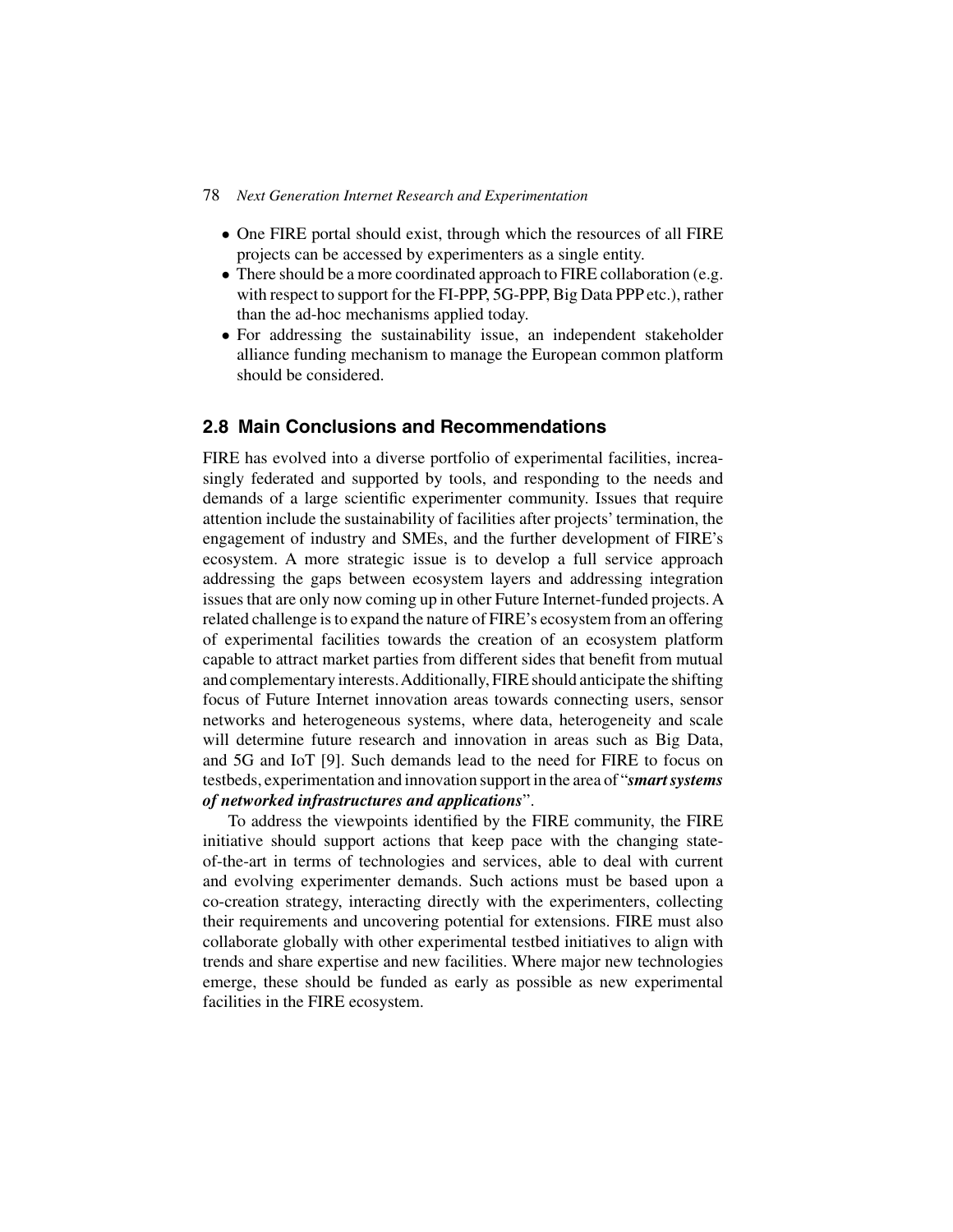- One FIRE portal should exist, through which the resources of all FIRE projects can be accessed by experimenters as a single entity.
- There should be a more coordinated approach to FIRE collaboration (e.g. with respect to support for the FI-PPP, 5G-PPP, Big Data PPP etc.), rather than the ad-hoc mechanisms applied today.
- For addressing the sustainability issue, an independent stakeholder alliance funding mechanism to manage the European common platform should be considered.

## **2.8 Main Conclusions and Recommendations**

FIRE has evolved into a diverse portfolio of experimental facilities, increasingly federated and supported by tools, and responding to the needs and demands of a large scientific experimenter community. Issues that require attention include the sustainability of facilities after projects' termination, the engagement of industry and SMEs, and the further development of FIRE's ecosystem. A more strategic issue is to develop a full service approach addressing the gaps between ecosystem layers and addressing integration issues that are only now coming up in other Future Internet-funded projects. A related challenge is to expand the nature of FIRE's ecosystem from an offering of experimental facilities towards the creation of an ecosystem platform capable to attract market parties from different sides that benefit from mutual and complementary interests.Additionally, FIRE should anticipate the shifting focus of Future Internet innovation areas towards connecting users, sensor networks and heterogeneous systems, where data, heterogeneity and scale will determine future research and innovation in areas such as Big Data, and 5G and IoT [9]. Such demands lead to the need for FIRE to focus on testbeds, experimentation and innovation support in the area of "*smart systems of networked infrastructures and applications*".

To address the viewpoints identified by the FIRE community, the FIRE initiative should support actions that keep pace with the changing stateof-the-art in terms of technologies and services, able to deal with current and evolving experimenter demands. Such actions must be based upon a co-creation strategy, interacting directly with the experimenters, collecting their requirements and uncovering potential for extensions. FIRE must also collaborate globally with other experimental testbed initiatives to align with trends and share expertise and new facilities. Where major new technologies emerge, these should be funded as early as possible as new experimental facilities in the FIRE ecosystem.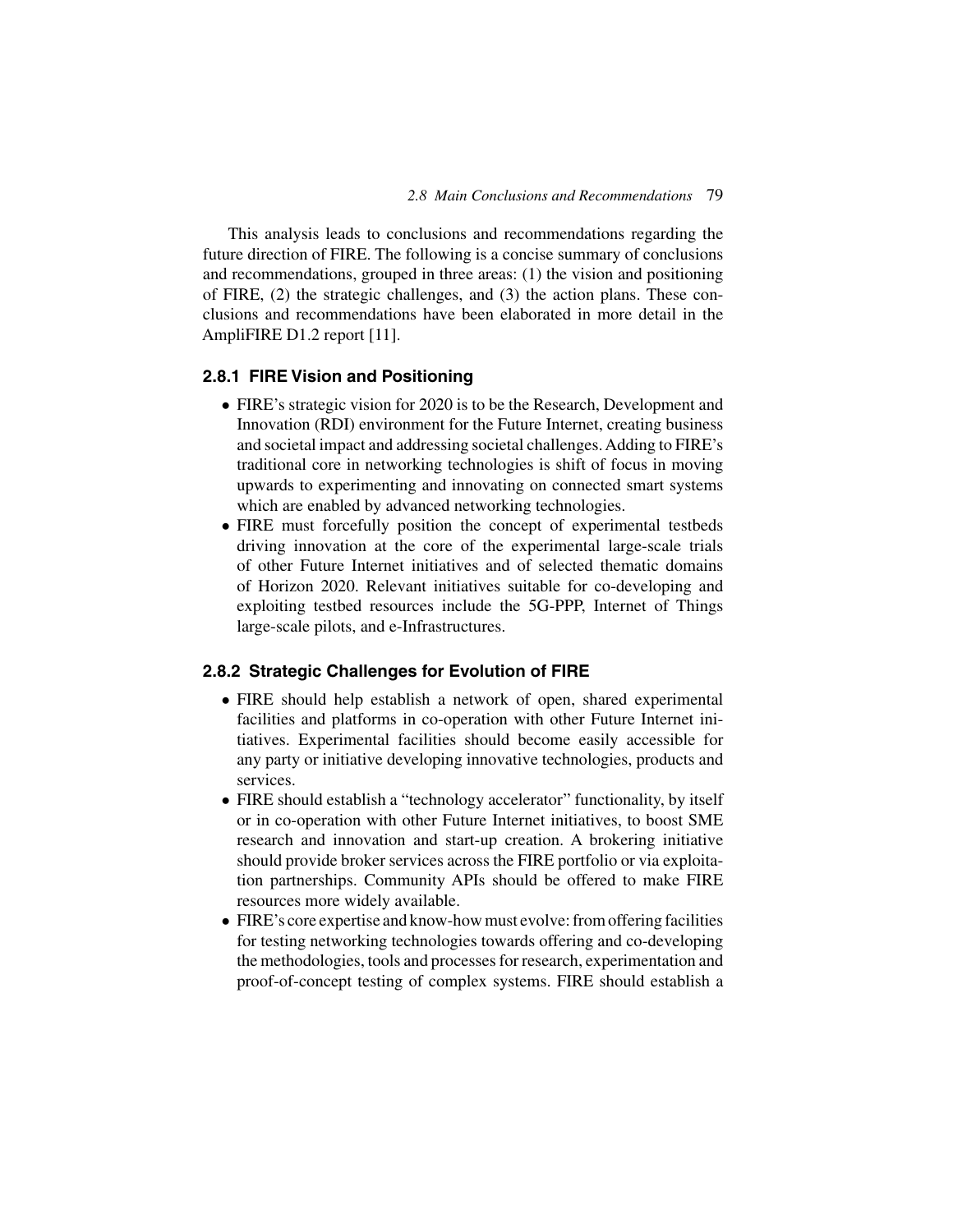This analysis leads to conclusions and recommendations regarding the future direction of FIRE. The following is a concise summary of conclusions and recommendations, grouped in three areas: (1) the vision and positioning of FIRE, (2) the strategic challenges, and (3) the action plans. These conclusions and recommendations have been elaborated in more detail in the AmpliFIRE D1.2 report [11].

## **2.8.1 FIRE Vision and Positioning**

- FIRE's strategic vision for 2020 is to be the Research, Development and Innovation (RDI) environment for the Future Internet, creating business and societal impact and addressing societal challenges. Adding to FIRE's traditional core in networking technologies is shift of focus in moving upwards to experimenting and innovating on connected smart systems which are enabled by advanced networking technologies.
- FIRE must forcefully position the concept of experimental testbeds driving innovation at the core of the experimental large-scale trials of other Future Internet initiatives and of selected thematic domains of Horizon 2020. Relevant initiatives suitable for co-developing and exploiting testbed resources include the 5G-PPP, Internet of Things large-scale pilots, and e-Infrastructures.

## **2.8.2 Strategic Challenges for Evolution of FIRE**

- FIRE should help establish a network of open, shared experimental facilities and platforms in co-operation with other Future Internet initiatives. Experimental facilities should become easily accessible for any party or initiative developing innovative technologies, products and services.
- FIRE should establish a "technology accelerator" functionality, by itself or in co-operation with other Future Internet initiatives, to boost SME research and innovation and start-up creation. A brokering initiative should provide broker services across the FIRE portfolio or via exploitation partnerships. Community APIs should be offered to make FIRE resources more widely available.
- FIRE's core expertise and know-how must evolve: from offering facilities for testing networking technologies towards offering and co-developing the methodologies, tools and processes for research, experimentation and proof-of-concept testing of complex systems. FIRE should establish a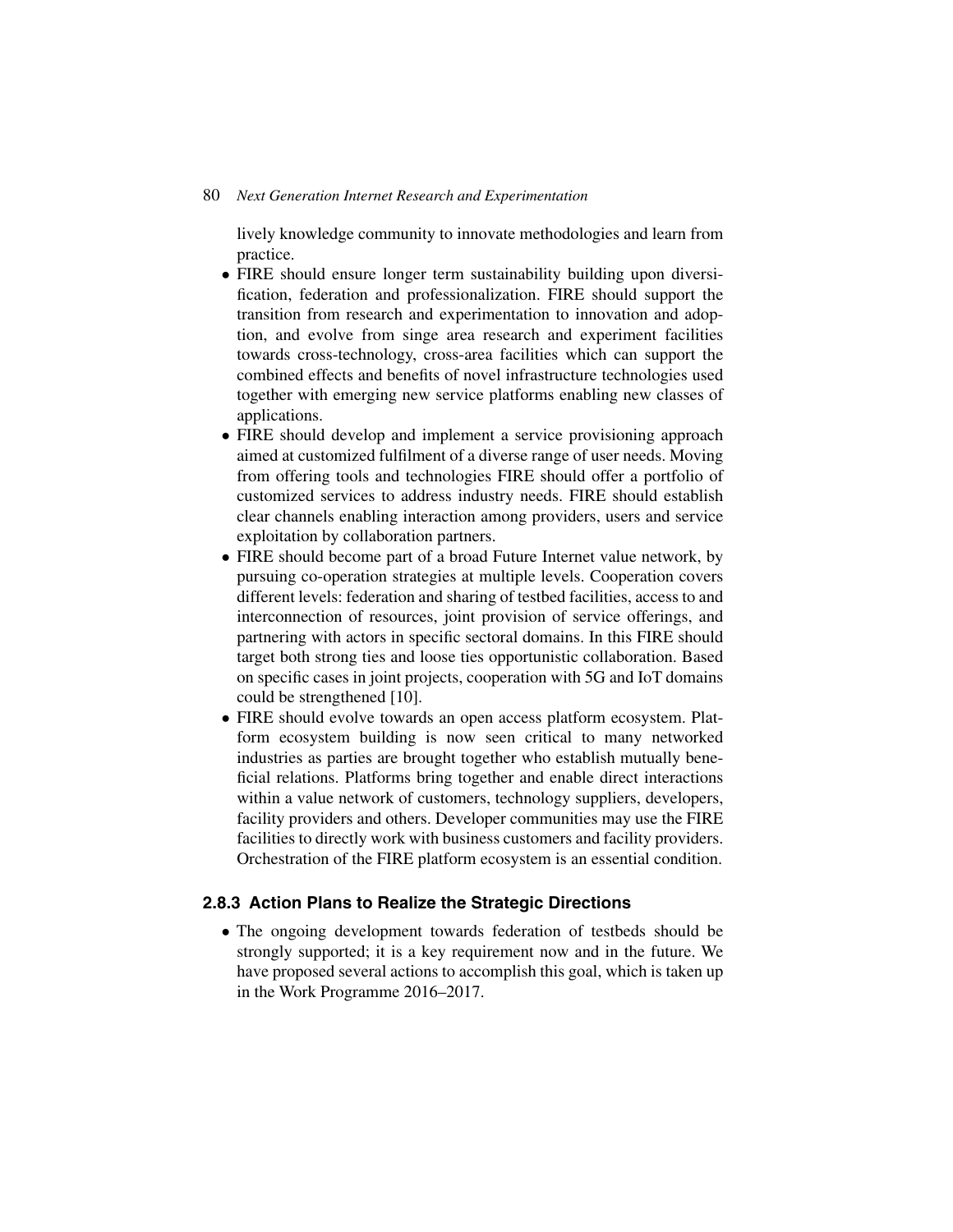lively knowledge community to innovate methodologies and learn from practice.

- FIRE should ensure longer term sustainability building upon diversification, federation and professionalization. FIRE should support the transition from research and experimentation to innovation and adoption, and evolve from singe area research and experiment facilities towards cross-technology, cross-area facilities which can support the combined effects and benefits of novel infrastructure technologies used together with emerging new service platforms enabling new classes of applications.
- FIRE should develop and implement a service provisioning approach aimed at customized fulfilment of a diverse range of user needs. Moving from offering tools and technologies FIRE should offer a portfolio of customized services to address industry needs. FIRE should establish clear channels enabling interaction among providers, users and service exploitation by collaboration partners.
- FIRE should become part of a broad Future Internet value network, by pursuing co-operation strategies at multiple levels. Cooperation covers different levels: federation and sharing of testbed facilities, access to and interconnection of resources, joint provision of service offerings, and partnering with actors in specific sectoral domains. In this FIRE should target both strong ties and loose ties opportunistic collaboration. Based on specific cases in joint projects, cooperation with 5G and IoT domains could be strengthened [10].
- FIRE should evolve towards an open access platform ecosystem. Platform ecosystem building is now seen critical to many networked industries as parties are brought together who establish mutually beneficial relations. Platforms bring together and enable direct interactions within a value network of customers, technology suppliers, developers, facility providers and others. Developer communities may use the FIRE facilities to directly work with business customers and facility providers. Orchestration of the FIRE platform ecosystem is an essential condition.

## **2.8.3 Action Plans to Realize the Strategic Directions**

• The ongoing development towards federation of testbeds should be strongly supported; it is a key requirement now and in the future. We have proposed several actions to accomplish this goal, which is taken up in the Work Programme 2016–2017.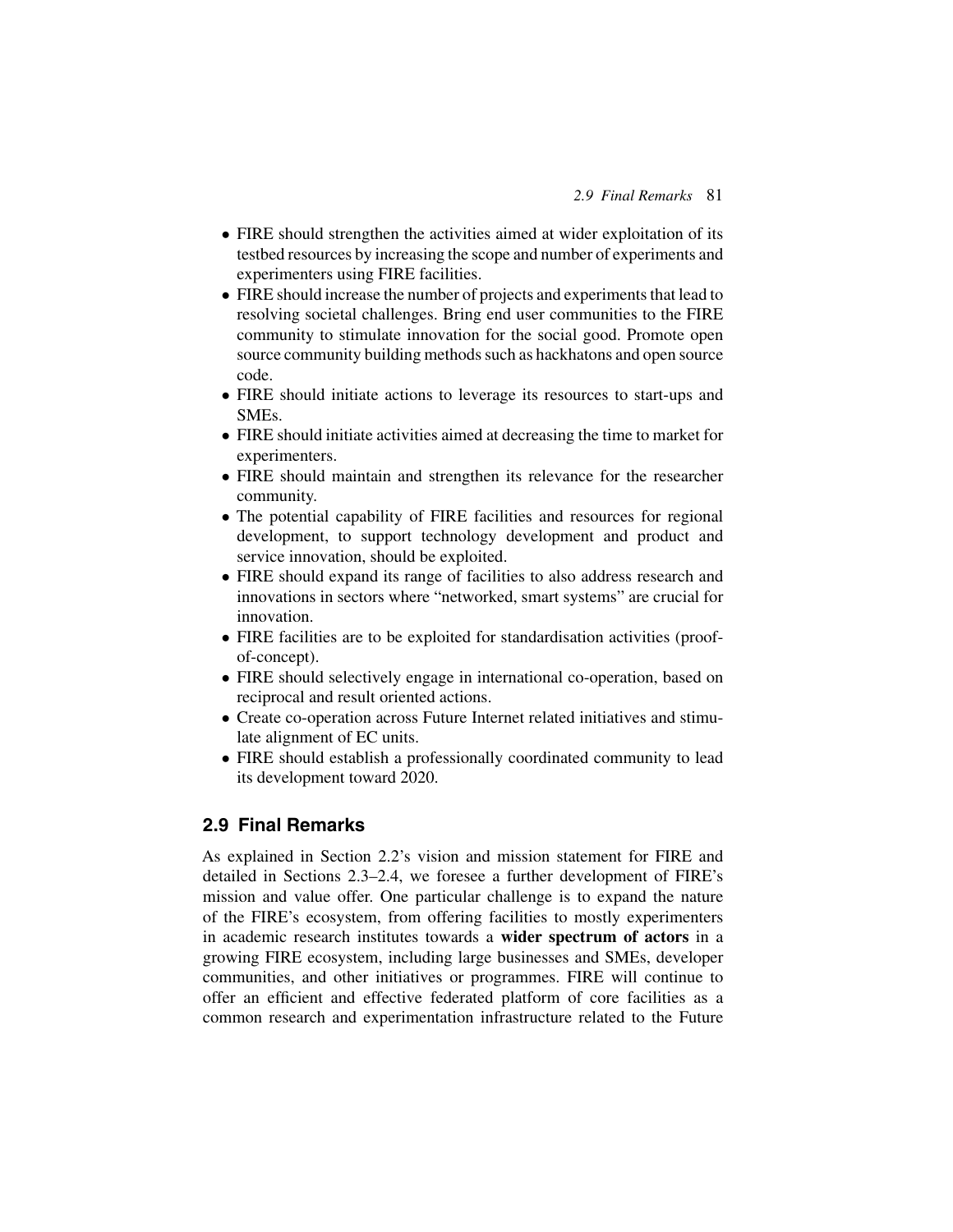- FIRE should strengthen the activities aimed at wider exploitation of its testbed resources by increasing the scope and number of experiments and experimenters using FIRE facilities.
- FIRE should increase the number of projects and experiments that lead to resolving societal challenges. Bring end user communities to the FIRE community to stimulate innovation for the social good. Promote open source community building methods such as hackhatons and open source code.
- FIRE should initiate actions to leverage its resources to start-ups and SMEs.
- FIRE should initiate activities aimed at decreasing the time to market for experimenters.
- FIRE should maintain and strengthen its relevance for the researcher community.
- The potential capability of FIRE facilities and resources for regional development, to support technology development and product and service innovation, should be exploited.
- FIRE should expand its range of facilities to also address research and innovations in sectors where "networked, smart systems" are crucial for innovation.
- FIRE facilities are to be exploited for standardisation activities (proofof-concept).
- FIRE should selectively engage in international co-operation, based on reciprocal and result oriented actions.
- Create co-operation across Future Internet related initiatives and stimulate alignment of EC units.
- FIRE should establish a professionally coordinated community to lead its development toward 2020.

## **2.9 Final Remarks**

As explained in Section 2.2's vision and mission statement for FIRE and detailed in Sections 2.3–2.4, we foresee a further development of FIRE's mission and value offer. One particular challenge is to expand the nature of the FIRE's ecosystem, from offering facilities to mostly experimenters in academic research institutes towards a **wider spectrum of actors** in a growing FIRE ecosystem, including large businesses and SMEs, developer communities, and other initiatives or programmes. FIRE will continue to offer an efficient and effective federated platform of core facilities as a common research and experimentation infrastructure related to the Future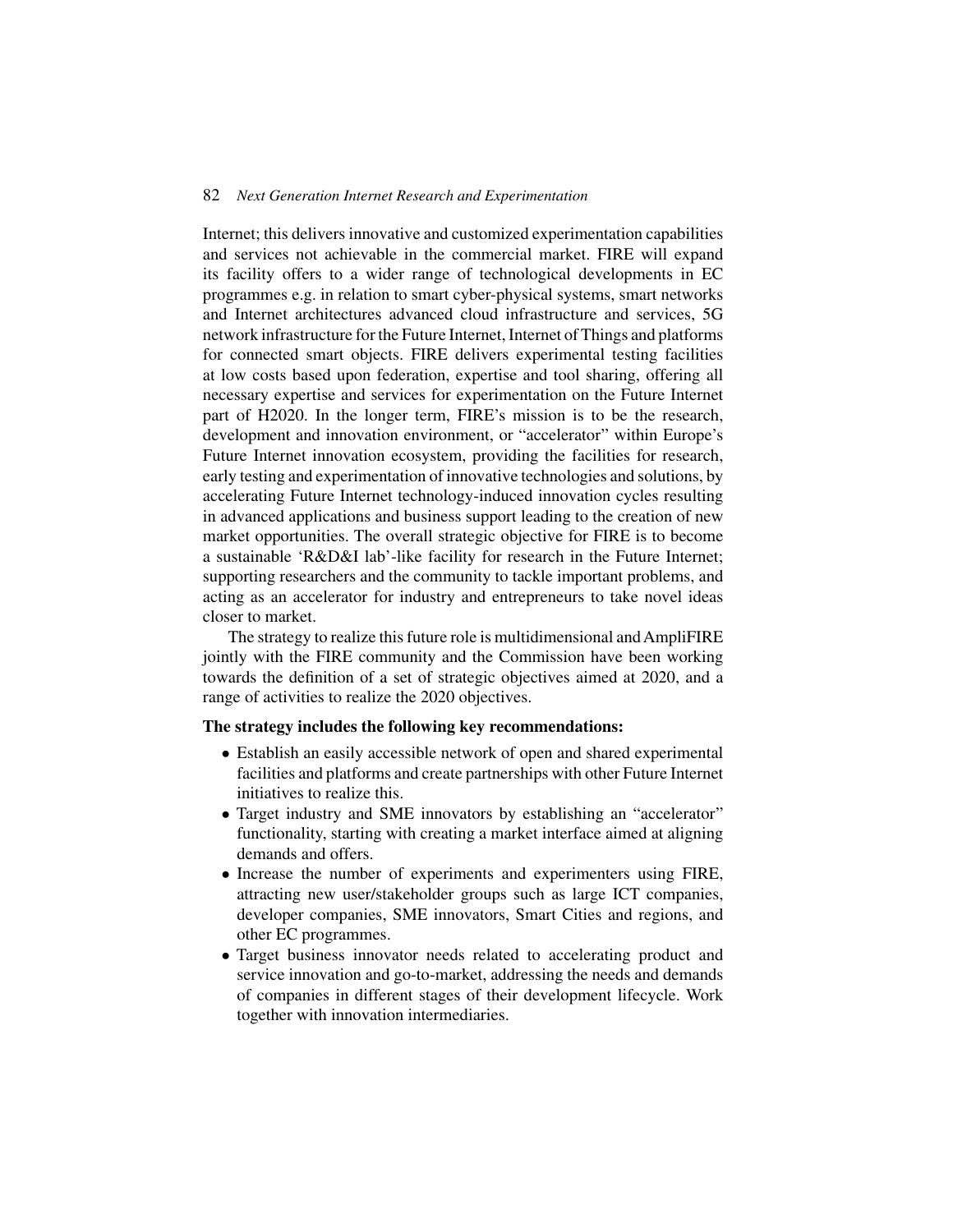Internet; this delivers innovative and customized experimentation capabilities and services not achievable in the commercial market. FIRE will expand its facility offers to a wider range of technological developments in EC programmes e.g. in relation to smart cyber-physical systems, smart networks and Internet architectures advanced cloud infrastructure and services, 5G network infrastructure for the Future Internet, Internet of Things and platforms for connected smart objects. FIRE delivers experimental testing facilities at low costs based upon federation, expertise and tool sharing, offering all necessary expertise and services for experimentation on the Future Internet part of H2020. In the longer term, FIRE's mission is to be the research, development and innovation environment, or "accelerator" within Europe's Future Internet innovation ecosystem, providing the facilities for research, early testing and experimentation of innovative technologies and solutions, by accelerating Future Internet technology-induced innovation cycles resulting in advanced applications and business support leading to the creation of new market opportunities. The overall strategic objective for FIRE is to become a sustainable 'R&D&I lab'-like facility for research in the Future Internet; supporting researchers and the community to tackle important problems, and acting as an accelerator for industry and entrepreneurs to take novel ideas closer to market.

The strategy to realize this future role is multidimensional and AmpliFIRE jointly with the FIRE community and the Commission have been working towards the definition of a set of strategic objectives aimed at 2020, and a range of activities to realize the 2020 objectives.

#### **The strategy includes the following key recommendations:**

- Establish an easily accessible network of open and shared experimental facilities and platforms and create partnerships with other Future Internet initiatives to realize this.
- Target industry and SME innovators by establishing an "accelerator" functionality, starting with creating a market interface aimed at aligning demands and offers.
- Increase the number of experiments and experimenters using FIRE, attracting new user/stakeholder groups such as large ICT companies, developer companies, SME innovators, Smart Cities and regions, and other EC programmes.
- Target business innovator needs related to accelerating product and service innovation and go-to-market, addressing the needs and demands of companies in different stages of their development lifecycle. Work together with innovation intermediaries.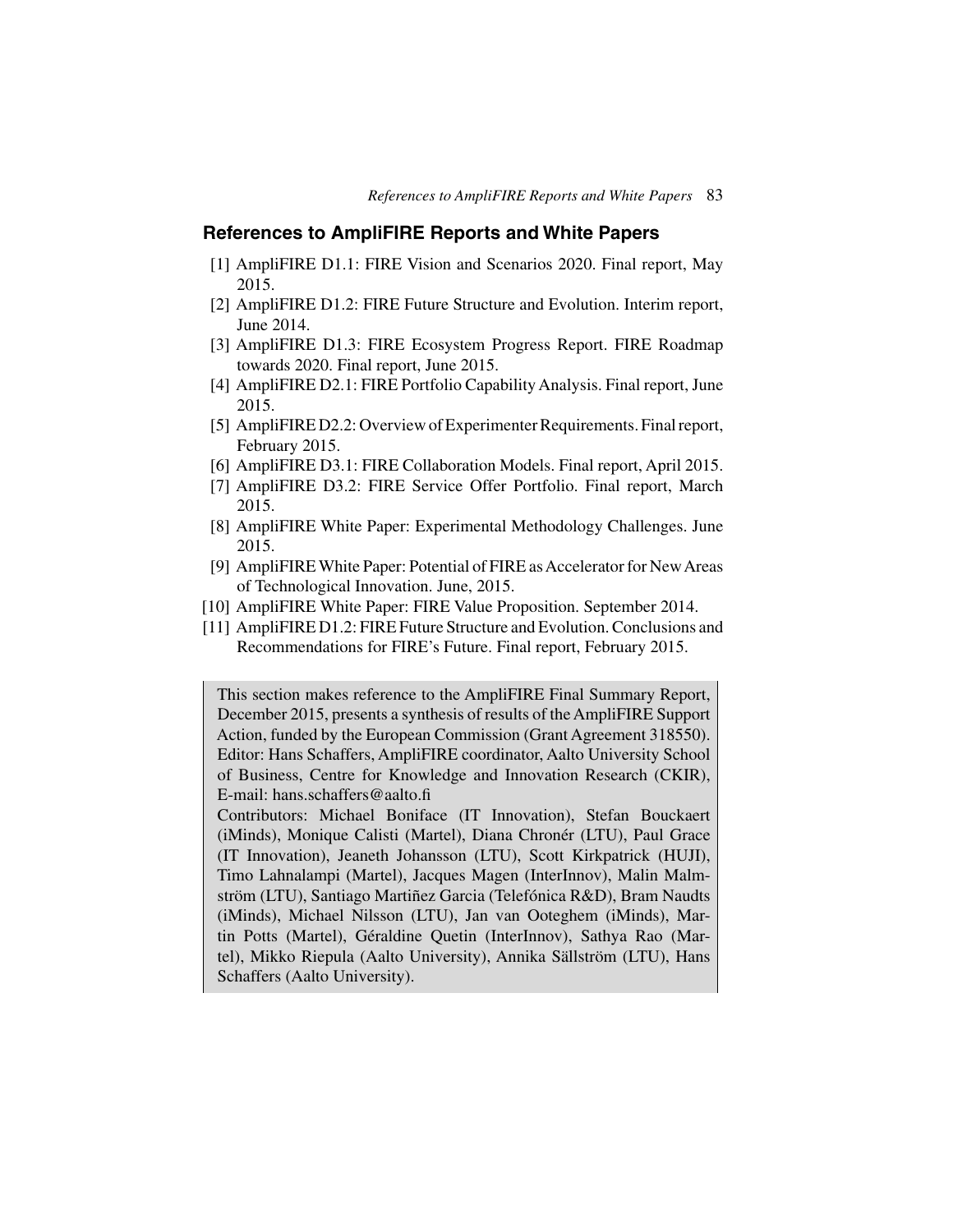## **References to AmpliFIRE Reports and White Papers**

- [1] AmpliFIRE D1.1: FIRE Vision and Scenarios 2020. Final report, May 2015.
- [2] AmpliFIRE D1.2: FIRE Future Structure and Evolution. Interim report, June 2014.
- [3] AmpliFIRE D1.3: FIRE Ecosystem Progress Report. FIRE Roadmap towards 2020. Final report, June 2015.
- [4] AmpliFIRE D2.1: FIRE Portfolio Capability Analysis. Final report, June 2015.
- [5] AmpliFIRE D2.2: Overview of Experimenter Requirements. Final report, February 2015.
- [6] AmpliFIRE D3.1: FIRE Collaboration Models. Final report, April 2015.
- [7] AmpliFIRE D3.2: FIRE Service Offer Portfolio. Final report, March 2015.
- [8] AmpliFIRE White Paper: Experimental Methodology Challenges. June 2015.
- [9] AmpliFIRE White Paper: Potential of FIRE as Accelerator for New Areas of Technological Innovation. June, 2015.
- [10] AmpliFIRE White Paper: FIRE Value Proposition. September 2014.
- [11] AmpliFIRE D1.2: FIRE Future Structure and Evolution. Conclusions and Recommendations for FIRE's Future. Final report, February 2015.

This section makes reference to the AmpliFIRE Final Summary Report, December 2015, presents a synthesis of results of the AmpliFIRE Support Action, funded by the European Commission (Grant Agreement 318550). Editor: Hans Schaffers, AmpliFIRE coordinator, Aalto University School of Business, Centre for Knowledge and Innovation Research (CKIR), E-mail: hans.schaffers@aalto.fi

Contributors: Michael Boniface (IT Innovation), Stefan Bouckaert (iMinds), Monique Calisti (Martel), Diana Chronér (LTU), Paul Grace (IT Innovation), Jeaneth Johansson (LTU), Scott Kirkpatrick (HUJI), Timo Lahnalampi (Martel), Jacques Magen (InterInnov), Malin Malmström (LTU), Santiago Martiñez Garcia (Telefónica R&D), Bram Naudts (iMinds), Michael Nilsson (LTU), Jan van Ooteghem (iMinds), Martin Potts (Martel), Géraldine Quetin (InterInnov), Sathya Rao (Martel), Mikko Riepula (Aalto University), Annika Sällström (LTU), Hans Schaffers (Aalto University).